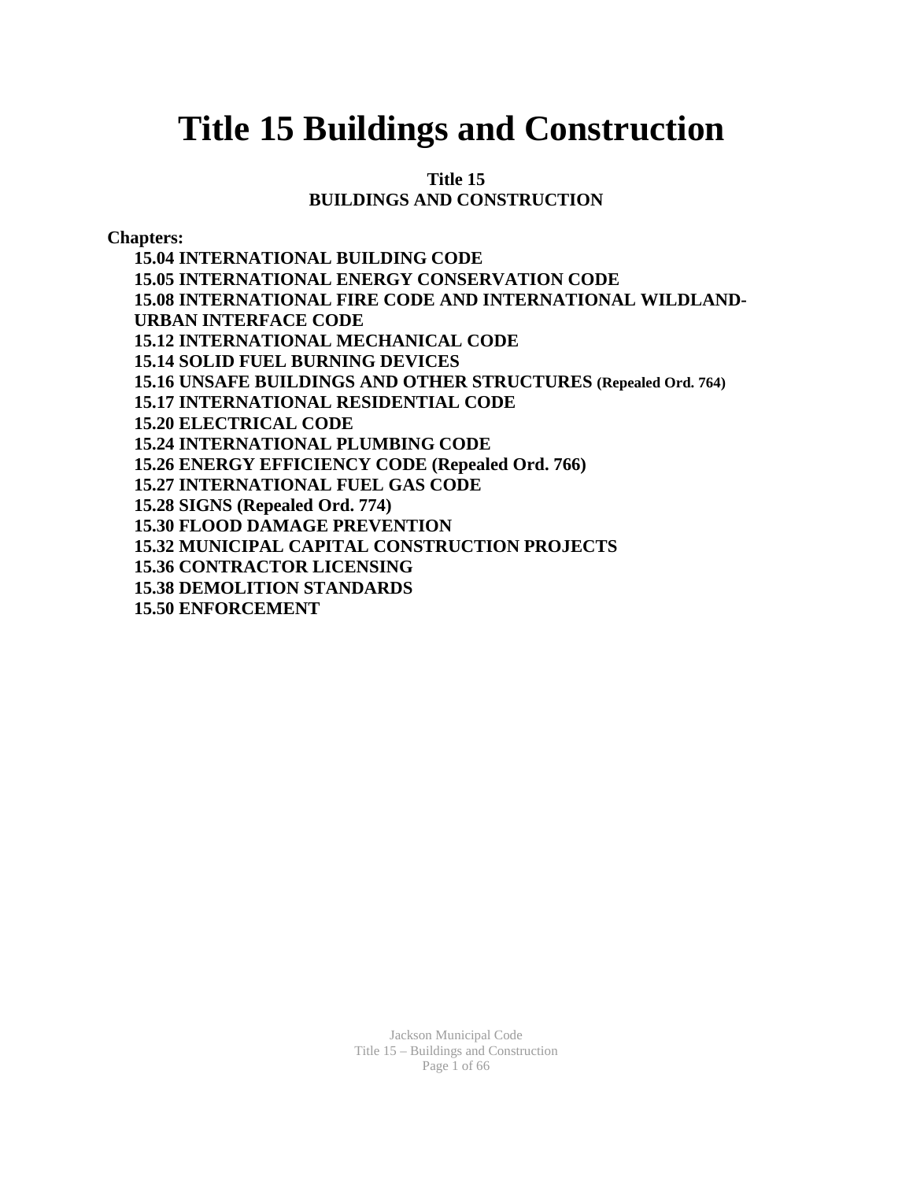# **Title 15 Buildings and Construction**

#### **Title 15 BUILDINGS AND CONSTRUCTION**

**Chapters:** 

**15.04 INTERNATIONAL BUILDING CODE 15.05 INTERNATIONAL ENERGY CONSERVATION CODE 15.08 INTERNATIONAL FIRE CODE AND INTERNATIONAL WILDLAND-URBAN INTERFACE CODE 15.12 INTERNATIONAL MECHANICAL CODE 15.14 SOLID FUEL BURNING DEVICES 15.16 UNSAFE BUILDINGS AND OTHER STRUCTURES (Repealed Ord. 764) 15.17 INTERNATIONAL RESIDENTIAL CODE 15.20 ELECTRICAL CODE 15.24 INTERNATIONAL PLUMBING CODE 15.26 ENERGY EFFICIENCY CODE (Repealed Ord. 766) 15.27 INTERNATIONAL FUEL GAS CODE 15.28 SIGNS (Repealed Ord. 774) 15.30 FLOOD DAMAGE PREVENTION 15.32 MUNICIPAL CAPITAL CONSTRUCTION PROJECTS 15.36 CONTRACTOR LICENSING 15.38 DEMOLITION STANDARDS 15.50 ENFORCEMENT**

> Jackson Municipal Code Title 15 – Buildings and Construction Page 1 of 66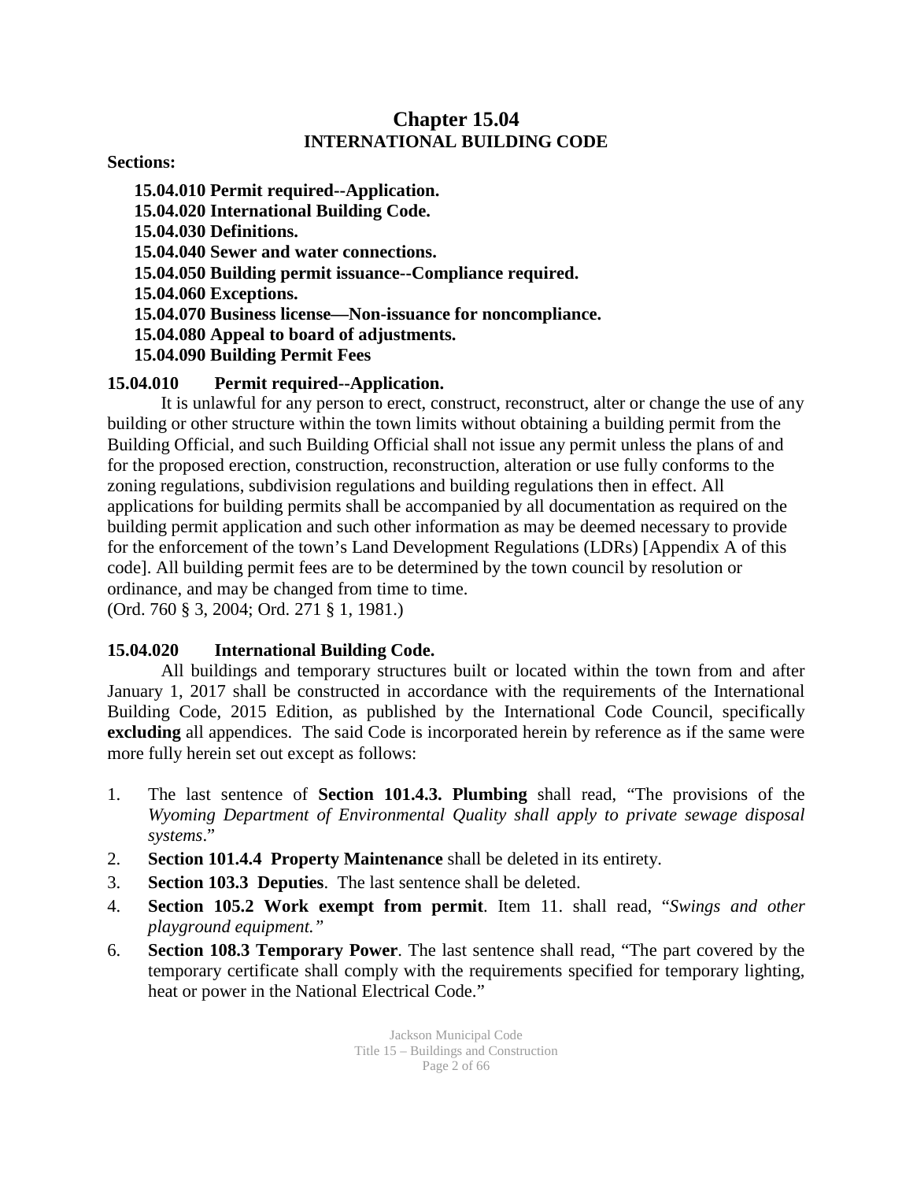### **Chapter 15.04 INTERNATIONAL BUILDING CODE**

**Sections:** 

**15.04.010 Permit required--Application. 15.04.020 International Building Code. 15.04.030 Definitions. 15.04.040 Sewer and water connections. 15.04.050 Building permit issuance--Compliance required. 15.04.060 Exceptions. 15.04.070 Business license—Non-issuance for noncompliance. 15.04.080 Appeal to board of adjustments. 15.04.090 Building Permit Fees 15.04.010 Permit required--Application.**

It is unlawful for any person to erect, construct, reconstruct, alter or change the use of any building or other structure within the town limits without obtaining a building permit from the Building Official, and such Building Official shall not issue any permit unless the plans of and for the proposed erection, construction, reconstruction, alteration or use fully conforms to the zoning regulations, subdivision regulations and building regulations then in effect. All applications for building permits shall be accompanied by all documentation as required on the building permit application and such other information as may be deemed necessary to provide for the enforcement of the town's Land Development Regulations (LDRs) [Appendix A of this code]. All building permit fees are to be determined by the town council by resolution or ordinance, and may be changed from time to time. (Ord. 760 § 3, 2004; Ord. 271 § 1, 1981.)

### **15.04.020 International Building Code.**

All buildings and temporary structures built or located within the town from and after January 1, 2017 shall be constructed in accordance with the requirements of the International Building Code, 2015 Edition, as published by the International Code Council, specifically **excluding** all appendices. The said Code is incorporated herein by reference as if the same were more fully herein set out except as follows:

- 1. The last sentence of **Section 101.4.3. Plumbing** shall read, "The provisions of the *Wyoming Department of Environmental Quality shall apply to private sewage disposal systems*."
- 2. **Section 101.4.4 Property Maintenance** shall be deleted in its entirety.
- 3. **Section 103.3 Deputies**. The last sentence shall be deleted.
- 4. **Section 105.2 Work exempt from permit**. Item 11. shall read, "*Swings and other playground equipment."*
- 6. **Section 108.3 Temporary Power**. The last sentence shall read, "The part covered by the temporary certificate shall comply with the requirements specified for temporary lighting, heat or power in the National Electrical Code."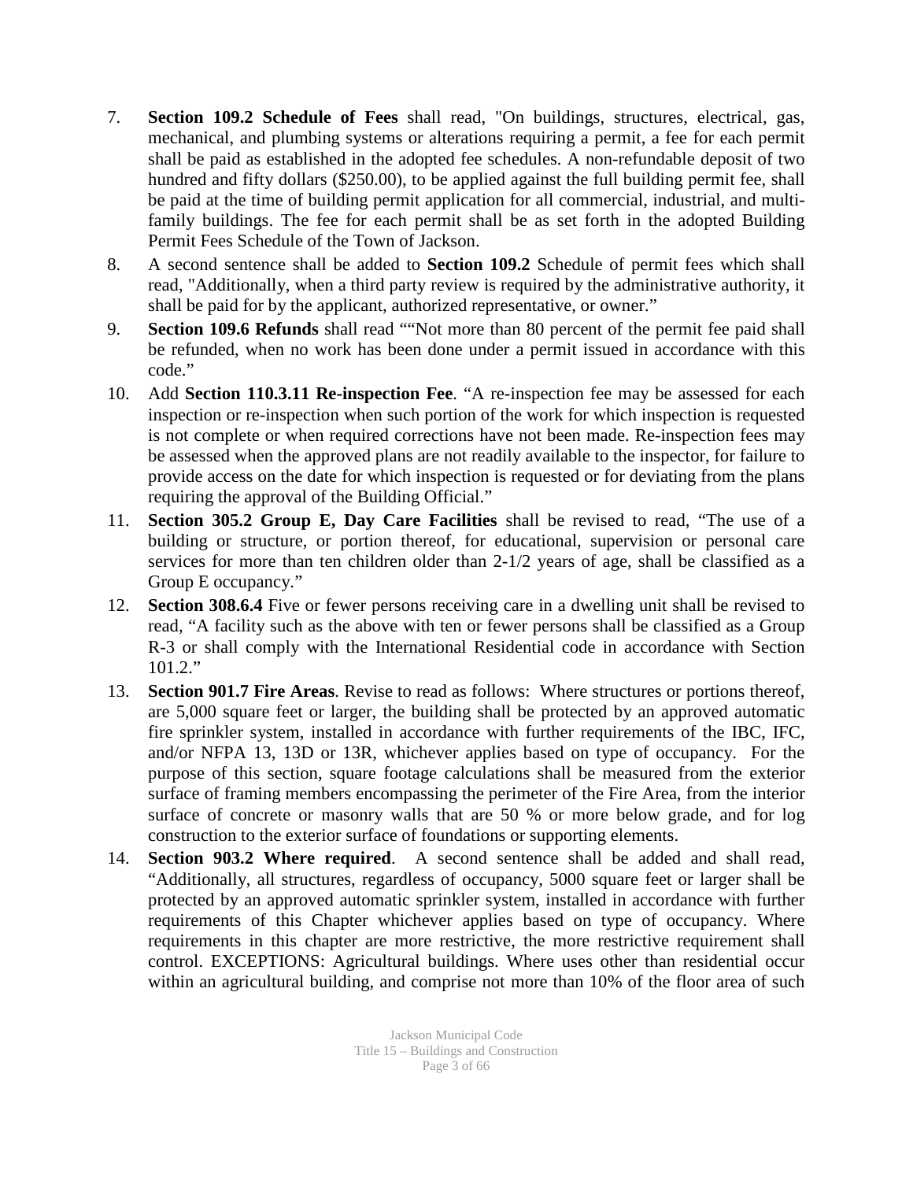- 7. **Section 109.2 Schedule of Fees** shall read, "On buildings, structures, electrical, gas, mechanical, and plumbing systems or alterations requiring a permit, a fee for each permit shall be paid as established in the adopted fee schedules. A non-refundable deposit of two hundred and fifty dollars (\$250.00), to be applied against the full building permit fee, shall be paid at the time of building permit application for all commercial, industrial, and multifamily buildings. The fee for each permit shall be as set forth in the adopted Building Permit Fees Schedule of the Town of Jackson.
- 8. A second sentence shall be added to **Section 109.2** Schedule of permit fees which shall read, "Additionally, when a third party review is required by the administrative authority, it shall be paid for by the applicant, authorized representative, or owner."
- 9. **Section 109.6 Refunds** shall read ""Not more than 80 percent of the permit fee paid shall be refunded, when no work has been done under a permit issued in accordance with this code."
- 10. Add **Section 110.3.11 Re-inspection Fee**. "A re-inspection fee may be assessed for each inspection or re-inspection when such portion of the work for which inspection is requested is not complete or when required corrections have not been made. Re-inspection fees may be assessed when the approved plans are not readily available to the inspector, for failure to provide access on the date for which inspection is requested or for deviating from the plans requiring the approval of the Building Official."
- 11. **Section 305.2 Group E, Day Care Facilities** shall be revised to read, "The use of a building or structure, or portion thereof, for educational, supervision or personal care services for more than ten children older than 2-1/2 years of age, shall be classified as a Group E occupancy."
- 12. **Section 308.6.4** Five or fewer persons receiving care in a dwelling unit shall be revised to read, "A facility such as the above with ten or fewer persons shall be classified as a Group R-3 or shall comply with the International Residential code in accordance with Section 101.2."
- 13. **Section 901.7 Fire Areas**. Revise to read as follows: Where structures or portions thereof, are 5,000 square feet or larger, the building shall be protected by an approved automatic fire sprinkler system, installed in accordance with further requirements of the IBC, IFC, and/or NFPA 13, 13D or 13R, whichever applies based on type of occupancy. For the purpose of this section, square footage calculations shall be measured from the exterior surface of framing members encompassing the perimeter of the Fire Area, from the interior surface of concrete or masonry walls that are 50 % or more below grade, and for log construction to the exterior surface of foundations or supporting elements.
- 14. **Section 903.2 Where required**. A second sentence shall be added and shall read, "Additionally, all structures, regardless of occupancy, 5000 square feet or larger shall be protected by an approved automatic sprinkler system, installed in accordance with further requirements of this Chapter whichever applies based on type of occupancy. Where requirements in this chapter are more restrictive, the more restrictive requirement shall control. EXCEPTIONS: Agricultural buildings. Where uses other than residential occur within an agricultural building, and comprise not more than 10% of the floor area of such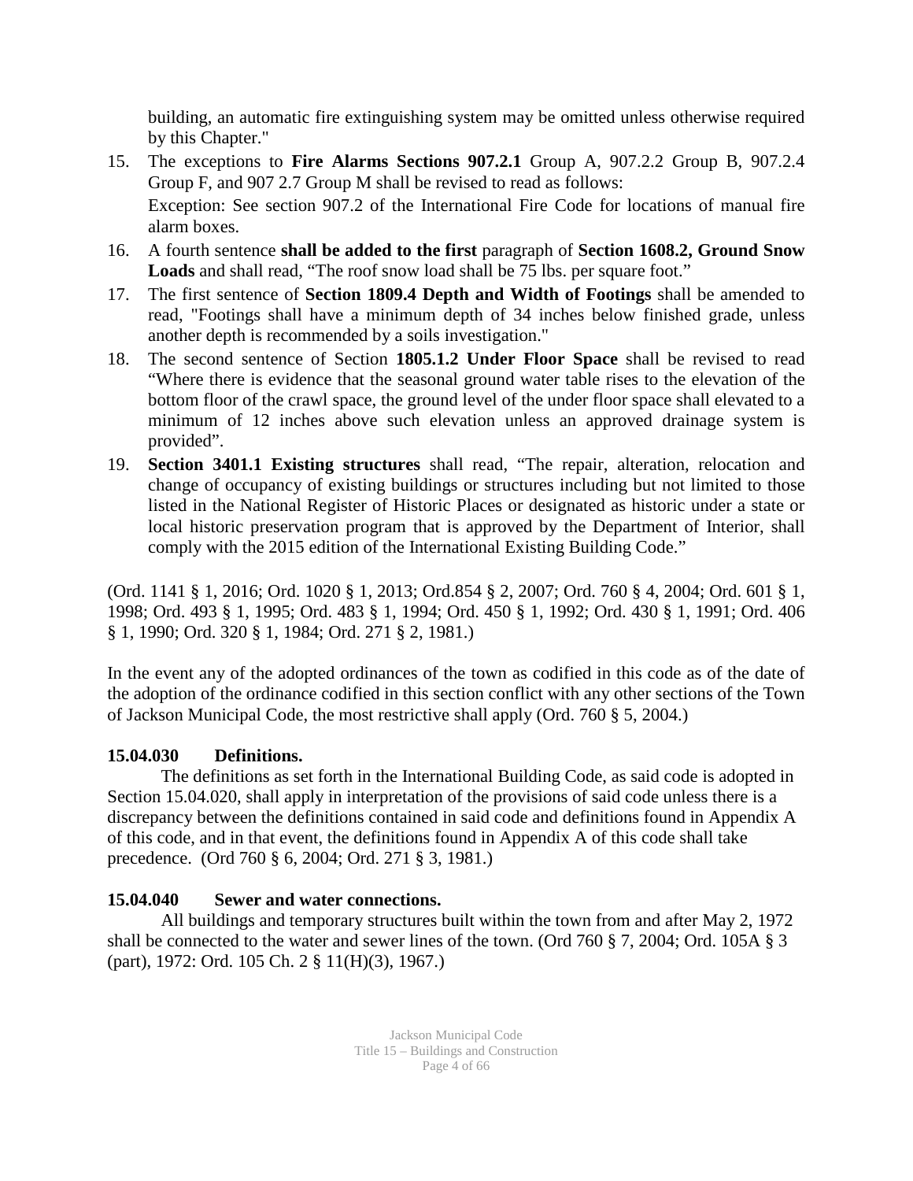building, an automatic fire extinguishing system may be omitted unless otherwise required by this Chapter."

- 15. The exceptions to **Fire Alarms Sections 907.2.1** Group A, 907.2.2 Group B, 907.2.4 Group F, and 907 2.7 Group M shall be revised to read as follows: Exception: See section 907.2 of the International Fire Code for locations of manual fire alarm boxes.
- 16. A fourth sentence **shall be added to the first** paragraph of **Section 1608.2, Ground Snow Loads** and shall read, "The roof snow load shall be 75 lbs. per square foot."
- 17. The first sentence of **Section 1809.4 Depth and Width of Footings** shall be amended to read, "Footings shall have a minimum depth of 34 inches below finished grade, unless another depth is recommended by a soils investigation."
- 18. The second sentence of Section **1805.1.2 Under Floor Space** shall be revised to read "Where there is evidence that the seasonal ground water table rises to the elevation of the bottom floor of the crawl space, the ground level of the under floor space shall elevated to a minimum of 12 inches above such elevation unless an approved drainage system is provided".
- 19. **Section 3401.1 Existing structures** shall read, "The repair, alteration, relocation and change of occupancy of existing buildings or structures including but not limited to those listed in the National Register of Historic Places or designated as historic under a state or local historic preservation program that is approved by the Department of Interior, shall comply with the 2015 edition of the International Existing Building Code."

(Ord. 1141 § 1, 2016; Ord. 1020 § 1, 2013; Ord.854 § 2, 2007; Ord. 760 § 4, 2004; Ord. 601 § 1, 1998; Ord. 493 § 1, 1995; Ord. 483 § 1, 1994; Ord. 450 § 1, 1992; Ord. 430 § 1, 1991; Ord. 406 § 1, 1990; Ord. 320 § 1, 1984; Ord. 271 § 2, 1981.)

In the event any of the adopted ordinances of the town as codified in this code as of the date of the adoption of the ordinance codified in this section conflict with any other sections of the Town of Jackson Municipal Code, the most restrictive shall apply (Ord. 760 § 5, 2004.)

### **15.04.030 Definitions.**

The definitions as set forth in the International Building Code, as said code is adopted in Section 15.04.020, shall apply in interpretation of the provisions of said code unless there is a discrepancy between the definitions contained in said code and definitions found in Appendix A of this code, and in that event, the definitions found in Appendix A of this code shall take precedence.(Ord 760 § 6, 2004; Ord. 271 § 3, 1981.)

### **15.04.040 Sewer and water connections.**

All buildings and temporary structures built within the town from and after May 2, 1972 shall be connected to the water and sewer lines of the town. (Ord 760 § 7, 2004; Ord. 105A § 3 (part), 1972: Ord. 105 Ch. 2 § 11(H)(3), 1967.)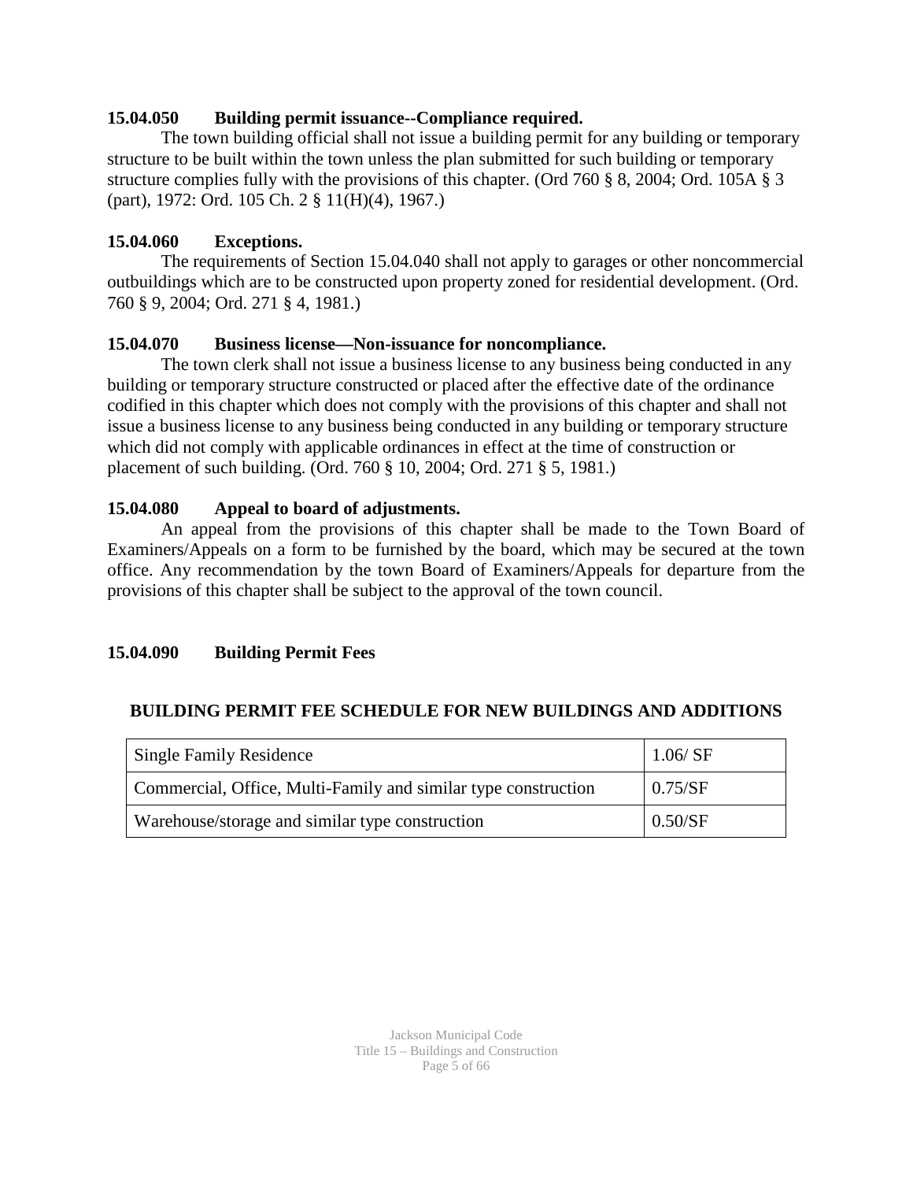### **15.04.050 Building permit issuance--Compliance required.**

The town building official shall not issue a building permit for any building or temporary structure to be built within the town unless the plan submitted for such building or temporary structure complies fully with the provisions of this chapter. (Ord 760 § 8, 2004; Ord. 105A § 3 (part), 1972: Ord. 105 Ch. 2 § 11(H)(4), 1967.)

### **15.04.060 Exceptions.**

The requirements of Section 15.04.040 shall not apply to garages or other noncommercial outbuildings which are to be constructed upon property zoned for residential development. (Ord. 760 § 9, 2004; Ord. 271 § 4, 1981.)

### **15.04.070 Business license—Non-issuance for noncompliance.**

The town clerk shall not issue a business license to any business being conducted in any building or temporary structure constructed or placed after the effective date of the ordinance codified in this chapter which does not comply with the provisions of this chapter and shall not issue a business license to any business being conducted in any building or temporary structure which did not comply with applicable ordinances in effect at the time of construction or placement of such building. (Ord. 760 § 10, 2004; Ord. 271 § 5, 1981.)

### **15.04.080 Appeal to board of adjustments.**

An appeal from the provisions of this chapter shall be made to the Town Board of Examiners/Appeals on a form to be furnished by the board, which may be secured at the town office. Any recommendation by the town Board of Examiners/Appeals for departure from the provisions of this chapter shall be subject to the approval of the town council.

### **15.04.090 Building Permit Fees**

### **BUILDING PERMIT FEE SCHEDULE FOR NEW BUILDINGS AND ADDITIONS**

| <b>Single Family Residence</b>                                 | 1.06 / SF |
|----------------------------------------------------------------|-----------|
| Commercial, Office, Multi-Family and similar type construction | 0.75/SF   |
| Warehouse/storage and similar type construction                | 0.50/SF   |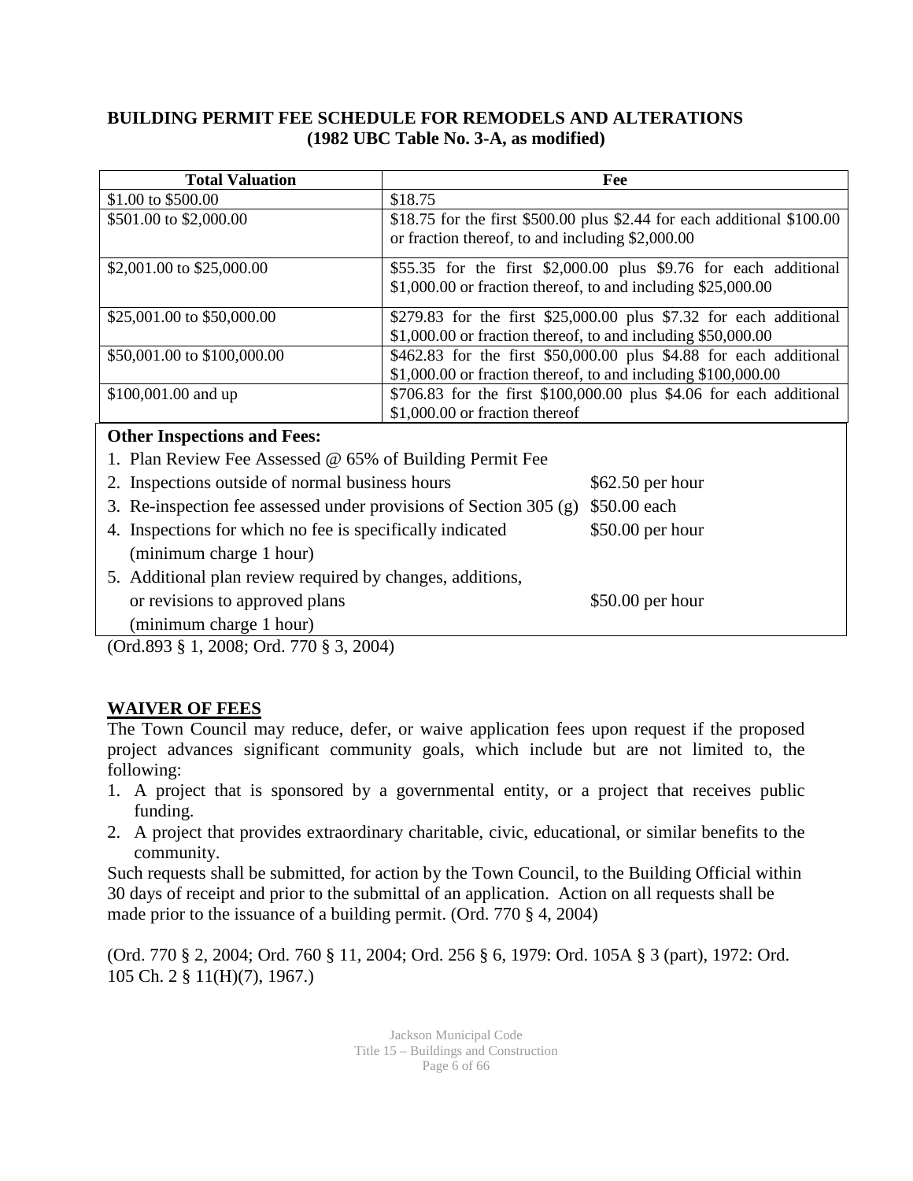#### **BUILDING PERMIT FEE SCHEDULE FOR REMODELS AND ALTERATIONS (1982 UBC Table No. 3-A, as modified)**

| <b>Total Valuation</b>                                                                                                                            | Fee                                                                                                                                   |  |  |
|---------------------------------------------------------------------------------------------------------------------------------------------------|---------------------------------------------------------------------------------------------------------------------------------------|--|--|
| \$1.00 to \$500.00                                                                                                                                | \$18.75                                                                                                                               |  |  |
| \$501.00 to \$2,000.00                                                                                                                            | \$18.75 for the first \$500.00 plus \$2.44 for each additional \$100.00<br>or fraction thereof, to and including \$2,000.00           |  |  |
| \$2,001.00 to \$25,000.00                                                                                                                         | \$55.35 for the first \$2,000.00 plus \$9.76 for each additional<br>$$1,000.00$ or fraction thereof, to and including $$25,000.00$    |  |  |
| \$25,001.00 to \$50,000.00                                                                                                                        | \$279.83 for the first \$25,000.00 plus \$7.32 for each additional<br>\$1,000.00 or fraction thereof, to and including \$50,000.00    |  |  |
| \$50,001.00 to \$100,000.00                                                                                                                       | \$462.83 for the first \$50,000.00 plus \$4.88 for each additional<br>$$1,000.00$ or fraction thereof, to and including $$100,000.00$ |  |  |
| \$100,001.00 and up                                                                                                                               | \$706.83 for the first \$100,000.00 plus \$4.06 for each additional<br>\$1,000.00 or fraction thereof                                 |  |  |
| <b>Other Inspections and Fees:</b>                                                                                                                |                                                                                                                                       |  |  |
| 1. Plan Review Fee Assessed @ 65% of Building Permit Fee                                                                                          |                                                                                                                                       |  |  |
| 2. Inspections outside of normal business hours                                                                                                   | \$62.50 per hour                                                                                                                      |  |  |
| 3. Re-inspection fee assessed under provisions of Section 305 (g)                                                                                 | \$50.00 each                                                                                                                          |  |  |
| 4. Inspections for which no fee is specifically indicated<br>(minimum charge 1 hour)<br>5. Additional plan review required by changes, additions, | $$50.00$ per hour                                                                                                                     |  |  |
| or revisions to approved plans                                                                                                                    | $$50.00$ per hour                                                                                                                     |  |  |

 (minimum charge 1 hour) (Ord.893 § 1, 2008; Ord. 770 § 3, 2004)

### **WAIVER OF FEES**

The Town Council may reduce, defer, or waive application fees upon request if the proposed project advances significant community goals, which include but are not limited to, the following:

- 1. A project that is sponsored by a governmental entity, or a project that receives public funding.
- 2. A project that provides extraordinary charitable, civic, educational, or similar benefits to the community.

Such requests shall be submitted, for action by the Town Council, to the Building Official within 30 days of receipt and prior to the submittal of an application. Action on all requests shall be made prior to the issuance of a building permit. (Ord. 770 § 4, 2004)

(Ord. 770 § 2, 2004; Ord. 760 § 11, 2004; Ord. 256 § 6, 1979: Ord. 105A § 3 (part), 1972: Ord. 105 Ch. 2 § 11(H)(7), 1967.)

> Jackson Municipal Code Title 15 – Buildings and Construction Page 6 of 66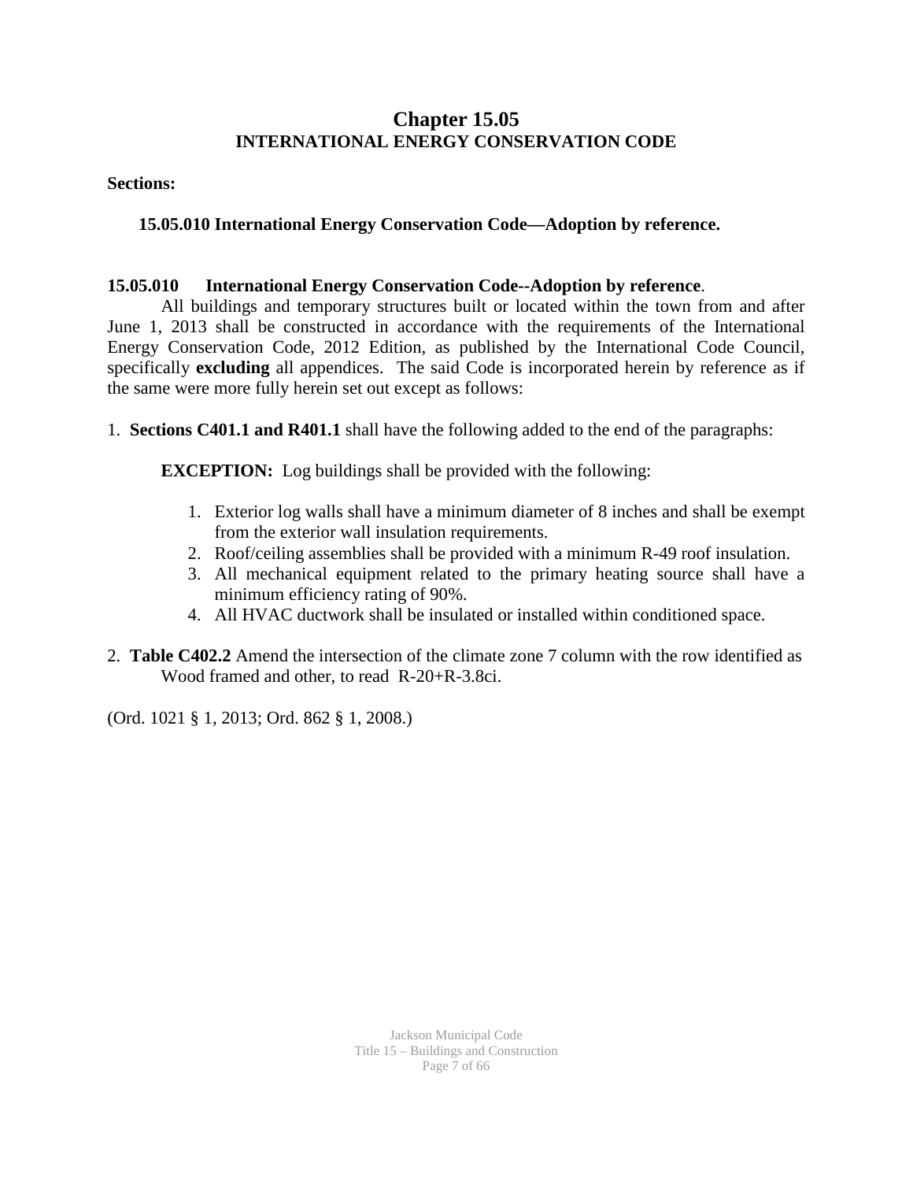### **Chapter 15.05 INTERNATIONAL ENERGY CONSERVATION CODE**

#### **Sections:**

### **15.05.010 International Energy Conservation Code—Adoption by reference.**

### **15.05.010 International Energy Conservation Code--Adoption by reference**.

All buildings and temporary structures built or located within the town from and after June 1, 2013 shall be constructed in accordance with the requirements of the International Energy Conservation Code, 2012 Edition, as published by the International Code Council, specifically **excluding** all appendices. The said Code is incorporated herein by reference as if the same were more fully herein set out except as follows:

1. **Sections C401.1 and R401.1** shall have the following added to the end of the paragraphs:

**EXCEPTION:** Log buildings shall be provided with the following:

- 1. Exterior log walls shall have a minimum diameter of 8 inches and shall be exempt from the exterior wall insulation requirements.
- 2. Roof/ceiling assemblies shall be provided with a minimum R-49 roof insulation.
- 3. All mechanical equipment related to the primary heating source shall have a minimum efficiency rating of 90%.
- 4. All HVAC ductwork shall be insulated or installed within conditioned space.
- 2. **Table C402.2** Amend the intersection of the climate zone 7 column with the row identified as Wood framed and other, to read R-20+R-3.8ci.

(Ord. 1021 § 1, 2013; Ord. 862 § 1, 2008.)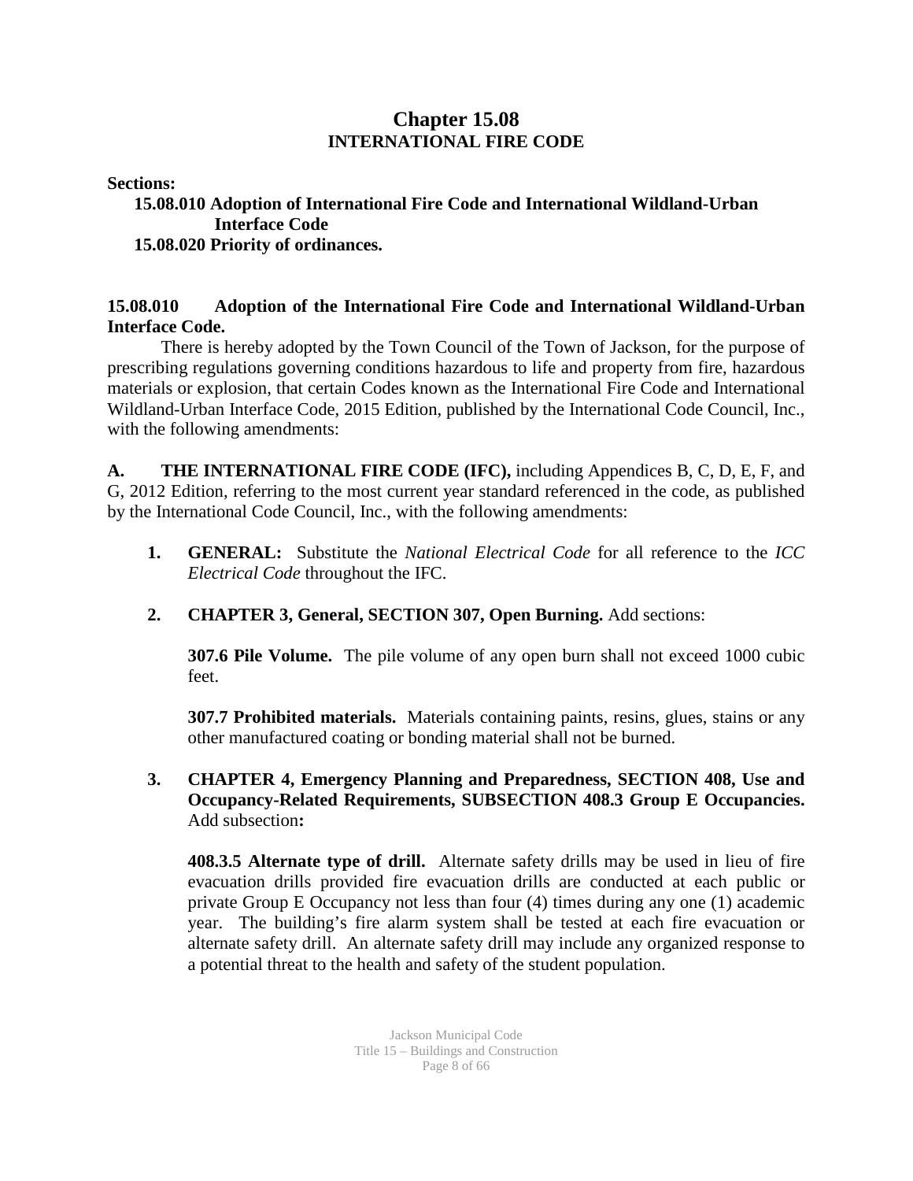### **Chapter 15.08 INTERNATIONAL FIRE CODE**

**Sections:** 

### **15.08.010 Adoption of International Fire Code and International Wildland-Urban Interface Code 15.08.020 Priority of ordinances.**

### **15.08.010 Adoption of the International Fire Code and International Wildland-Urban Interface Code.**

There is hereby adopted by the Town Council of the Town of Jackson, for the purpose of prescribing regulations governing conditions hazardous to life and property from fire, hazardous materials or explosion, that certain Codes known as the International Fire Code and International Wildland-Urban Interface Code, 2015 Edition, published by the International Code Council, Inc., with the following amendments:

**A. THE INTERNATIONAL FIRE CODE (IFC),** including Appendices B, C, D, E, F, and G, 2012 Edition, referring to the most current year standard referenced in the code, as published by the International Code Council, Inc., with the following amendments:

- **1. GENERAL:** Substitute the *National Electrical Code* for all reference to the *ICC Electrical Code* throughout the IFC.
- **2. CHAPTER 3, General, SECTION 307, Open Burning.** Add sections:

**307.6 Pile Volume.** The pile volume of any open burn shall not exceed 1000 cubic feet.

**307.7 Prohibited materials.** Materials containing paints, resins, glues, stains or any other manufactured coating or bonding material shall not be burned.

**3. CHAPTER 4, Emergency Planning and Preparedness, SECTION 408, Use and Occupancy-Related Requirements, SUBSECTION 408.3 Group E Occupancies.**  Add subsection**:**

**408.3.5 Alternate type of drill.** Alternate safety drills may be used in lieu of fire evacuation drills provided fire evacuation drills are conducted at each public or private Group E Occupancy not less than four (4) times during any one (1) academic year. The building's fire alarm system shall be tested at each fire evacuation or alternate safety drill. An alternate safety drill may include any organized response to a potential threat to the health and safety of the student population.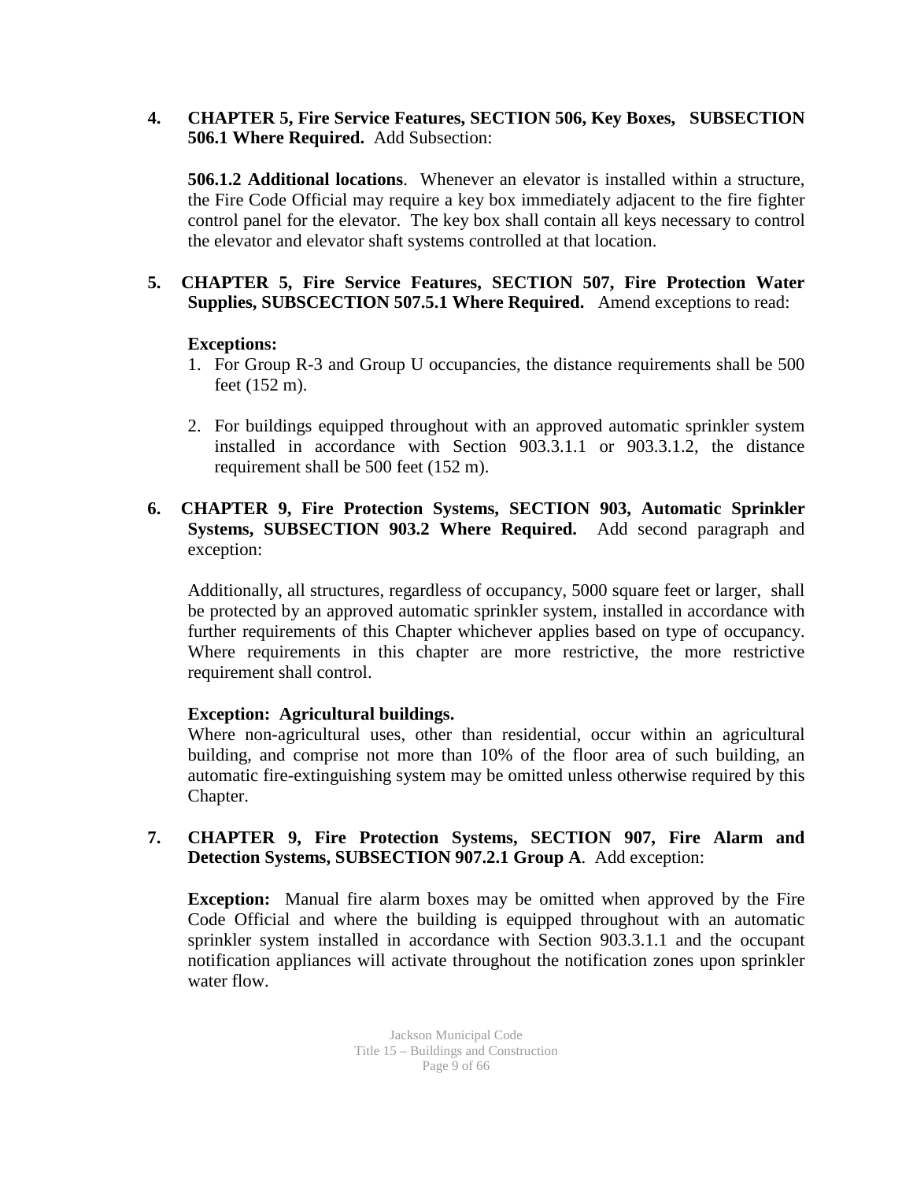**4. CHAPTER 5, Fire Service Features, SECTION 506, Key Boxes, SUBSECTION 506.1 Where Required.** Add Subsection:

**506.1.2 Additional locations**. Whenever an elevator is installed within a structure, the Fire Code Official may require a key box immediately adjacent to the fire fighter control panel for the elevator. The key box shall contain all keys necessary to control the elevator and elevator shaft systems controlled at that location.

#### **5. CHAPTER 5, Fire Service Features, SECTION 507, Fire Protection Water Supplies, SUBSCECTION 507.5.1 Where Required.** Amend exceptions to read:

#### **Exceptions:**

- 1. For Group R-3 and Group U occupancies, the distance requirements shall be 500 feet (152 m).
- 2. For buildings equipped throughout with an approved automatic sprinkler system installed in accordance with Section 903.3.1.1 or 903.3.1.2, the distance requirement shall be 500 feet (152 m).

#### **6. CHAPTER 9, Fire Protection Systems, SECTION 903, Automatic Sprinkler Systems, SUBSECTION 903.2 Where Required.** Add second paragraph and exception:

Additionally, all structures, regardless of occupancy, 5000 square feet or larger, shall be protected by an approved automatic sprinkler system, installed in accordance with further requirements of this Chapter whichever applies based on type of occupancy. Where requirements in this chapter are more restrictive, the more restrictive requirement shall control.

### **Exception: Agricultural buildings.**

Where non-agricultural uses, other than residential, occur within an agricultural building, and comprise not more than 10% of the floor area of such building, an automatic fire-extinguishing system may be omitted unless otherwise required by this Chapter.

### **7. CHAPTER 9, Fire Protection Systems, SECTION 907, Fire Alarm and Detection Systems, SUBSECTION 907.2.1 Group A**. Add exception:

**Exception:** Manual fire alarm boxes may be omitted when approved by the Fire Code Official and where the building is equipped throughout with an automatic sprinkler system installed in accordance with Section 903.3.1.1 and the occupant notification appliances will activate throughout the notification zones upon sprinkler water flow.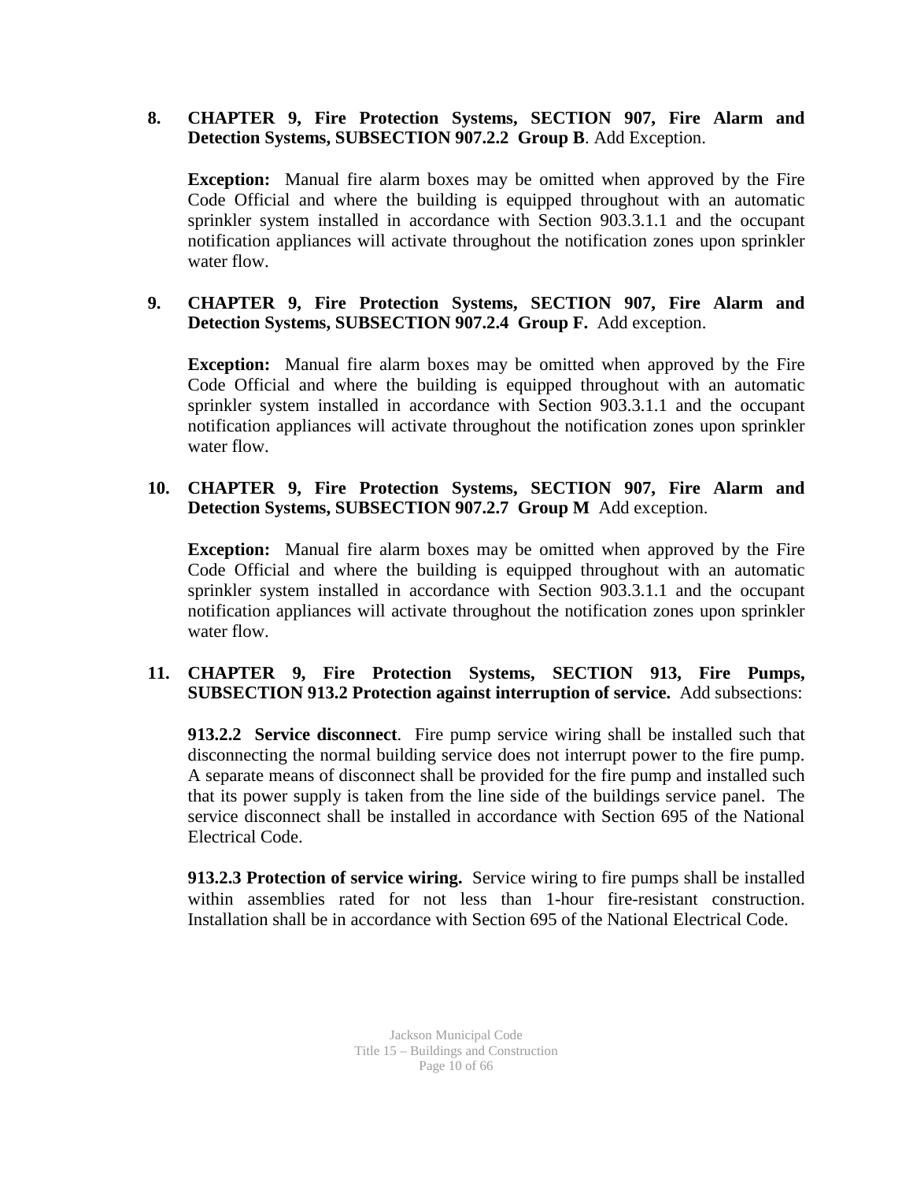### **8. CHAPTER 9, Fire Protection Systems, SECTION 907, Fire Alarm and Detection Systems, SUBSECTION 907.2.2 Group B**. Add Exception.

**Exception:** Manual fire alarm boxes may be omitted when approved by the Fire Code Official and where the building is equipped throughout with an automatic sprinkler system installed in accordance with Section 903.3.1.1 and the occupant notification appliances will activate throughout the notification zones upon sprinkler water flow.

### **9. CHAPTER 9, Fire Protection Systems, SECTION 907, Fire Alarm and Detection Systems, SUBSECTION 907.2.4 Group F.** Add exception.

**Exception:** Manual fire alarm boxes may be omitted when approved by the Fire Code Official and where the building is equipped throughout with an automatic sprinkler system installed in accordance with Section 903.3.1.1 and the occupant notification appliances will activate throughout the notification zones upon sprinkler water flow.

### **10. CHAPTER 9, Fire Protection Systems, SECTION 907, Fire Alarm and Detection Systems, SUBSECTION 907.2.7 Group M** Add exception.

**Exception:** Manual fire alarm boxes may be omitted when approved by the Fire Code Official and where the building is equipped throughout with an automatic sprinkler system installed in accordance with Section 903.3.1.1 and the occupant notification appliances will activate throughout the notification zones upon sprinkler water flow.

### **11. CHAPTER 9, Fire Protection Systems, SECTION 913, Fire Pumps, SUBSECTION 913.2 Protection against interruption of service.** Add subsections:

**913.2.2 Service disconnect**. Fire pump service wiring shall be installed such that disconnecting the normal building service does not interrupt power to the fire pump. A separate means of disconnect shall be provided for the fire pump and installed such that its power supply is taken from the line side of the buildings service panel. The service disconnect shall be installed in accordance with Section 695 of the National Electrical Code.

**913.2.3 Protection of service wiring.** Service wiring to fire pumps shall be installed within assemblies rated for not less than 1-hour fire-resistant construction. Installation shall be in accordance with Section 695 of the National Electrical Code.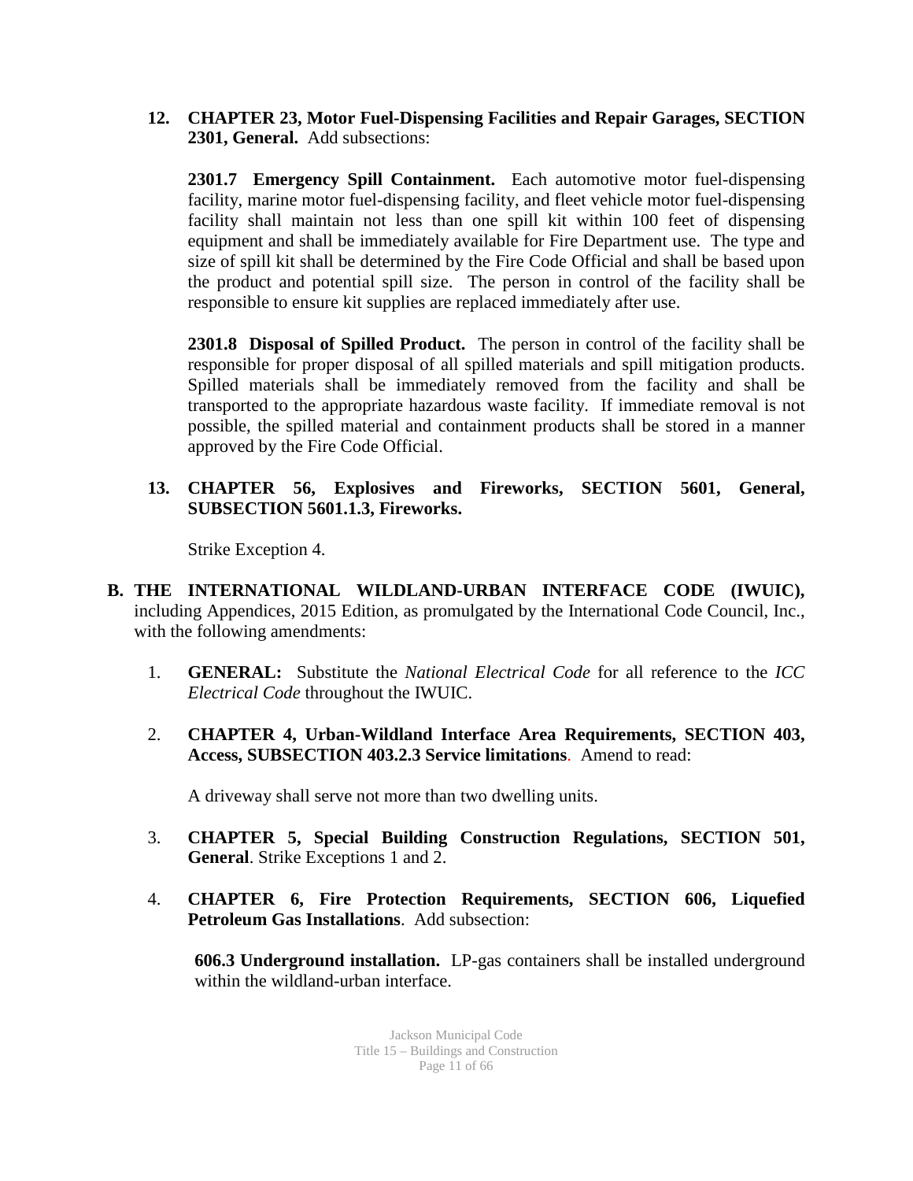**12. CHAPTER 23, Motor Fuel-Dispensing Facilities and Repair Garages, SECTION 2301, General.** Add subsections:

**2301.7 Emergency Spill Containment.** Each automotive motor fuel-dispensing facility, marine motor fuel-dispensing facility, and fleet vehicle motor fuel-dispensing facility shall maintain not less than one spill kit within 100 feet of dispensing equipment and shall be immediately available for Fire Department use. The type and size of spill kit shall be determined by the Fire Code Official and shall be based upon the product and potential spill size. The person in control of the facility shall be responsible to ensure kit supplies are replaced immediately after use.

**2301.8 Disposal of Spilled Product.** The person in control of the facility shall be responsible for proper disposal of all spilled materials and spill mitigation products. Spilled materials shall be immediately removed from the facility and shall be transported to the appropriate hazardous waste facility. If immediate removal is not possible, the spilled material and containment products shall be stored in a manner approved by the Fire Code Official.

**13. CHAPTER 56, Explosives and Fireworks, SECTION 5601, General, SUBSECTION 5601.1.3, Fireworks.**

Strike Exception 4.

- **B. THE INTERNATIONAL WILDLAND-URBAN INTERFACE CODE (IWUIC),** including Appendices, 2015 Edition, as promulgated by the International Code Council, Inc., with the following amendments:
	- 1. **GENERAL:** Substitute the *National Electrical Code* for all reference to the *ICC Electrical Code* throughout the IWUIC.
	- 2. **CHAPTER 4, Urban-Wildland Interface Area Requirements, SECTION 403, Access, SUBSECTION 403.2.3 Service limitations**. Amend to read:

A driveway shall serve not more than two dwelling units.

- 3. **CHAPTER 5, Special Building Construction Regulations, SECTION 501, General**. Strike Exceptions 1 and 2.
- 4. **CHAPTER 6, Fire Protection Requirements, SECTION 606, Liquefied Petroleum Gas Installations**. Add subsection:

**606.3 Underground installation.** LP-gas containers shall be installed underground within the wildland-urban interface.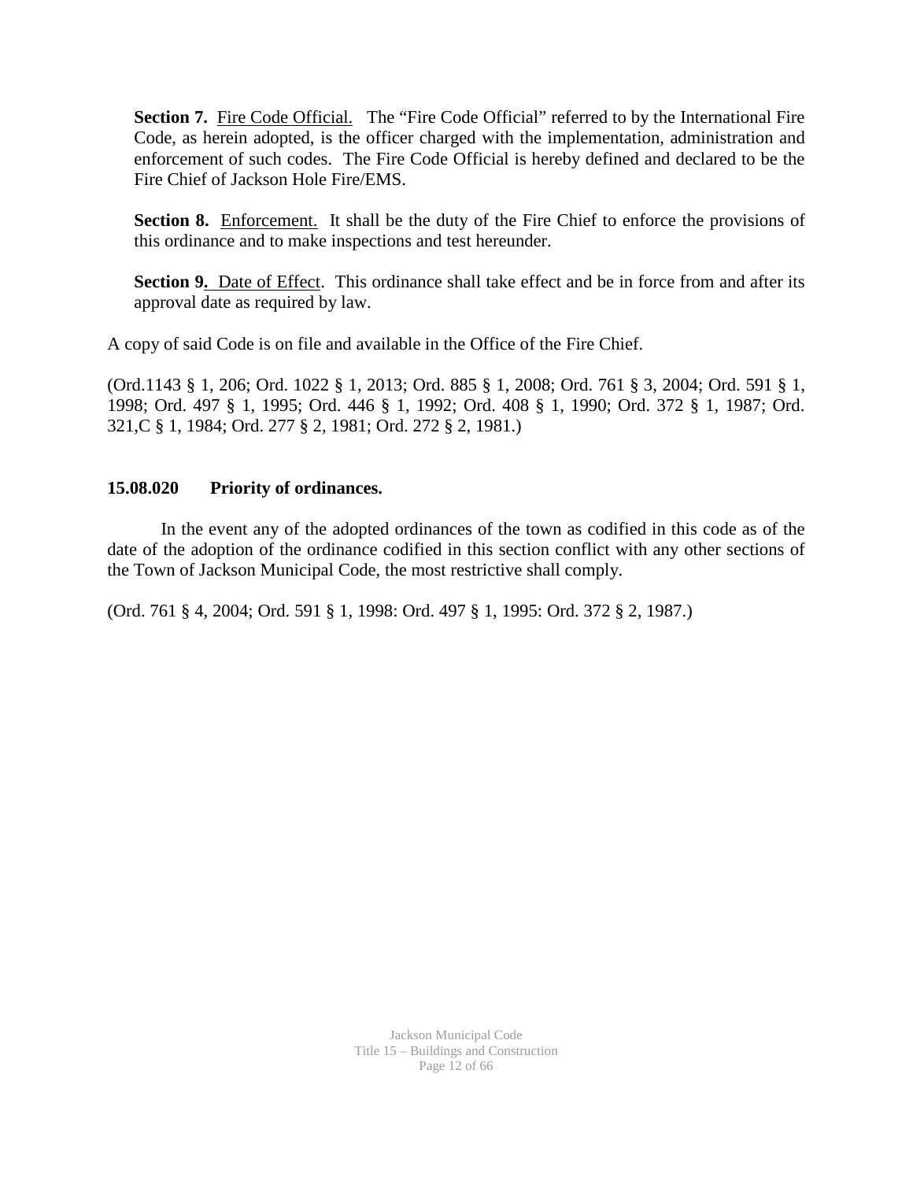Section 7. Fire Code Official. The "Fire Code Official" referred to by the International Fire Code, as herein adopted, is the officer charged with the implementation, administration and enforcement of such codes. The Fire Code Official is hereby defined and declared to be the Fire Chief of Jackson Hole Fire/EMS.

Section 8. Enforcement. It shall be the duty of the Fire Chief to enforce the provisions of this ordinance and to make inspections and test hereunder.

**Section 9.** Date of Effect. This ordinance shall take effect and be in force from and after its approval date as required by law.

A copy of said Code is on file and available in the Office of the Fire Chief.

(Ord.1143 § 1, 206; Ord. 1022 § 1, 2013; Ord. 885 § 1, 2008; Ord. 761 § 3, 2004; Ord. 591 § 1, 1998; Ord. 497 § 1, 1995; Ord. 446 § 1, 1992; Ord. 408 § 1, 1990; Ord. 372 § 1, 1987; Ord. 321,C § 1, 1984; Ord. 277 § 2, 1981; Ord. 272 § 2, 1981.)

### **15.08.020 Priority of ordinances.**

In the event any of the adopted ordinances of the town as codified in this code as of the date of the adoption of the ordinance codified in this section conflict with any other sections of the Town of Jackson Municipal Code, the most restrictive shall comply.

(Ord. 761 § 4, 2004; Ord. 591 § 1, 1998: Ord. 497 § 1, 1995: Ord. 372 § 2, 1987.)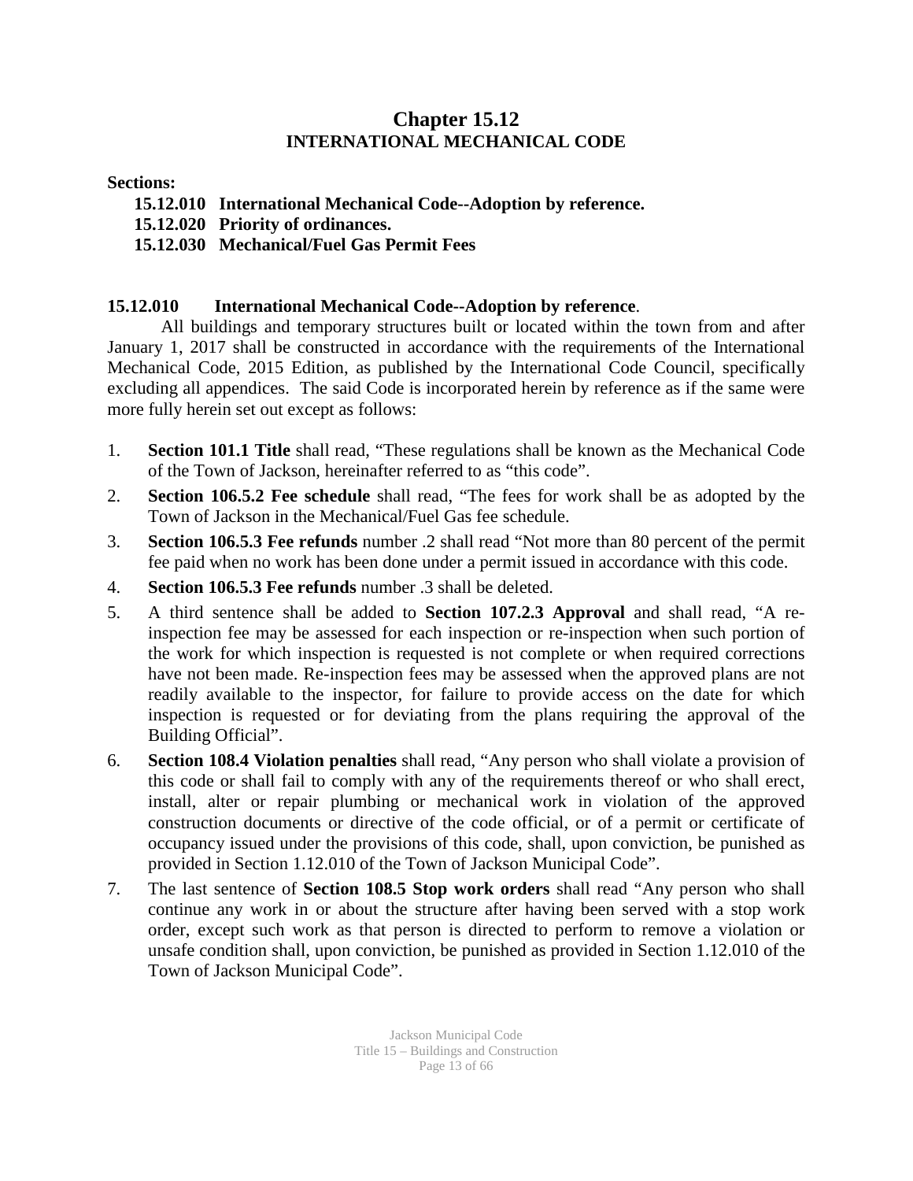### **Chapter 15.12 INTERNATIONAL MECHANICAL CODE**

### **Sections:**

- **15.12.010 International Mechanical Code--Adoption by reference.**
- **15.12.020 Priority of ordinances.**
- **15.12.030 Mechanical/Fuel Gas Permit Fees**

### **15.12.010 International Mechanical Code--Adoption by reference**.

All buildings and temporary structures built or located within the town from and after January 1, 2017 shall be constructed in accordance with the requirements of the International Mechanical Code, 2015 Edition, as published by the International Code Council, specifically excluding all appendices. The said Code is incorporated herein by reference as if the same were more fully herein set out except as follows:

- 1. **Section 101.1 Title** shall read, "These regulations shall be known as the Mechanical Code of the Town of Jackson, hereinafter referred to as "this code".
- 2. **Section 106.5.2 Fee schedule** shall read, "The fees for work shall be as adopted by the Town of Jackson in the Mechanical/Fuel Gas fee schedule.
- 3. **Section 106.5.3 Fee refunds** number .2 shall read "Not more than 80 percent of the permit fee paid when no work has been done under a permit issued in accordance with this code.
- 4. **Section 106.5.3 Fee refunds** number .3 shall be deleted.
- 5. A third sentence shall be added to **Section 107.2.3 Approval** and shall read, "A reinspection fee may be assessed for each inspection or re-inspection when such portion of the work for which inspection is requested is not complete or when required corrections have not been made. Re-inspection fees may be assessed when the approved plans are not readily available to the inspector, for failure to provide access on the date for which inspection is requested or for deviating from the plans requiring the approval of the Building Official".
- 6. **Section 108.4 Violation penalties** shall read, "Any person who shall violate a provision of this code or shall fail to comply with any of the requirements thereof or who shall erect, install, alter or repair plumbing or mechanical work in violation of the approved construction documents or directive of the code official, or of a permit or certificate of occupancy issued under the provisions of this code, shall, upon conviction, be punished as provided in Section 1.12.010 of the Town of Jackson Municipal Code".
- 7. The last sentence of **Section 108.5 Stop work orders** shall read "Any person who shall continue any work in or about the structure after having been served with a stop work order, except such work as that person is directed to perform to remove a violation or unsafe condition shall, upon conviction, be punished as provided in Section 1.12.010 of the Town of Jackson Municipal Code".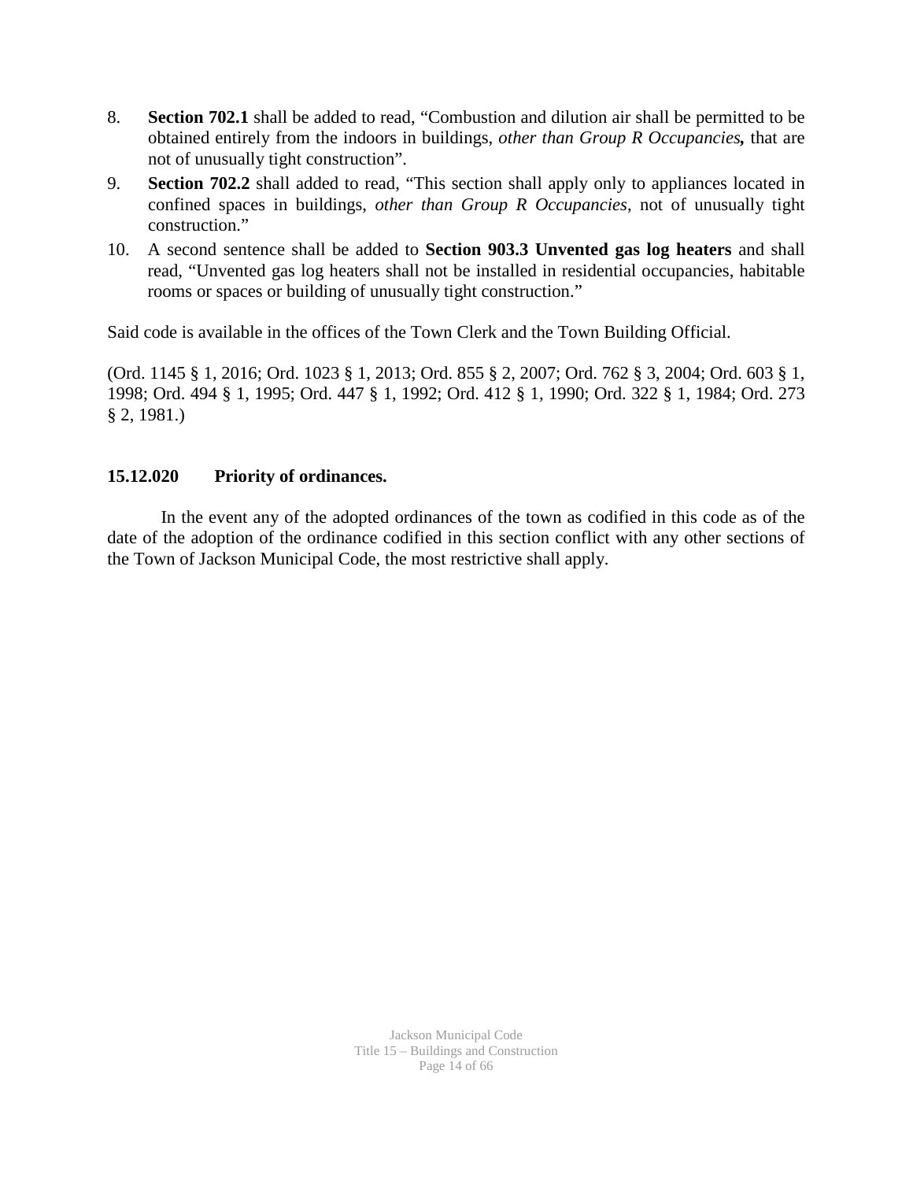- 8. **Section 702.1** shall be added to read, "Combustion and dilution air shall be permitted to be obtained entirely from the indoors in buildings, *other than Group R Occupancies,* that are not of unusually tight construction".
- 9. **Section 702.2** shall added to read, "This section shall apply only to appliances located in confined spaces in buildings, *other than Group R Occupancies*, not of unusually tight construction."
- 10. A second sentence shall be added to **Section 903.3 Unvented gas log heaters** and shall read, "Unvented gas log heaters shall not be installed in residential occupancies, habitable rooms or spaces or building of unusually tight construction."

Said code is available in the offices of the Town Clerk and the Town Building Official.

(Ord. 1145 § 1, 2016; Ord. 1023 § 1, 2013; Ord. 855 § 2, 2007; Ord. 762 § 3, 2004; Ord. 603 § 1, 1998; Ord. 494 § 1, 1995; Ord. 447 § 1, 1992; Ord. 412 § 1, 1990; Ord. 322 § 1, 1984; Ord. 273 § 2, 1981.)

### **15.12.020 Priority of ordinances.**

In the event any of the adopted ordinances of the town as codified in this code as of the date of the adoption of the ordinance codified in this section conflict with any other sections of the Town of Jackson Municipal Code, the most restrictive shall apply.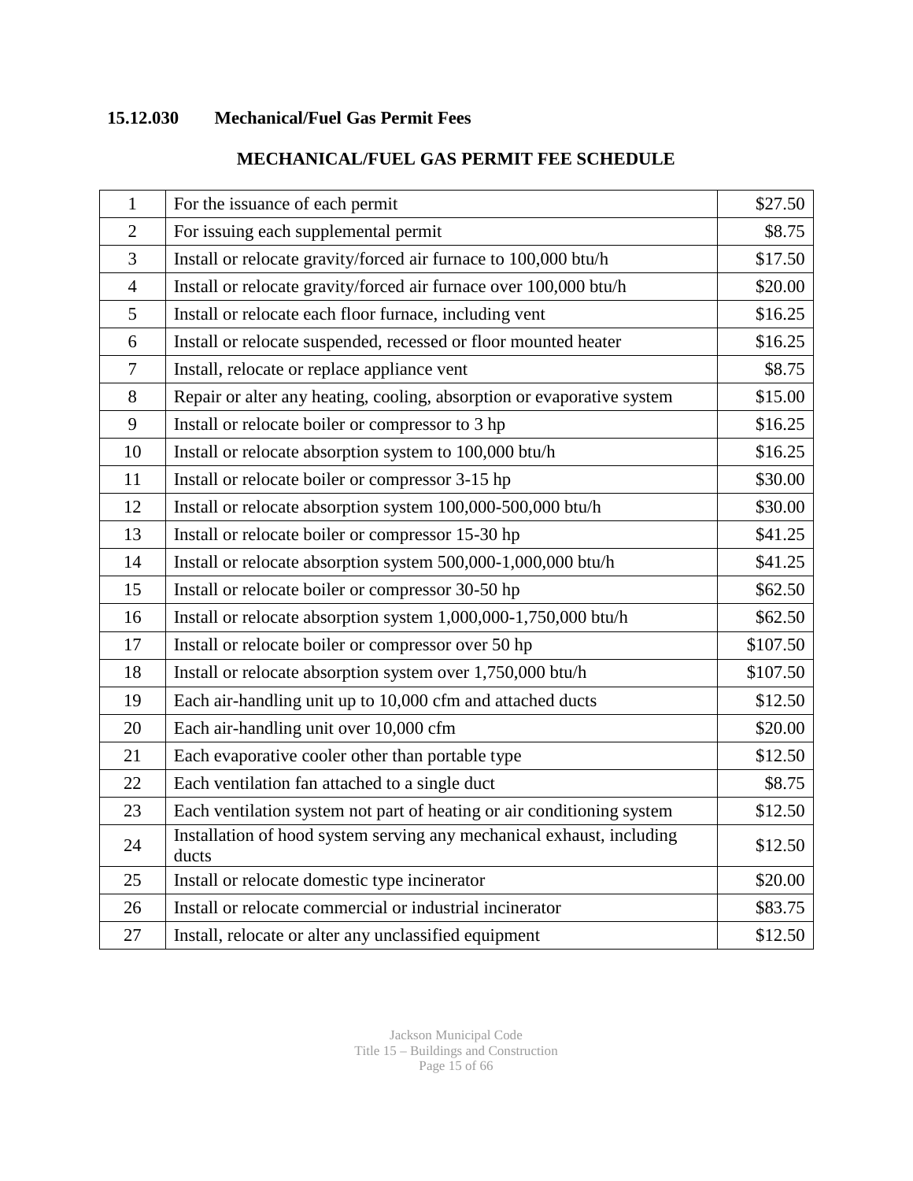### **15.12.030 Mechanical/Fuel Gas Permit Fees**

| $\mathbf{1}$   | For the issuance of each permit                                                | \$27.50  |
|----------------|--------------------------------------------------------------------------------|----------|
| $\overline{2}$ | For issuing each supplemental permit                                           | \$8.75   |
| 3              | Install or relocate gravity/forced air furnace to 100,000 btu/h                | \$17.50  |
| $\overline{4}$ | Install or relocate gravity/forced air furnace over 100,000 btu/h              | \$20.00  |
| 5              | Install or relocate each floor furnace, including vent                         | \$16.25  |
| 6              | Install or relocate suspended, recessed or floor mounted heater                | \$16.25  |
| $\tau$         | Install, relocate or replace appliance vent                                    | \$8.75   |
| 8              | Repair or alter any heating, cooling, absorption or evaporative system         | \$15.00  |
| 9              | Install or relocate boiler or compressor to 3 hp                               | \$16.25  |
| 10             | Install or relocate absorption system to 100,000 btu/h                         | \$16.25  |
| 11             | Install or relocate boiler or compressor 3-15 hp                               | \$30.00  |
| 12             | Install or relocate absorption system 100,000-500,000 btu/h                    | \$30.00  |
| 13             | Install or relocate boiler or compressor 15-30 hp                              | \$41.25  |
| 14             | Install or relocate absorption system 500,000-1,000,000 btu/h                  | \$41.25  |
| 15             | Install or relocate boiler or compressor 30-50 hp                              | \$62.50  |
| 16             | Install or relocate absorption system 1,000,000-1,750,000 btu/h                | \$62.50  |
| 17             | Install or relocate boiler or compressor over 50 hp                            | \$107.50 |
| 18             | Install or relocate absorption system over 1,750,000 btu/h                     | \$107.50 |
| 19             | Each air-handling unit up to 10,000 cfm and attached ducts                     | \$12.50  |
| 20             | Each air-handling unit over 10,000 cfm                                         | \$20.00  |
| 21             | Each evaporative cooler other than portable type                               | \$12.50  |
| 22             | Each ventilation fan attached to a single duct                                 | \$8.75   |
| 23             | Each ventilation system not part of heating or air conditioning system         | \$12.50  |
| 24             | Installation of hood system serving any mechanical exhaust, including<br>ducts | \$12.50  |
| 25             | Install or relocate domestic type incinerator                                  | \$20.00  |
| 26             | Install or relocate commercial or industrial incinerator                       | \$83.75  |
| 27             | Install, relocate or alter any unclassified equipment                          | \$12.50  |

### **MECHANICAL/FUEL GAS PERMIT FEE SCHEDULE**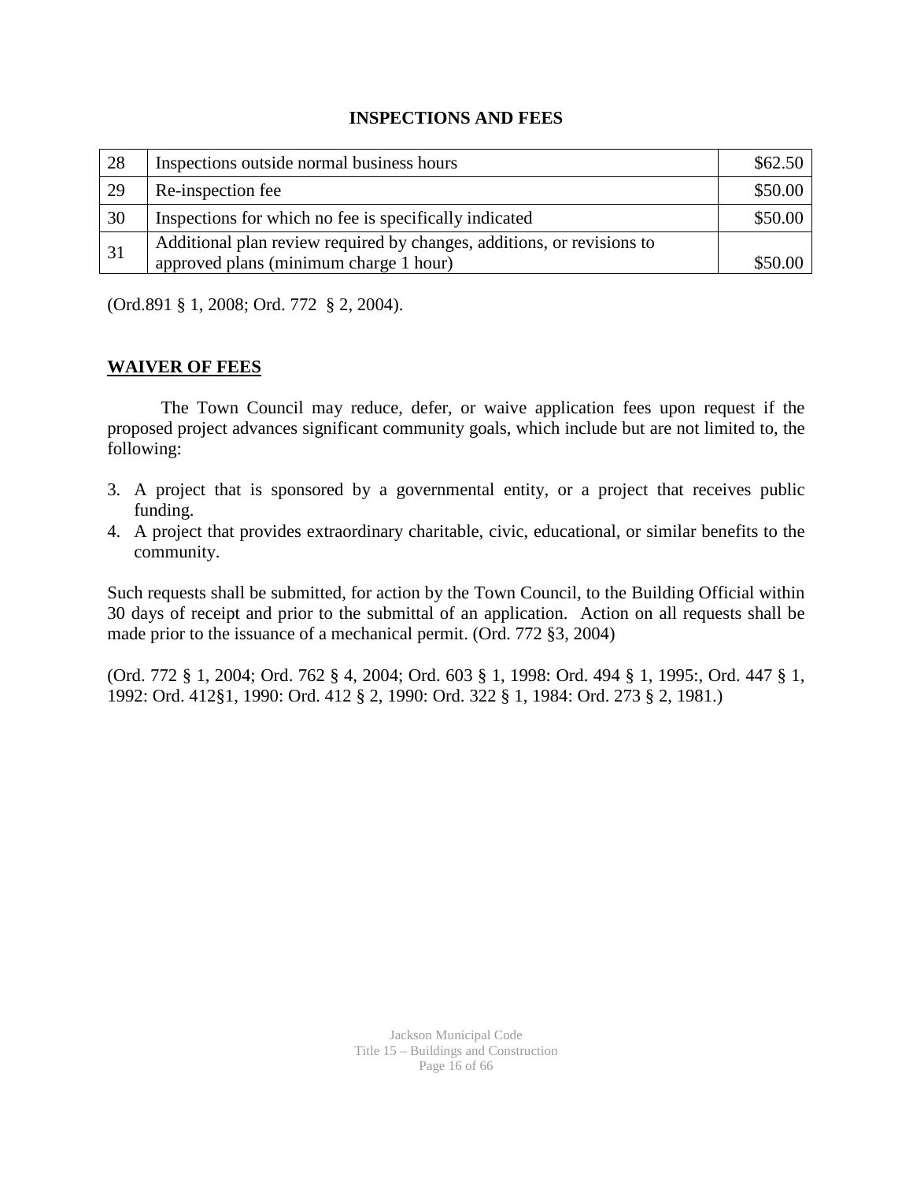#### **INSPECTIONS AND FEES**

| 28 | Inspections outside normal business hours                              | \$62.50 |
|----|------------------------------------------------------------------------|---------|
| 29 | Re-inspection fee                                                      | \$50.00 |
| 30 | Inspections for which no fee is specifically indicated                 | \$50.00 |
| 31 | Additional plan review required by changes, additions, or revisions to |         |
|    | approved plans (minimum charge 1 hour)                                 | \$50.00 |

(Ord.891 § 1, 2008; Ord. 772 § 2, 2004).

### **WAIVER OF FEES**

The Town Council may reduce, defer, or waive application fees upon request if the proposed project advances significant community goals, which include but are not limited to, the following:

- 3. A project that is sponsored by a governmental entity, or a project that receives public funding.
- 4. A project that provides extraordinary charitable, civic, educational, or similar benefits to the community.

Such requests shall be submitted, for action by the Town Council, to the Building Official within 30 days of receipt and prior to the submittal of an application. Action on all requests shall be made prior to the issuance of a mechanical permit. (Ord. 772 §3, 2004)

(Ord. 772 § 1, 2004; Ord. 762 § 4, 2004; Ord. 603 § 1, 1998: Ord. 494 § 1, 1995:, Ord. 447 § 1, 1992: Ord. 412§1, 1990: Ord. 412 § 2, 1990: Ord. 322 § 1, 1984: Ord. 273 § 2, 1981.)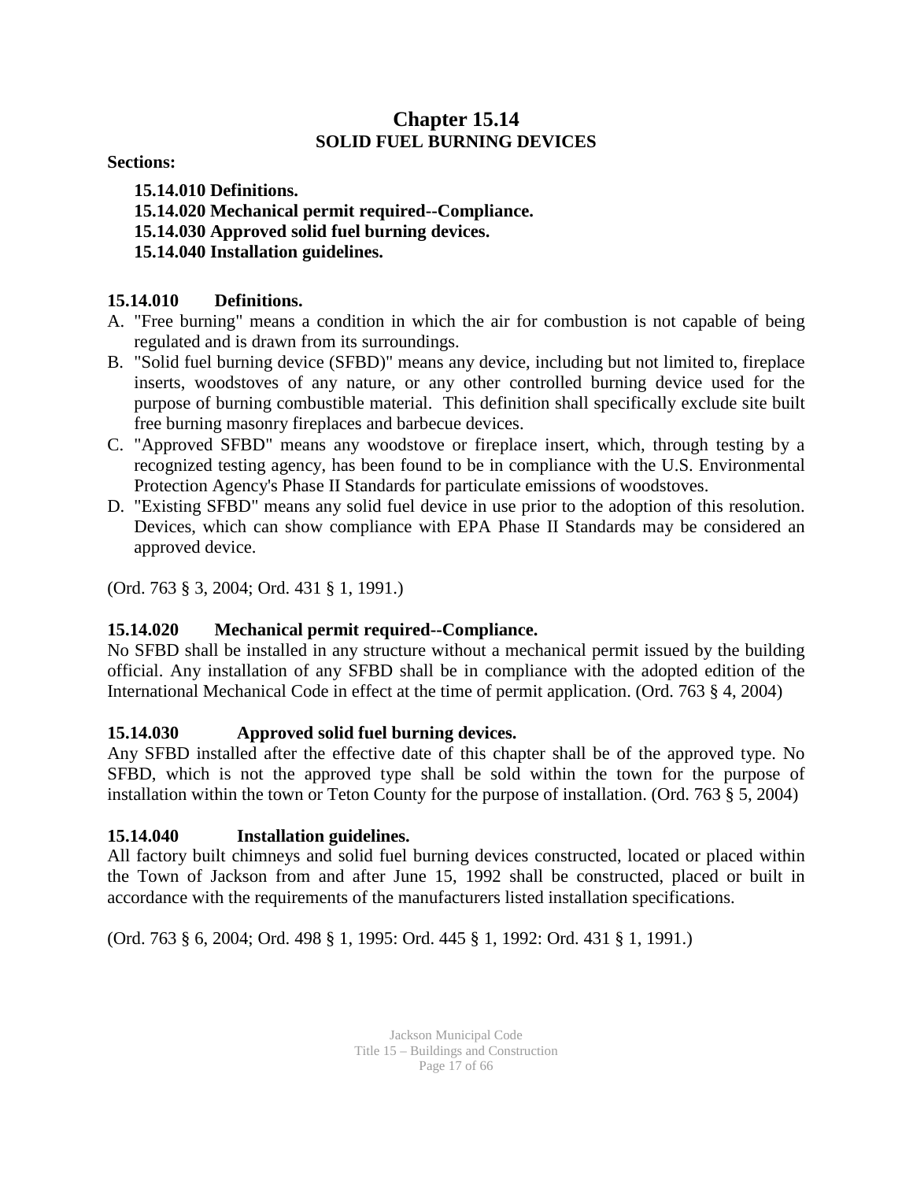### **Chapter 15.14 SOLID FUEL BURNING DEVICES**

**Sections:** 

**15.14.010 Definitions. 15.14.020 Mechanical permit required--Compliance. 15.14.030 Approved solid fuel burning devices. 15.14.040 Installation guidelines.**

### **15.14.010 Definitions.**

- A. "Free burning" means a condition in which the air for combustion is not capable of being regulated and is drawn from its surroundings.
- B. "Solid fuel burning device (SFBD)" means any device, including but not limited to, fireplace inserts, woodstoves of any nature, or any other controlled burning device used for the purpose of burning combustible material. This definition shall specifically exclude site built free burning masonry fireplaces and barbecue devices.
- C. "Approved SFBD" means any woodstove or fireplace insert, which, through testing by a recognized testing agency, has been found to be in compliance with the U.S. Environmental Protection Agency's Phase II Standards for particulate emissions of woodstoves.
- D. "Existing SFBD" means any solid fuel device in use prior to the adoption of this resolution. Devices, which can show compliance with EPA Phase II Standards may be considered an approved device.

(Ord. 763 § 3, 2004; Ord. 431 § 1, 1991.)

### **15.14.020 Mechanical permit required--Compliance.**

No SFBD shall be installed in any structure without a mechanical permit issued by the building official. Any installation of any SFBD shall be in compliance with the adopted edition of the International Mechanical Code in effect at the time of permit application. (Ord. 763 § 4, 2004)

### **15.14.030 Approved solid fuel burning devices.**

Any SFBD installed after the effective date of this chapter shall be of the approved type. No SFBD, which is not the approved type shall be sold within the town for the purpose of installation within the town or Teton County for the purpose of installation. (Ord. 763 § 5, 2004)

### **15.14.040 Installation guidelines.**

All factory built chimneys and solid fuel burning devices constructed, located or placed within the Town of Jackson from and after June 15, 1992 shall be constructed, placed or built in accordance with the requirements of the manufacturers listed installation specifications.

(Ord. 763 § 6, 2004; Ord. 498 § 1, 1995: Ord. 445 § 1, 1992: Ord. 431 § 1, 1991.)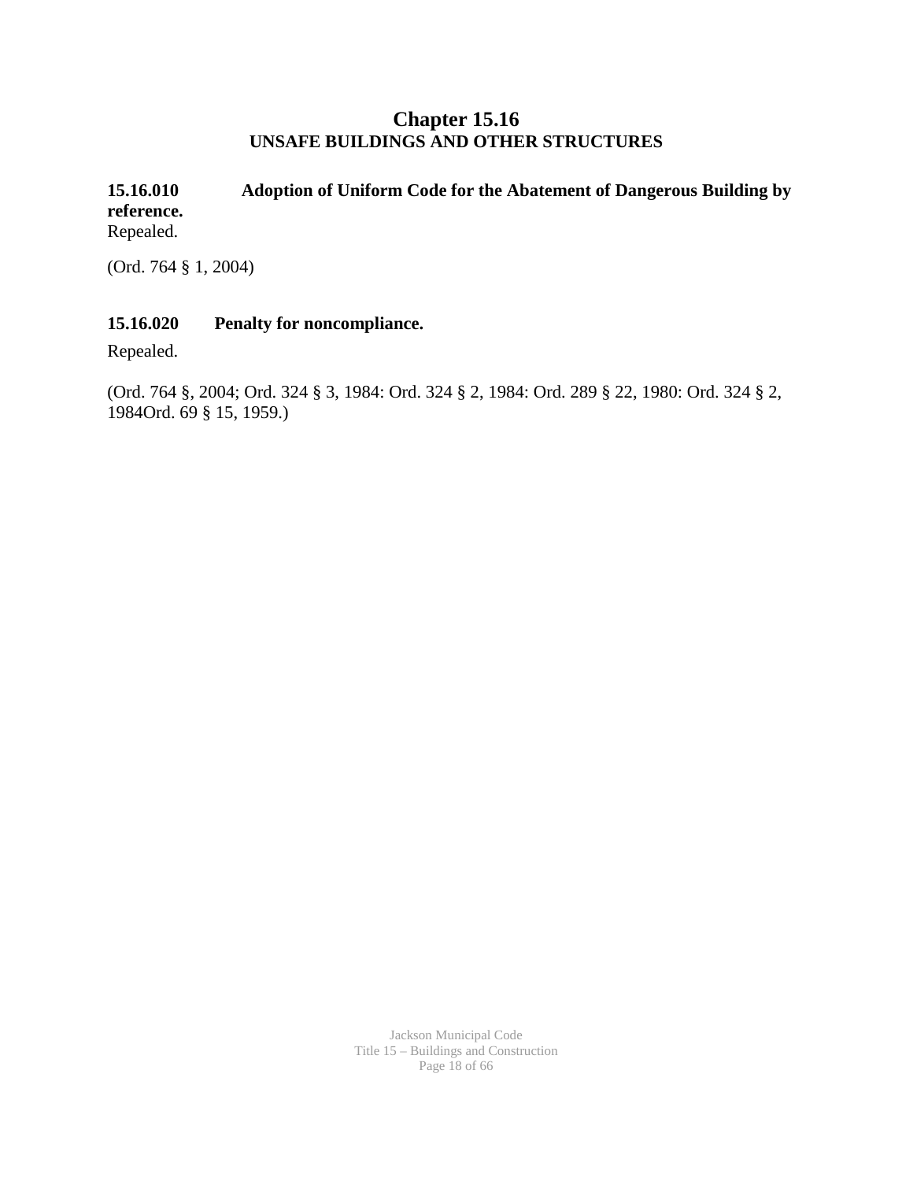### **Chapter 15.16 UNSAFE BUILDINGS AND OTHER STRUCTURES**

**15.16.010 Adoption of Uniform Code for the Abatement of Dangerous Building by reference.** Repealed.

(Ord. 764 § 1, 2004)

### **15.16.020 Penalty for noncompliance.**

Repealed.

(Ord. 764 §, 2004; Ord. 324 § 3, 1984: Ord. 324 § 2, 1984: Ord. 289 § 22, 1980: Ord. 324 § 2, 1984Ord. 69 § 15, 1959.)

> Jackson Municipal Code Title 15 – Buildings and Construction Page 18 of 66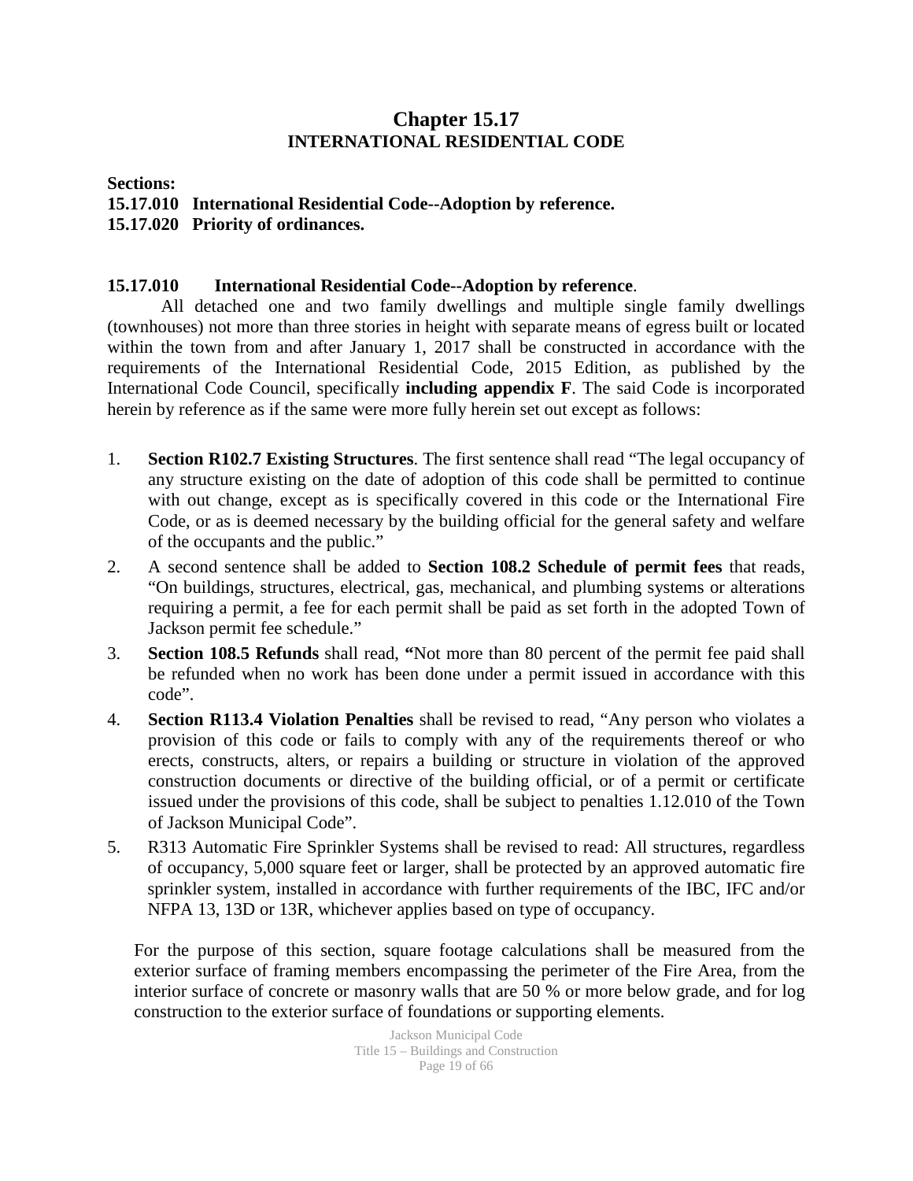### **Chapter 15.17 INTERNATIONAL RESIDENTIAL CODE**

**Sections:** 

- **15.17.010 International Residential Code--Adoption by reference.**
- **15.17.020 Priority of ordinances.**

### **15.17.010 International Residential Code--Adoption by reference**.

All detached one and two family dwellings and multiple single family dwellings (townhouses) not more than three stories in height with separate means of egress built or located within the town from and after January 1, 2017 shall be constructed in accordance with the requirements of the International Residential Code, 2015 Edition, as published by the International Code Council, specifically **including appendix F**. The said Code is incorporated herein by reference as if the same were more fully herein set out except as follows:

- 1. **Section R102.7 Existing Structures**. The first sentence shall read "The legal occupancy of any structure existing on the date of adoption of this code shall be permitted to continue with out change, except as is specifically covered in this code or the International Fire Code, or as is deemed necessary by the building official for the general safety and welfare of the occupants and the public."
- 2. A second sentence shall be added to **Section 108.2 Schedule of permit fees** that reads, "On buildings, structures, electrical, gas, mechanical, and plumbing systems or alterations requiring a permit, a fee for each permit shall be paid as set forth in the adopted Town of Jackson permit fee schedule."
- 3. **Section 108.5 Refunds** shall read, **"**Not more than 80 percent of the permit fee paid shall be refunded when no work has been done under a permit issued in accordance with this code".
- 4. **Section R113.4 Violation Penalties** shall be revised to read, "Any person who violates a provision of this code or fails to comply with any of the requirements thereof or who erects, constructs, alters, or repairs a building or structure in violation of the approved construction documents or directive of the building official, or of a permit or certificate issued under the provisions of this code, shall be subject to penalties 1.12.010 of the Town of Jackson Municipal Code".
- 5. R313 Automatic Fire Sprinkler Systems shall be revised to read: All structures, regardless of occupancy, 5,000 square feet or larger, shall be protected by an approved automatic fire sprinkler system, installed in accordance with further requirements of the IBC, IFC and/or NFPA 13, 13D or 13R, whichever applies based on type of occupancy.

For the purpose of this section, square footage calculations shall be measured from the exterior surface of framing members encompassing the perimeter of the Fire Area, from the interior surface of concrete or masonry walls that are 50 % or more below grade, and for log construction to the exterior surface of foundations or supporting elements.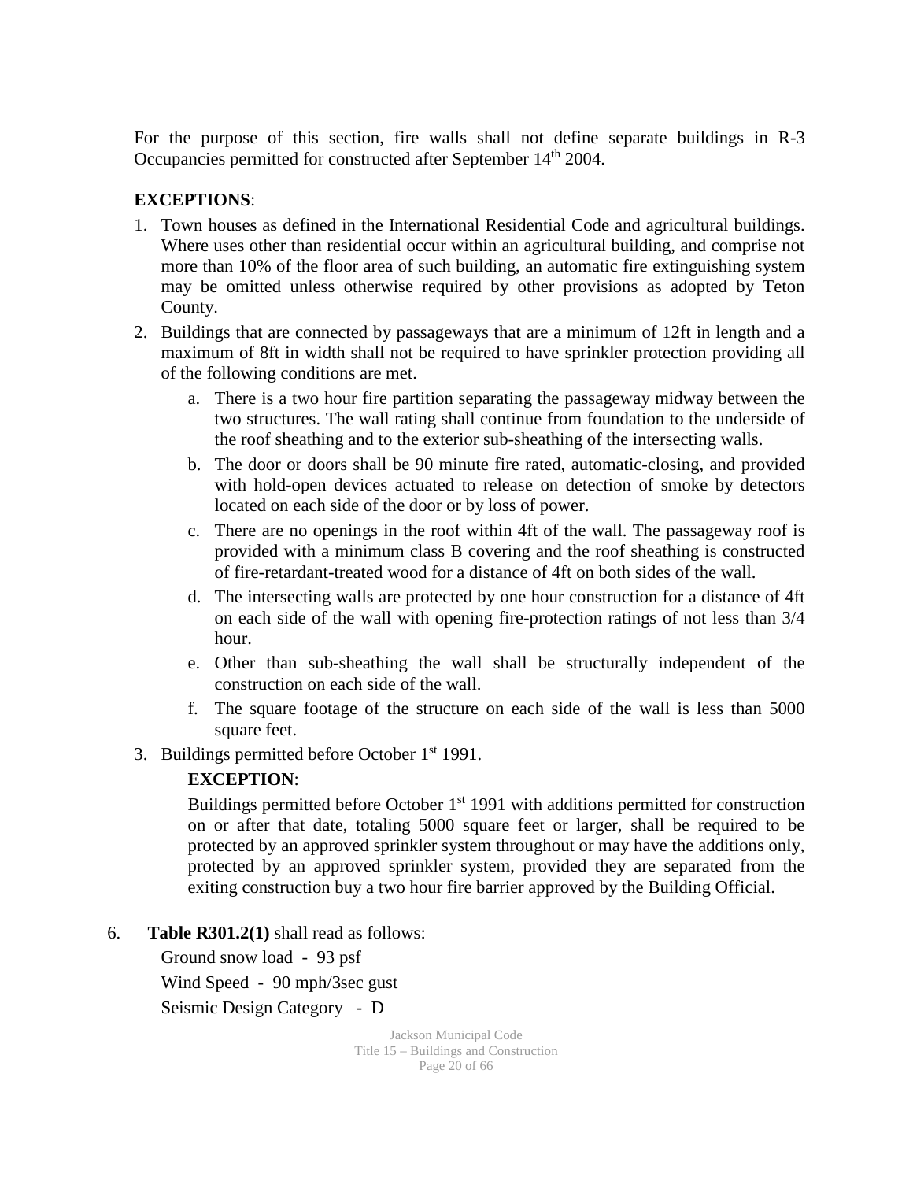For the purpose of this section, fire walls shall not define separate buildings in R-3 Occupancies permitted for constructed after September 14<sup>th</sup> 2004.

### **EXCEPTIONS**:

- 1. Town houses as defined in the International Residential Code and agricultural buildings. Where uses other than residential occur within an agricultural building, and comprise not more than 10% of the floor area of such building, an automatic fire extinguishing system may be omitted unless otherwise required by other provisions as adopted by Teton County.
- 2. Buildings that are connected by passageways that are a minimum of 12ft in length and a maximum of 8ft in width shall not be required to have sprinkler protection providing all of the following conditions are met.
	- a. There is a two hour fire partition separating the passageway midway between the two structures. The wall rating shall continue from foundation to the underside of the roof sheathing and to the exterior sub-sheathing of the intersecting walls.
	- b. The door or doors shall be 90 minute fire rated, automatic-closing, and provided with hold-open devices actuated to release on detection of smoke by detectors located on each side of the door or by loss of power.
	- c. There are no openings in the roof within 4ft of the wall. The passageway roof is provided with a minimum class B covering and the roof sheathing is constructed of fire-retardant-treated wood for a distance of 4ft on both sides of the wall.
	- d. The intersecting walls are protected by one hour construction for a distance of 4ft on each side of the wall with opening fire-protection ratings of not less than 3/4 hour.
	- e. Other than sub-sheathing the wall shall be structurally independent of the construction on each side of the wall.
	- f. The square footage of the structure on each side of the wall is less than 5000 square feet.
- 3. Buildings permitted before October 1<sup>st</sup> 1991.

### **EXCEPTION**:

Buildings permitted before October  $1<sup>st</sup>$  1991 with additions permitted for construction on or after that date, totaling 5000 square feet or larger, shall be required to be protected by an approved sprinkler system throughout or may have the additions only, protected by an approved sprinkler system, provided they are separated from the exiting construction buy a two hour fire barrier approved by the Building Official.

6. **Table R301.2(1)** shall read as follows:

Ground snow load - 93 psf Wind Speed - 90 mph/3sec gust Seismic Design Category - D

> Jackson Municipal Code Title 15 – Buildings and Construction Page 20 of 66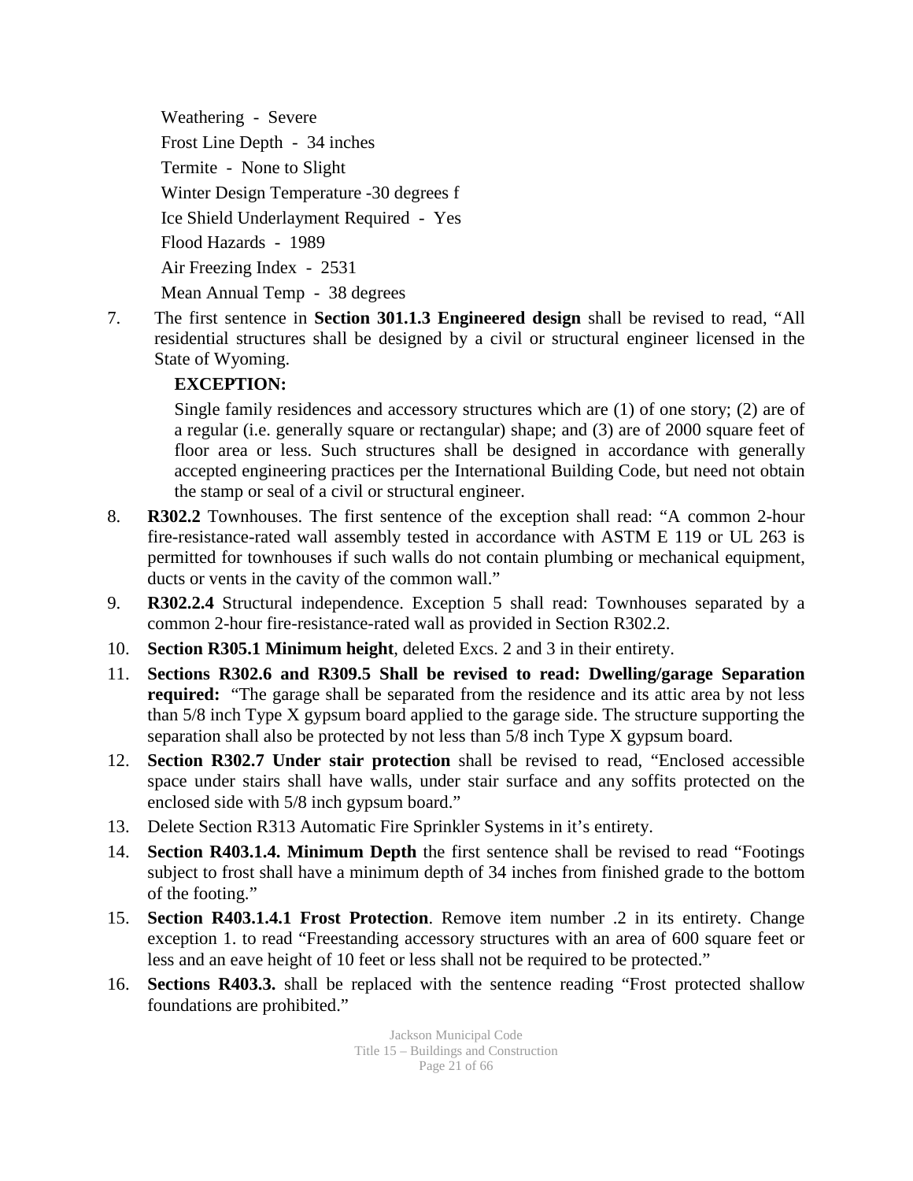Weathering - Severe Frost Line Depth - 34 inches Termite - None to Slight Winter Design Temperature -30 degrees f Ice Shield Underlayment Required - Yes Flood Hazards - 1989 Air Freezing Index - 2531 Mean Annual Temp - 38 degrees

7. The first sentence in **Section 301.1.3 Engineered design** shall be revised to read, "All residential structures shall be designed by a civil or structural engineer licensed in the State of Wyoming.

### **EXCEPTION:**

Single family residences and accessory structures which are (1) of one story; (2) are of a regular (i.e. generally square or rectangular) shape; and (3) are of 2000 square feet of floor area or less. Such structures shall be designed in accordance with generally accepted engineering practices per the International Building Code, but need not obtain the stamp or seal of a civil or structural engineer.

- 8. **R302.2** Townhouses. The first sentence of the exception shall read: "A common 2-hour fire-resistance-rated wall assembly tested in accordance with ASTM E 119 or UL 263 is permitted for townhouses if such walls do not contain plumbing or mechanical equipment, ducts or vents in the cavity of the common wall."
- 9. **R302.2.4** Structural independence. Exception 5 shall read: Townhouses separated by a common 2-hour fire-resistance-rated wall as provided in Section R302.2.
- 10. **Section R305.1 Minimum height**, deleted Excs. 2 and 3 in their entirety.
- 11. **Sections R302.6 and R309.5 Shall be revised to read: Dwelling/garage Separation required:** "The garage shall be separated from the residence and its attic area by not less than 5/8 inch Type X gypsum board applied to the garage side. The structure supporting the separation shall also be protected by not less than 5/8 inch Type X gypsum board.
- 12. **Section R302.7 Under stair protection** shall be revised to read, "Enclosed accessible space under stairs shall have walls, under stair surface and any soffits protected on the enclosed side with 5/8 inch gypsum board."
- 13. Delete Section R313 Automatic Fire Sprinkler Systems in it's entirety.
- 14. **Section R403.1.4. Minimum Depth** the first sentence shall be revised to read "Footings subject to frost shall have a minimum depth of 34 inches from finished grade to the bottom of the footing."
- 15. **Section R403.1.4.1 Frost Protection**. Remove item number .2 in its entirety. Change exception 1. to read "Freestanding accessory structures with an area of 600 square feet or less and an eave height of 10 feet or less shall not be required to be protected."
- 16. **Sections R403.3.** shall be replaced with the sentence reading "Frost protected shallow foundations are prohibited."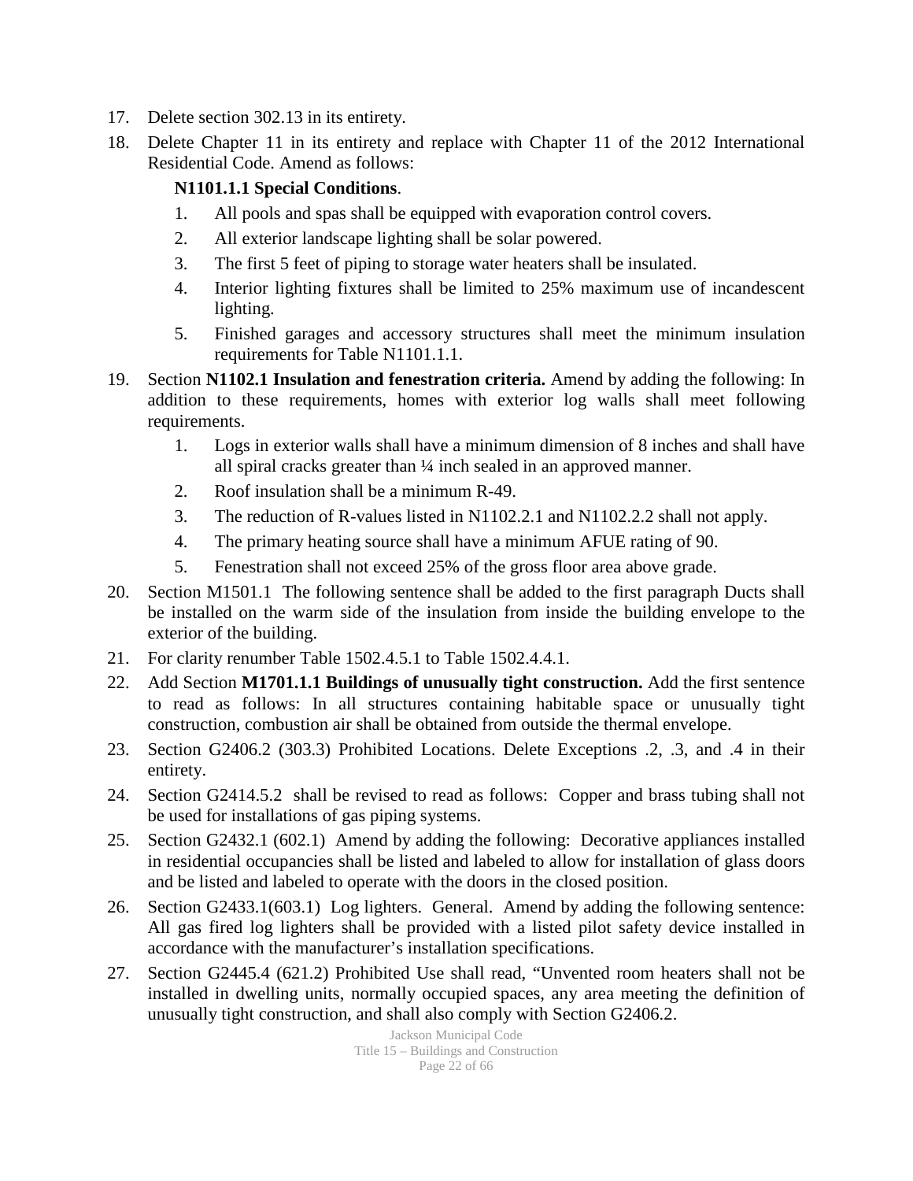- 17. Delete section 302.13 in its entirety.
- 18. Delete Chapter 11 in its entirety and replace with Chapter 11 of the 2012 International Residential Code. Amend as follows:

### **N1101.1.1 Special Conditions**.

- 1. All pools and spas shall be equipped with evaporation control covers.
- 2. All exterior landscape lighting shall be solar powered.
- 3. The first 5 feet of piping to storage water heaters shall be insulated.
- 4. Interior lighting fixtures shall be limited to 25% maximum use of incandescent lighting.
- 5. Finished garages and accessory structures shall meet the minimum insulation requirements for Table N1101.1.1.
- 19. Section **N1102.1 Insulation and fenestration criteria.** Amend by adding the following: In addition to these requirements, homes with exterior log walls shall meet following requirements.
	- 1. Logs in exterior walls shall have a minimum dimension of 8 inches and shall have all spiral cracks greater than ¼ inch sealed in an approved manner.
	- 2. Roof insulation shall be a minimum R-49.
	- 3. The reduction of R-values listed in N1102.2.1 and N1102.2.2 shall not apply.
	- 4. The primary heating source shall have a minimum AFUE rating of 90.
	- 5. Fenestration shall not exceed 25% of the gross floor area above grade.
- 20. Section M1501.1 The following sentence shall be added to the first paragraph Ducts shall be installed on the warm side of the insulation from inside the building envelope to the exterior of the building.
- 21. For clarity renumber Table 1502.4.5.1 to Table 1502.4.4.1.
- 22. Add Section **M1701.1.1 Buildings of unusually tight construction.** Add the first sentence to read as follows: In all structures containing habitable space or unusually tight construction, combustion air shall be obtained from outside the thermal envelope.
- 23. Section G2406.2 (303.3) Prohibited Locations. Delete Exceptions .2, .3, and .4 in their entirety.
- 24. Section G2414.5.2 shall be revised to read as follows: Copper and brass tubing shall not be used for installations of gas piping systems.
- 25. Section G2432.1 (602.1) Amend by adding the following: Decorative appliances installed in residential occupancies shall be listed and labeled to allow for installation of glass doors and be listed and labeled to operate with the doors in the closed position.
- 26. Section G2433.1(603.1) Log lighters. General. Amend by adding the following sentence: All gas fired log lighters shall be provided with a listed pilot safety device installed in accordance with the manufacturer's installation specifications.
- 27. Section G2445.4 (621.2) Prohibited Use shall read, "Unvented room heaters shall not be installed in dwelling units, normally occupied spaces, any area meeting the definition of unusually tight construction, and shall also comply with Section G2406.2.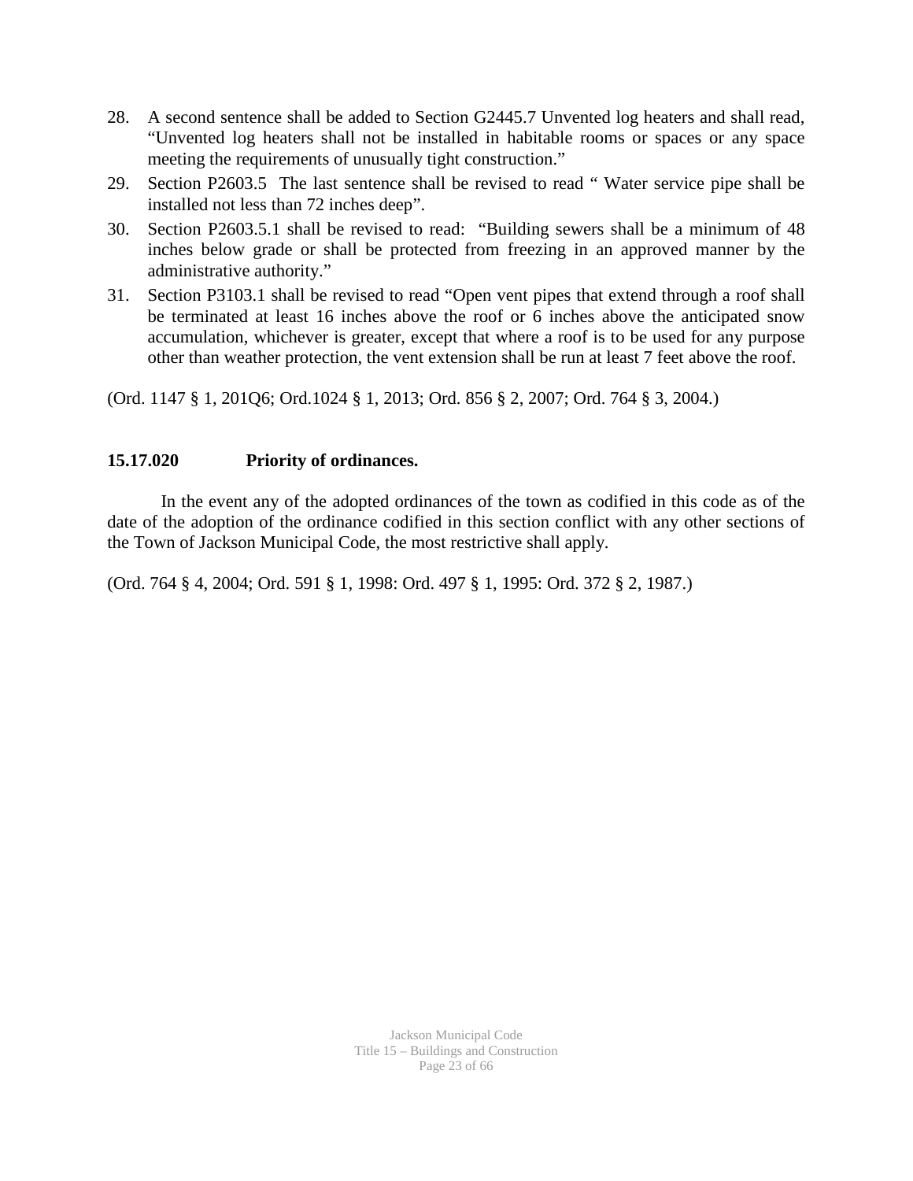- 28. A second sentence shall be added to Section G2445.7 Unvented log heaters and shall read, "Unvented log heaters shall not be installed in habitable rooms or spaces or any space meeting the requirements of unusually tight construction."
- 29. Section P2603.5 The last sentence shall be revised to read " Water service pipe shall be installed not less than 72 inches deep".
- 30. Section P2603.5.1 shall be revised to read: "Building sewers shall be a minimum of 48 inches below grade or shall be protected from freezing in an approved manner by the administrative authority."
- 31. Section P3103.1 shall be revised to read "Open vent pipes that extend through a roof shall be terminated at least 16 inches above the roof or 6 inches above the anticipated snow accumulation, whichever is greater, except that where a roof is to be used for any purpose other than weather protection, the vent extension shall be run at least 7 feet above the roof.

(Ord. 1147 § 1, 201Q6; Ord.1024 § 1, 2013; Ord. 856 § 2, 2007; Ord. 764 § 3, 2004.)

### **15.17.020 Priority of ordinances.**

In the event any of the adopted ordinances of the town as codified in this code as of the date of the adoption of the ordinance codified in this section conflict with any other sections of the Town of Jackson Municipal Code, the most restrictive shall apply.

(Ord. 764 § 4, 2004; Ord. 591 § 1, 1998: Ord. 497 § 1, 1995: Ord. 372 § 2, 1987.)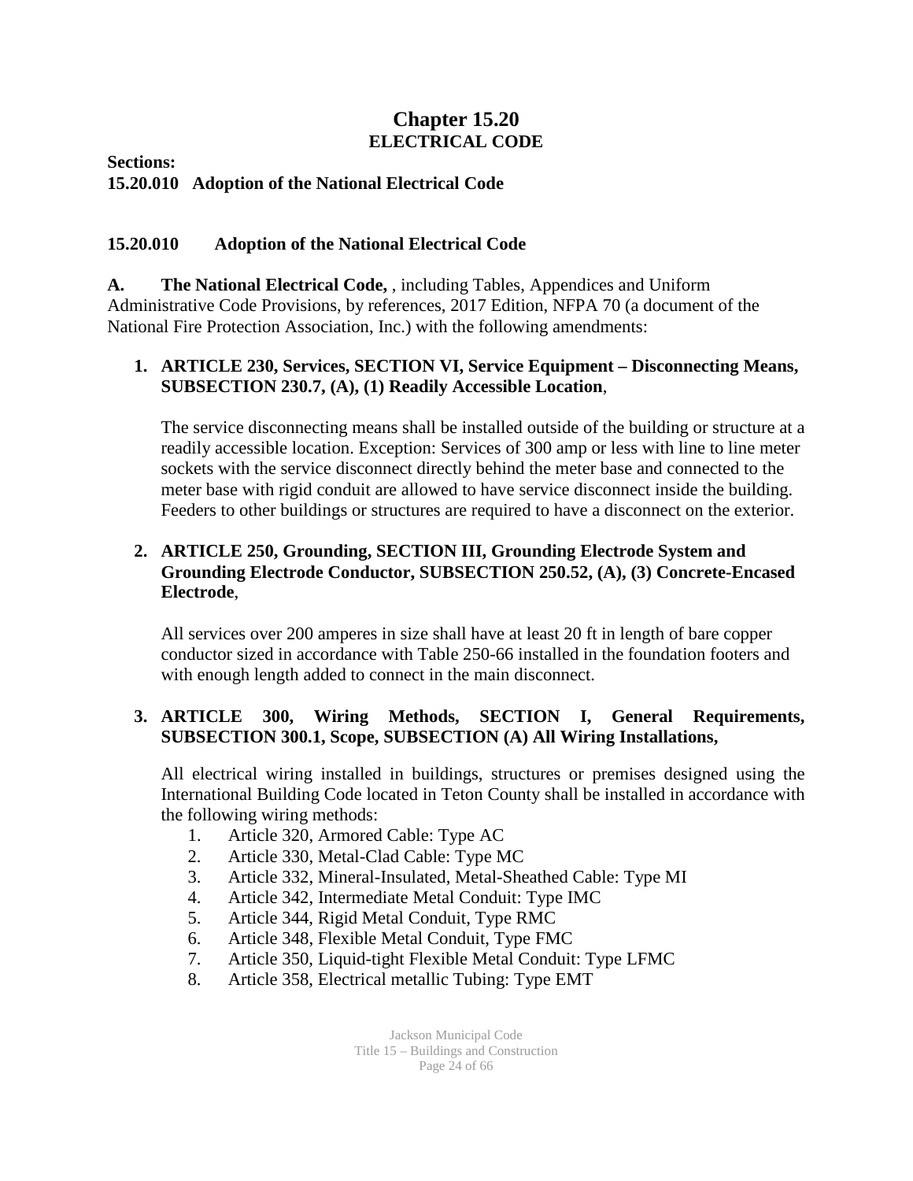### **Chapter 15.20 ELECTRICAL CODE**

**Sections:**

**15.20.010 Adoption of the National Electrical Code**

### **15.20.010 Adoption of the National Electrical Code**

**A. The National Electrical Code,** , including Tables, Appendices and Uniform Administrative Code Provisions, by references, 2017 Edition, NFPA 70 (a document of the National Fire Protection Association, Inc.) with the following amendments:

### **1. ARTICLE 230, Services, SECTION VI, Service Equipment – Disconnecting Means, SUBSECTION 230.7, (A), (1) Readily Accessible Location**,

The service disconnecting means shall be installed outside of the building or structure at a readily accessible location. Exception: Services of 300 amp or less with line to line meter sockets with the service disconnect directly behind the meter base and connected to the meter base with rigid conduit are allowed to have service disconnect inside the building. Feeders to other buildings or structures are required to have a disconnect on the exterior.

### **2. ARTICLE 250, Grounding, SECTION III, Grounding Electrode System and Grounding Electrode Conductor, SUBSECTION 250.52, (A), (3) Concrete-Encased Electrode**,

All services over 200 amperes in size shall have at least 20 ft in length of bare copper conductor sized in accordance with Table 250-66 installed in the foundation footers and with enough length added to connect in the main disconnect.

### **3. ARTICLE 300, Wiring Methods, SECTION I, General Requirements, SUBSECTION 300.1, Scope, SUBSECTION (A) All Wiring Installations,**

All electrical wiring installed in buildings, structures or premises designed using the International Building Code located in Teton County shall be installed in accordance with the following wiring methods:

- 1. Article 320, Armored Cable: Type AC
- 2. Article 330, Metal-Clad Cable: Type MC
- 3. Article 332, Mineral-Insulated, Metal-Sheathed Cable: Type MI
- 4. Article 342, Intermediate Metal Conduit: Type IMC
- 5. Article 344, Rigid Metal Conduit, Type RMC
- 6. Article 348, Flexible Metal Conduit, Type FMC
- 7. Article 350, Liquid-tight Flexible Metal Conduit: Type LFMC
- 8. Article 358, Electrical metallic Tubing: Type EMT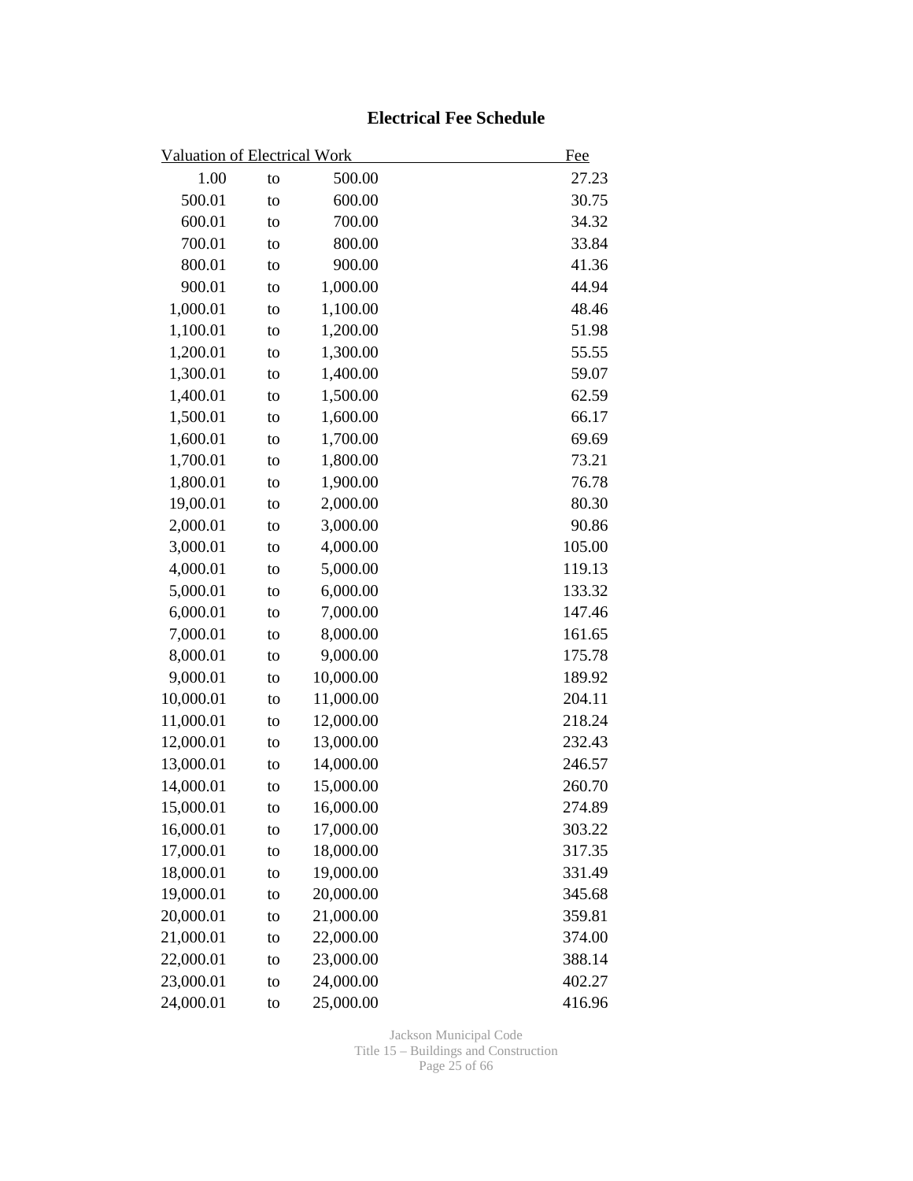### **Electrical Fee Schedule**

| <b>Valuation of Electrical Work</b> |    |           | Fee    |
|-------------------------------------|----|-----------|--------|
| 1.00                                | to | 500.00    | 27.23  |
| 500.01                              | to | 600.00    | 30.75  |
| 600.01                              | to | 700.00    | 34.32  |
| 700.01                              | to | 800.00    | 33.84  |
| 800.01                              | to | 900.00    | 41.36  |
| 900.01                              | to | 1,000.00  | 44.94  |
| 1,000.01                            | to | 1,100.00  | 48.46  |
| 1,100.01                            | to | 1,200.00  | 51.98  |
| 1,200.01                            | to | 1,300.00  | 55.55  |
| 1,300.01                            | to | 1,400.00  | 59.07  |
| 1,400.01                            | to | 1,500.00  | 62.59  |
| 1,500.01                            | to | 1,600.00  | 66.17  |
| 1,600.01                            | to | 1,700.00  | 69.69  |
| 1,700.01                            | to | 1,800.00  | 73.21  |
| 1,800.01                            | to | 1,900.00  | 76.78  |
| 19,00.01                            | to | 2,000.00  | 80.30  |
| 2,000.01                            | to | 3,000.00  | 90.86  |
| 3,000.01                            | to | 4,000.00  | 105.00 |
| 4,000.01                            | to | 5,000.00  | 119.13 |
| 5,000.01                            | to | 6,000.00  | 133.32 |
| 6,000.01                            | to | 7,000.00  | 147.46 |
| 7,000.01                            | to | 8,000.00  | 161.65 |
| 8,000.01                            | to | 9,000.00  | 175.78 |
| 9,000.01                            | to | 10,000.00 | 189.92 |
| 10,000.01                           | to | 11,000.00 | 204.11 |
| 11,000.01                           | to | 12,000.00 | 218.24 |
| 12,000.01                           | to | 13,000.00 | 232.43 |
| 13,000.01                           | to | 14,000.00 | 246.57 |
| 14,000.01                           | to | 15,000.00 | 260.70 |
| 15,000.01                           | to | 16,000.00 | 274.89 |
| 16,000.01                           | to | 17,000.00 | 303.22 |
| 17,000.01                           | to | 18,000.00 | 317.35 |
| 18,000.01                           | to | 19,000.00 | 331.49 |
| 19,000.01                           | to | 20,000.00 | 345.68 |
| 20,000.01                           | to | 21,000.00 | 359.81 |
| 21,000.01                           | to | 22,000.00 | 374.00 |
| 22,000.01                           | to | 23,000.00 | 388.14 |
| 23,000.01                           | to | 24,000.00 | 402.27 |
| 24,000.01                           | to | 25,000.00 | 416.96 |

Jackson Municipal Code Title 15 – Buildings and Construction Page 25 of 66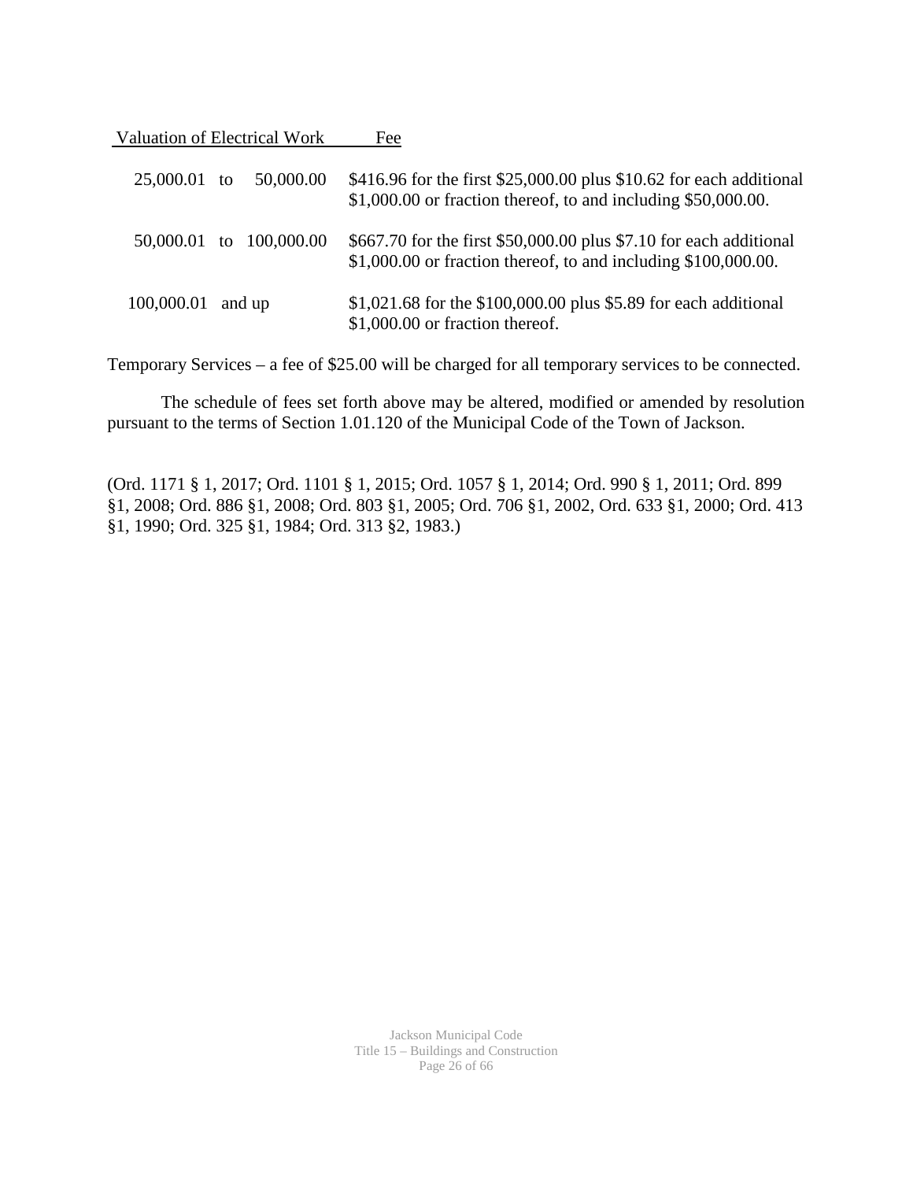Valuation of Electrical Work Fee

| 25,000.01 to | 50,000.00  | \$416.96 for the first \$25,000.00 plus \$10.62 for each additional<br>$$1,000.00$ or fraction thereof, to and including $$50,000.00$ . |
|--------------|------------|-----------------------------------------------------------------------------------------------------------------------------------------|
| 50,000.01 to | 100,000.00 | \$667.70 for the first \$50,000.00 plus \$7.10 for each additional<br>$$1,000.00$ or fraction thereof, to and including $$100,000.00$ . |
| 100,000.01   | and up     | \$1,021.68 for the \$100,000.00 plus \$5.89 for each additional<br>\$1,000.00 or fraction thereof.                                      |

Temporary Services – a fee of \$25.00 will be charged for all temporary services to be connected.

The schedule of fees set forth above may be altered, modified or amended by resolution pursuant to the terms of Section 1.01.120 of the Municipal Code of the Town of Jackson.

(Ord. 1171 § 1, 2017; Ord. 1101 § 1, 2015; Ord. 1057 § 1, 2014; Ord. 990 § 1, 2011; Ord. 899 §1, 2008; Ord. 886 §1, 2008; Ord. 803 §1, 2005; Ord. 706 §1, 2002, Ord. 633 §1, 2000; Ord. 413 §1, 1990; Ord. 325 §1, 1984; Ord. 313 §2, 1983.)

> Jackson Municipal Code Title 15 – Buildings and Construction Page 26 of 66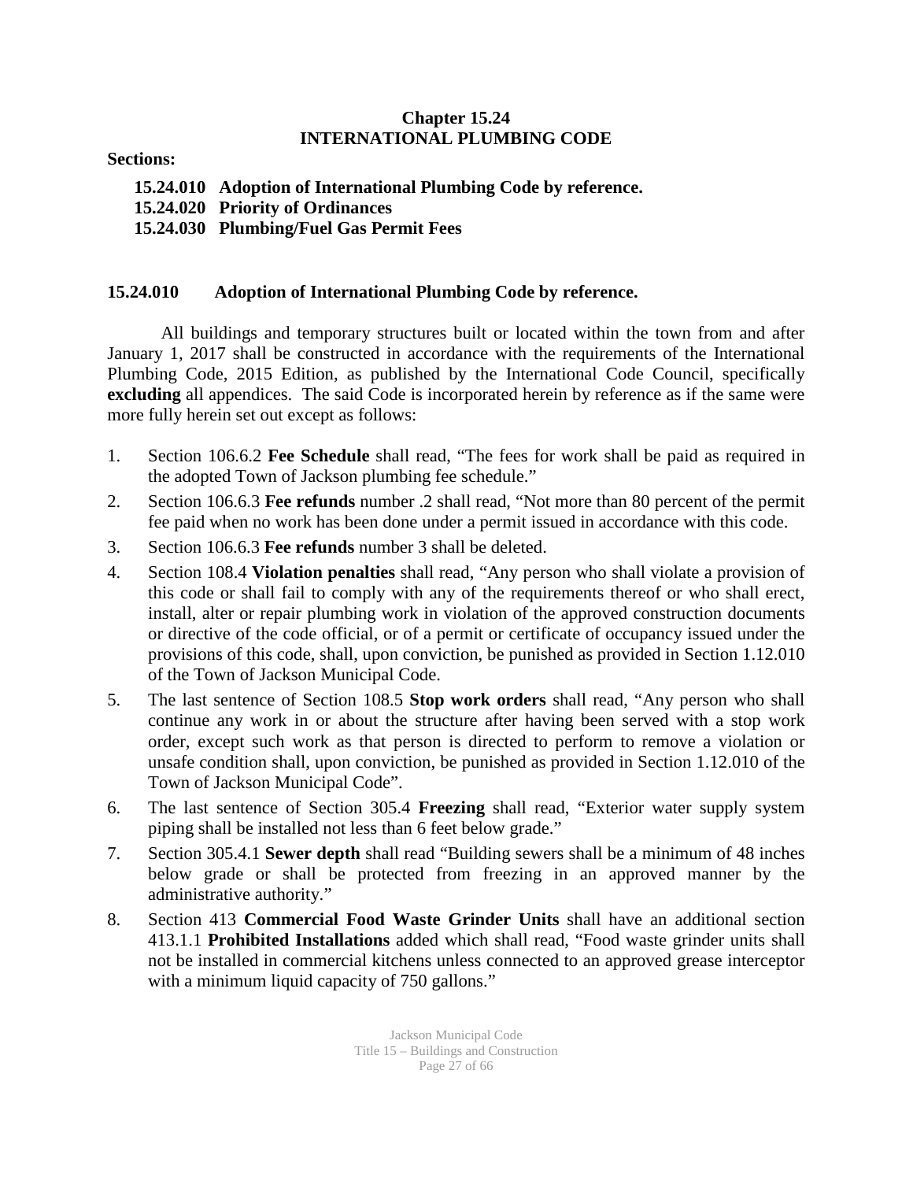### **Chapter 15.24 INTERNATIONAL PLUMBING CODE**

**Sections:** 

**15.24.010 Adoption of International Plumbing Code by reference. 15.24.020 Priority of Ordinances 15.24.030 Plumbing/Fuel Gas Permit Fees**

### **15.24.010 Adoption of International Plumbing Code by reference.**

All buildings and temporary structures built or located within the town from and after January 1, 2017 shall be constructed in accordance with the requirements of the International Plumbing Code, 2015 Edition, as published by the International Code Council, specifically **excluding** all appendices. The said Code is incorporated herein by reference as if the same were more fully herein set out except as follows:

- 1. Section 106.6.2 **Fee Schedule** shall read, "The fees for work shall be paid as required in the adopted Town of Jackson plumbing fee schedule."
- 2. Section 106.6.3 **Fee refunds** number .2 shall read, "Not more than 80 percent of the permit fee paid when no work has been done under a permit issued in accordance with this code.
- 3. Section 106.6.3 **Fee refunds** number 3 shall be deleted.
- 4. Section 108.4 **Violation penalties** shall read, "Any person who shall violate a provision of this code or shall fail to comply with any of the requirements thereof or who shall erect, install, alter or repair plumbing work in violation of the approved construction documents or directive of the code official, or of a permit or certificate of occupancy issued under the provisions of this code, shall, upon conviction, be punished as provided in Section 1.12.010 of the Town of Jackson Municipal Code.
- 5. The last sentence of Section 108.5 **Stop work orders** shall read, "Any person who shall continue any work in or about the structure after having been served with a stop work order, except such work as that person is directed to perform to remove a violation or unsafe condition shall, upon conviction, be punished as provided in Section 1.12.010 of the Town of Jackson Municipal Code".
- 6. The last sentence of Section 305.4 **Freezing** shall read, "Exterior water supply system piping shall be installed not less than 6 feet below grade."
- 7. Section 305.4.1 **Sewer depth** shall read "Building sewers shall be a minimum of 48 inches below grade or shall be protected from freezing in an approved manner by the administrative authority."
- 8. Section 413 **Commercial Food Waste Grinder Units** shall have an additional section 413.1.1 **Prohibited Installations** added which shall read, "Food waste grinder units shall not be installed in commercial kitchens unless connected to an approved grease interceptor with a minimum liquid capacity of 750 gallons."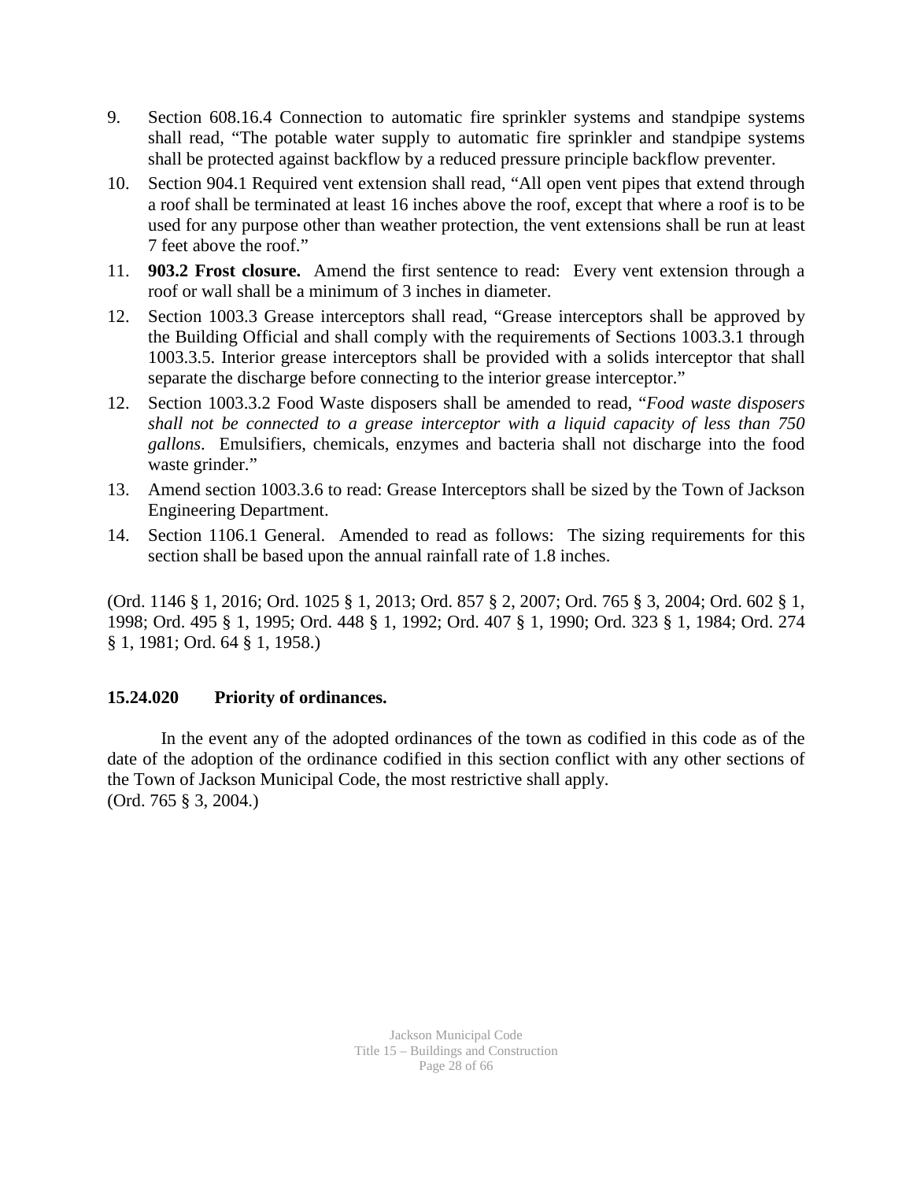- 9. Section 608.16.4 Connection to automatic fire sprinkler systems and standpipe systems shall read, "The potable water supply to automatic fire sprinkler and standpipe systems shall be protected against backflow by a reduced pressure principle backflow preventer.
- 10. Section 904.1 Required vent extension shall read, "All open vent pipes that extend through a roof shall be terminated at least 16 inches above the roof, except that where a roof is to be used for any purpose other than weather protection, the vent extensions shall be run at least 7 feet above the roof."
- 11. **903.2 Frost closure.** Amend the first sentence to read: Every vent extension through a roof or wall shall be a minimum of 3 inches in diameter.
- 12. Section 1003.3 Grease interceptors shall read, "Grease interceptors shall be approved by the Building Official and shall comply with the requirements of Sections 1003.3.1 through 1003.3.5. Interior grease interceptors shall be provided with a solids interceptor that shall separate the discharge before connecting to the interior grease interceptor."
- 12. Section 1003.3.2 Food Waste disposers shall be amended to read, "*Food waste disposers shall not be connected to a grease interceptor with a liquid capacity of less than 750 gallons*. Emulsifiers, chemicals, enzymes and bacteria shall not discharge into the food waste grinder."
- 13. Amend section 1003.3.6 to read: Grease Interceptors shall be sized by the Town of Jackson Engineering Department.
- 14. Section 1106.1 General. Amended to read as follows: The sizing requirements for this section shall be based upon the annual rainfall rate of 1.8 inches.

(Ord. 1146 § 1, 2016; Ord. 1025 § 1, 2013; Ord. 857 § 2, 2007; Ord. 765 § 3, 2004; Ord. 602 § 1, 1998; Ord. 495 § 1, 1995; Ord. 448 § 1, 1992; Ord. 407 § 1, 1990; Ord. 323 § 1, 1984; Ord. 274 § 1, 1981; Ord. 64 § 1, 1958.)

### **15.24.020 Priority of ordinances.**

In the event any of the adopted ordinances of the town as codified in this code as of the date of the adoption of the ordinance codified in this section conflict with any other sections of the Town of Jackson Municipal Code, the most restrictive shall apply. (Ord. 765 § 3, 2004.)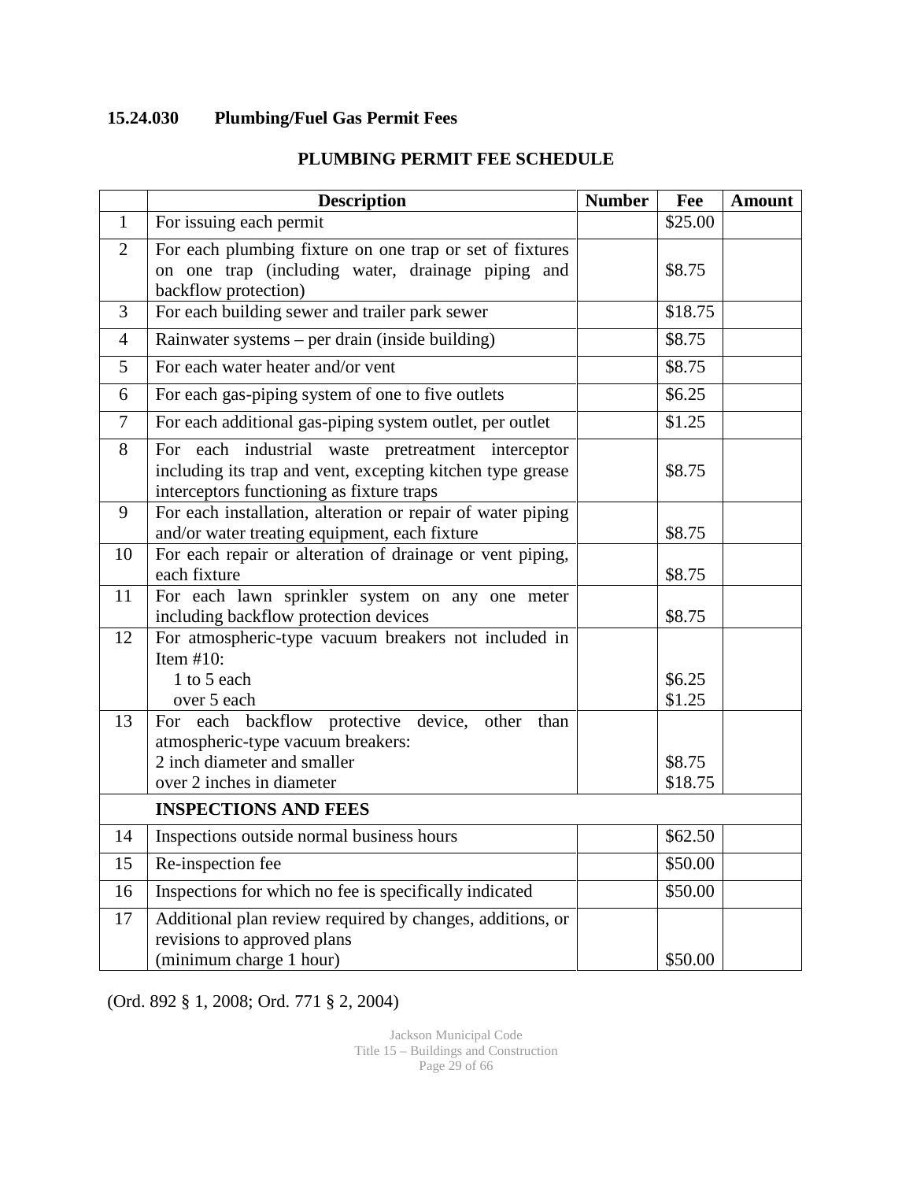## **15.24.030 Plumbing/Fuel Gas Permit Fees**

|                | <b>Description</b>                                                                                                                                            | <b>Number</b> | Fee               | <b>Amount</b> |
|----------------|---------------------------------------------------------------------------------------------------------------------------------------------------------------|---------------|-------------------|---------------|
| $\mathbf{1}$   | For issuing each permit                                                                                                                                       |               | \$25.00           |               |
| 2              | For each plumbing fixture on one trap or set of fixtures<br>on one trap (including water, drainage piping and<br>backflow protection)                         |               | \$8.75            |               |
| 3              | For each building sewer and trailer park sewer                                                                                                                |               | \$18.75           |               |
| $\overline{4}$ | Rainwater systems - per drain (inside building)                                                                                                               |               | \$8.75            |               |
| 5              | For each water heater and/or vent                                                                                                                             |               | \$8.75            |               |
| 6              | For each gas-piping system of one to five outlets                                                                                                             |               | \$6.25            |               |
| $\tau$         | For each additional gas-piping system outlet, per outlet                                                                                                      |               | \$1.25            |               |
| 8              | For each industrial waste pretreatment interceptor<br>including its trap and vent, excepting kitchen type grease<br>interceptors functioning as fixture traps |               | \$8.75            |               |
| 9              | For each installation, alteration or repair of water piping<br>and/or water treating equipment, each fixture                                                  |               | \$8.75            |               |
| 10             | For each repair or alteration of drainage or vent piping,<br>each fixture                                                                                     |               | \$8.75            |               |
| 11             | For each lawn sprinkler system on any one meter<br>including backflow protection devices                                                                      |               | \$8.75            |               |
| 12             | For atmospheric-type vacuum breakers not included in<br>Item $#10$ :<br>1 to 5 each<br>over 5 each                                                            |               | \$6.25<br>\$1.25  |               |
| 13             | For each backflow protective device, other<br>than<br>atmospheric-type vacuum breakers:<br>2 inch diameter and smaller<br>over 2 inches in diameter           |               | \$8.75<br>\$18.75 |               |
|                | <b>INSPECTIONS AND FEES</b>                                                                                                                                   |               |                   |               |
| 14             | Inspections outside normal business hours                                                                                                                     |               | \$62.50           |               |
| 15             | Re-inspection fee                                                                                                                                             |               | \$50.00           |               |
| 16             | Inspections for which no fee is specifically indicated                                                                                                        |               | \$50.00           |               |
| 17             | Additional plan review required by changes, additions, or<br>revisions to approved plans<br>(minimum charge 1 hour)                                           |               | \$50.00           |               |

### **PLUMBING PERMIT FEE SCHEDULE**

(Ord. 892 § 1, 2008; Ord. 771 § 2, 2004)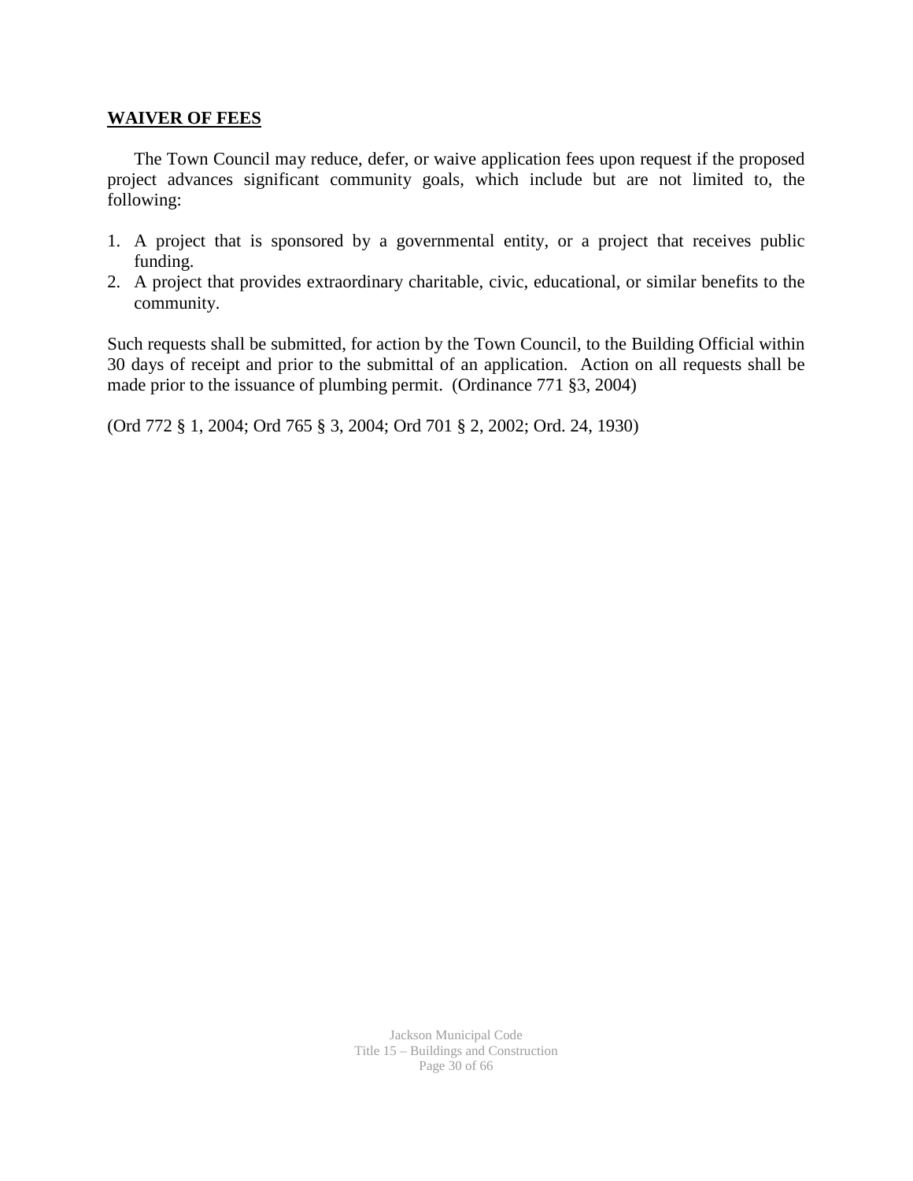#### **WAIVER OF FEES**

The Town Council may reduce, defer, or waive application fees upon request if the proposed project advances significant community goals, which include but are not limited to, the following:

- 1. A project that is sponsored by a governmental entity, or a project that receives public funding.
- 2. A project that provides extraordinary charitable, civic, educational, or similar benefits to the community.

Such requests shall be submitted, for action by the Town Council, to the Building Official within 30 days of receipt and prior to the submittal of an application. Action on all requests shall be made prior to the issuance of plumbing permit. (Ordinance 771 §3, 2004)

(Ord 772 § 1, 2004; Ord 765 § 3, 2004; Ord 701 § 2, 2002; Ord. 24, 1930)

Jackson Municipal Code Title 15 – Buildings and Construction Page 30 of 66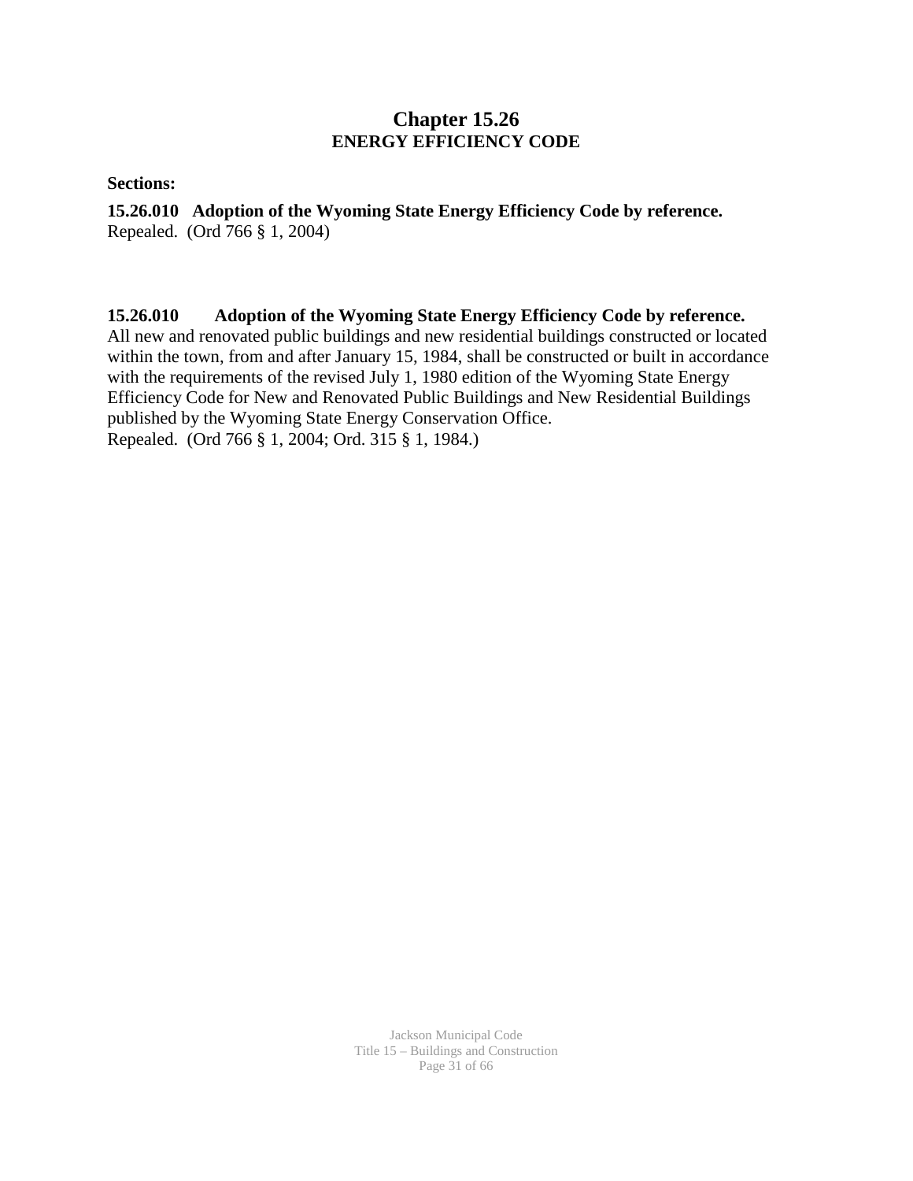### **Chapter 15.26 ENERGY EFFICIENCY CODE**

**Sections:** 

**15.26.010 Adoption of the Wyoming State Energy Efficiency Code by reference.** Repealed. (Ord 766 § 1, 2004)

**15.26.010 Adoption of the Wyoming State Energy Efficiency Code by reference.** All new and renovated public buildings and new residential buildings constructed or located within the town, from and after January 15, 1984, shall be constructed or built in accordance with the requirements of the revised July 1, 1980 edition of the Wyoming State Energy Efficiency Code for New and Renovated Public Buildings and New Residential Buildings published by the Wyoming State Energy Conservation Office. Repealed. (Ord 766 § 1, 2004; Ord. 315 § 1, 1984.)

> Jackson Municipal Code Title 15 – Buildings and Construction Page 31 of 66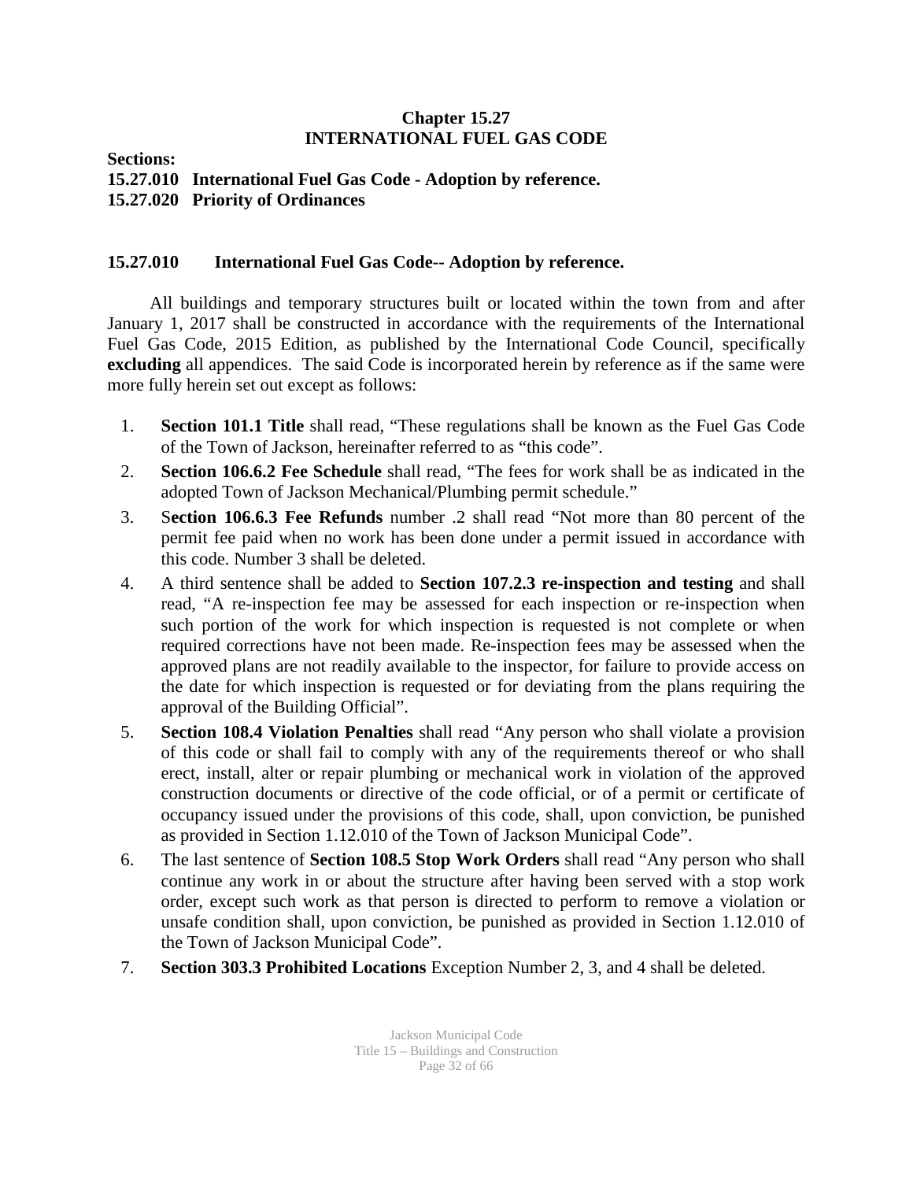### **Chapter 15.27 INTERNATIONAL FUEL GAS CODE**

**Sections:** 

**15.27.010 International Fuel Gas Code - Adoption by reference. 15.27.020 Priority of Ordinances**

### **15.27.010 International Fuel Gas Code-- Adoption by reference.**

 All buildings and temporary structures built or located within the town from and after January 1, 2017 shall be constructed in accordance with the requirements of the International Fuel Gas Code, 2015 Edition, as published by the International Code Council, specifically **excluding** all appendices. The said Code is incorporated herein by reference as if the same were more fully herein set out except as follows:

- 1. **Section 101.1 Title** shall read, "These regulations shall be known as the Fuel Gas Code of the Town of Jackson, hereinafter referred to as "this code".
- 2. **Section 106.6.2 Fee Schedule** shall read, "The fees for work shall be as indicated in the adopted Town of Jackson Mechanical/Plumbing permit schedule."
- 3. S**ection 106.6.3 Fee Refunds** number .2 shall read "Not more than 80 percent of the permit fee paid when no work has been done under a permit issued in accordance with this code. Number 3 shall be deleted.
- 4. A third sentence shall be added to **Section 107.2.3 re-inspection and testing** and shall read, "A re-inspection fee may be assessed for each inspection or re-inspection when such portion of the work for which inspection is requested is not complete or when required corrections have not been made. Re-inspection fees may be assessed when the approved plans are not readily available to the inspector, for failure to provide access on the date for which inspection is requested or for deviating from the plans requiring the approval of the Building Official".
- 5. **Section 108.4 Violation Penalties** shall read "Any person who shall violate a provision of this code or shall fail to comply with any of the requirements thereof or who shall erect, install, alter or repair plumbing or mechanical work in violation of the approved construction documents or directive of the code official, or of a permit or certificate of occupancy issued under the provisions of this code, shall, upon conviction, be punished as provided in Section 1.12.010 of the Town of Jackson Municipal Code".
- 6. The last sentence of **Section 108.5 Stop Work Orders** shall read "Any person who shall continue any work in or about the structure after having been served with a stop work order, except such work as that person is directed to perform to remove a violation or unsafe condition shall, upon conviction, be punished as provided in Section 1.12.010 of the Town of Jackson Municipal Code".
- 7. **Section 303.3 Prohibited Locations** Exception Number 2, 3, and 4 shall be deleted.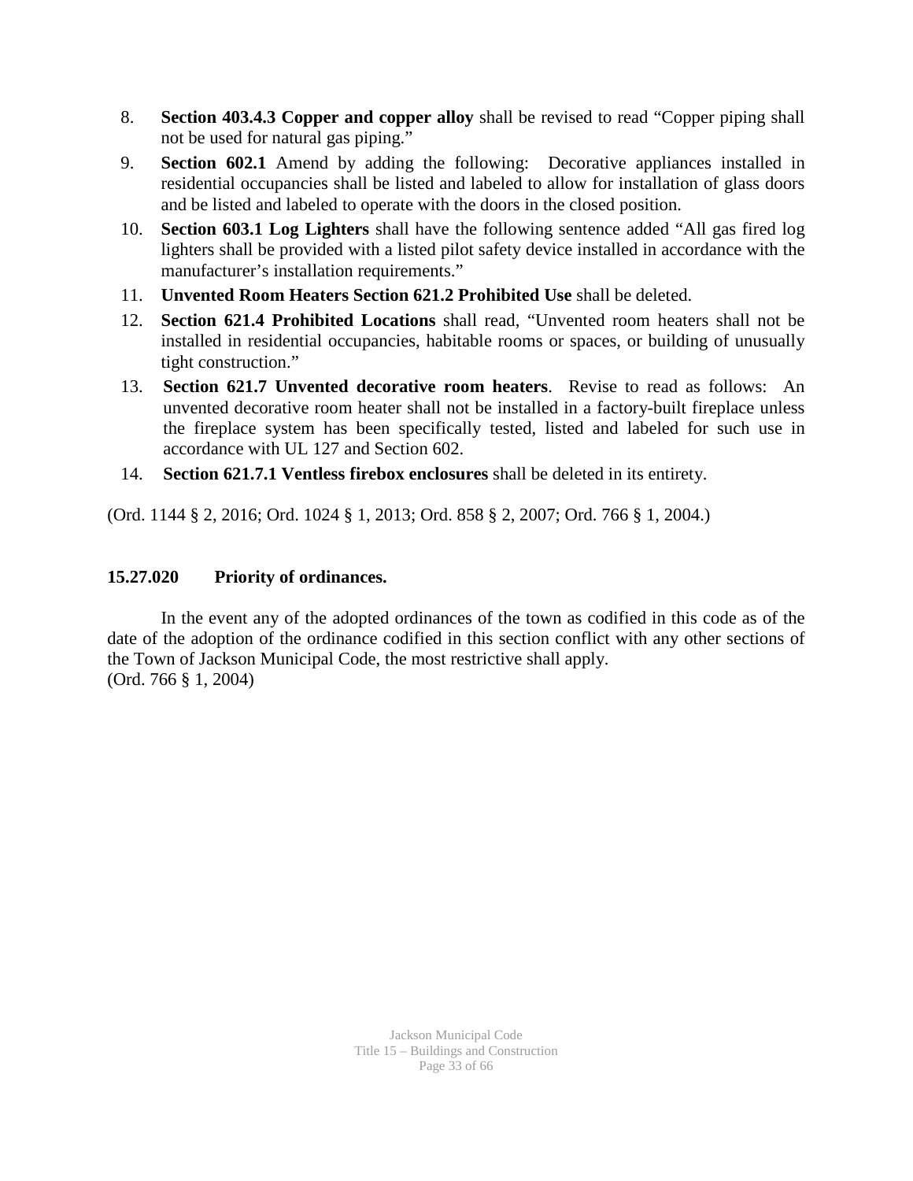- 8. **Section 403.4.3 Copper and copper alloy** shall be revised to read "Copper piping shall not be used for natural gas piping."
- 9. **Section 602.1** Amend by adding the following: Decorative appliances installed in residential occupancies shall be listed and labeled to allow for installation of glass doors and be listed and labeled to operate with the doors in the closed position.
- 10. **Section 603.1 Log Lighters** shall have the following sentence added "All gas fired log lighters shall be provided with a listed pilot safety device installed in accordance with the manufacturer's installation requirements."
- 11. **Unvented Room Heaters Section 621.2 Prohibited Use** shall be deleted.
- 12. **Section 621.4 Prohibited Locations** shall read, "Unvented room heaters shall not be installed in residential occupancies, habitable rooms or spaces, or building of unusually tight construction."
- 13. **Section 621.7 Unvented decorative room heaters**. Revise to read as follows: An unvented decorative room heater shall not be installed in a factory-built fireplace unless the fireplace system has been specifically tested, listed and labeled for such use in accordance with UL 127 and Section 602.
- 14. **Section 621.7.1 Ventless firebox enclosures** shall be deleted in its entirety.

(Ord. 1144 § 2, 2016; Ord. 1024 § 1, 2013; Ord. 858 § 2, 2007; Ord. 766 § 1, 2004.)

### **15.27.020 Priority of ordinances.**

In the event any of the adopted ordinances of the town as codified in this code as of the date of the adoption of the ordinance codified in this section conflict with any other sections of the Town of Jackson Municipal Code, the most restrictive shall apply. (Ord. 766 § 1, 2004)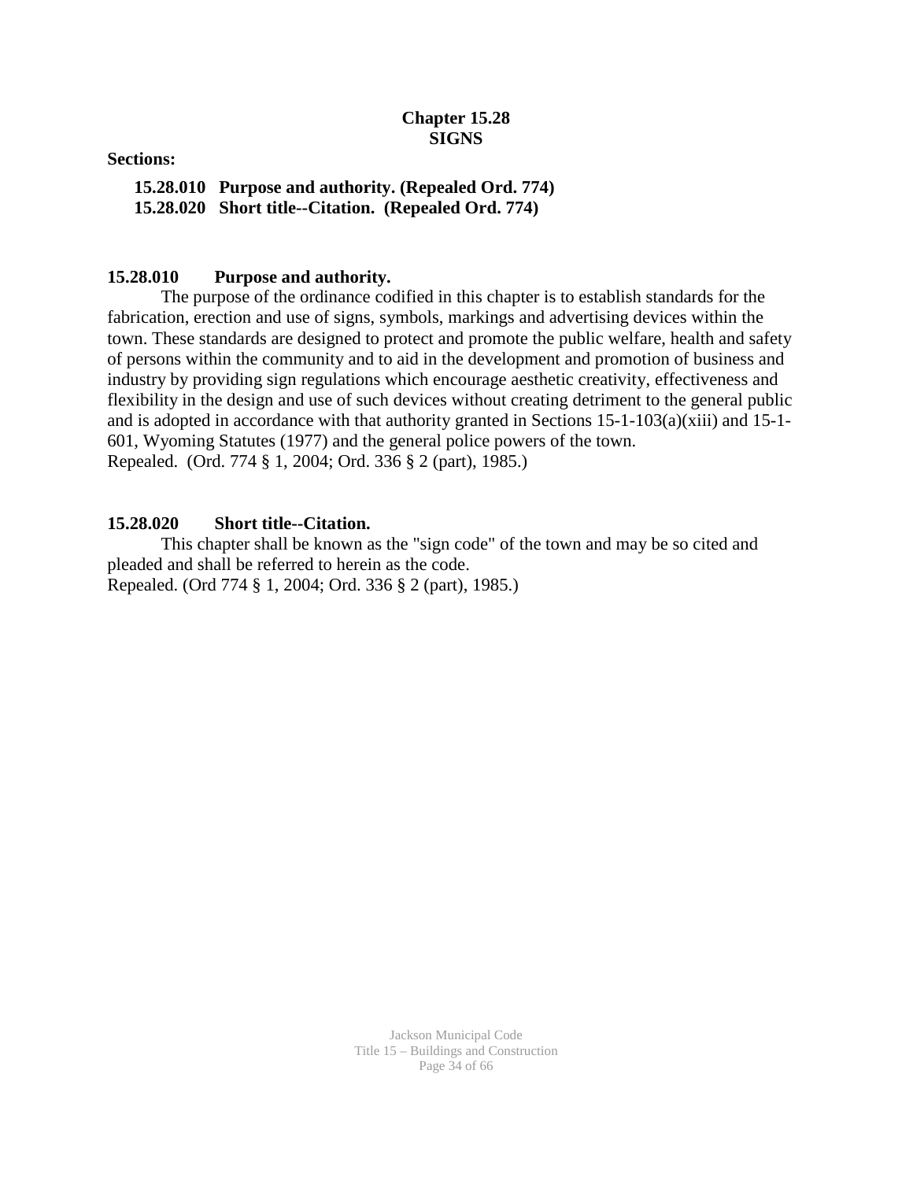### **Chapter 15.28 SIGNS**

**Sections:**

**15.28.010 Purpose and authority. (Repealed Ord. 774) 15.28.020 Short title--Citation. (Repealed Ord. 774)**

#### **15.28.010 Purpose and authority.**

The purpose of the ordinance codified in this chapter is to establish standards for the fabrication, erection and use of signs, symbols, markings and advertising devices within the town. These standards are designed to protect and promote the public welfare, health and safety of persons within the community and to aid in the development and promotion of business and industry by providing sign regulations which encourage aesthetic creativity, effectiveness and flexibility in the design and use of such devices without creating detriment to the general public and is adopted in accordance with that authority granted in Sections 15-1-103(a)(xiii) and 15-1- 601, Wyoming Statutes (1977) and the general police powers of the town. Repealed. (Ord. 774 § 1, 2004; Ord. 336 § 2 (part), 1985.)

#### **15.28.020 Short title--Citation.**

This chapter shall be known as the "sign code" of the town and may be so cited and pleaded and shall be referred to herein as the code. Repealed. (Ord 774 § 1, 2004; Ord. 336 § 2 (part), 1985.)

> Jackson Municipal Code Title 15 – Buildings and Construction Page 34 of 66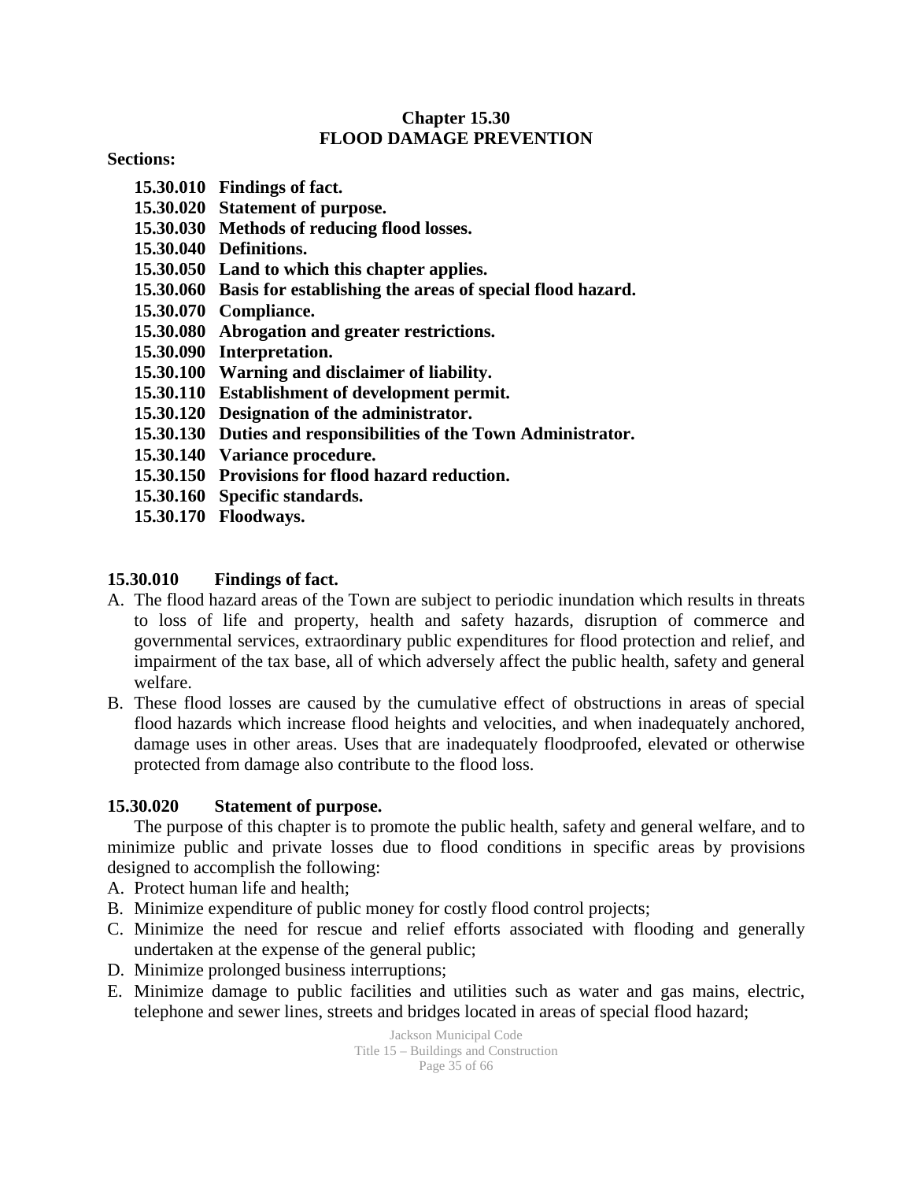#### **Chapter 15.30 FLOOD DAMAGE PREVENTION**

**Sections:** 

- **15.30.010 Findings of fact.**
- **15.30.020 Statement of purpose.**
- **15.30.030 Methods of reducing flood losses.**
- **15.30.040 Definitions.**
- **15.30.050 Land to which this chapter applies.**
- **15.30.060 Basis for establishing the areas of special flood hazard.**
- **15.30.070 Compliance.**
- **15.30.080 Abrogation and greater restrictions.**
- **15.30.090 Interpretation.**
- **15.30.100 Warning and disclaimer of liability.**
- **15.30.110 Establishment of development permit.**
- **15.30.120 Designation of the administrator.**
- **15.30.130 Duties and responsibilities of the Town Administrator.**
- **15.30.140 Variance procedure.**
- **15.30.150 Provisions for flood hazard reduction.**
- **15.30.160 Specific standards.**
- **15.30.170 Floodways.**

#### **15.30.010 Findings of fact.**

- A. The flood hazard areas of the Town are subject to periodic inundation which results in threats to loss of life and property, health and safety hazards, disruption of commerce and governmental services, extraordinary public expenditures for flood protection and relief, and impairment of the tax base, all of which adversely affect the public health, safety and general welfare.
- B. These flood losses are caused by the cumulative effect of obstructions in areas of special flood hazards which increase flood heights and velocities, and when inadequately anchored, damage uses in other areas. Uses that are inadequately floodproofed, elevated or otherwise protected from damage also contribute to the flood loss.

#### **15.30.020 Statement of purpose.**

The purpose of this chapter is to promote the public health, safety and general welfare, and to minimize public and private losses due to flood conditions in specific areas by provisions designed to accomplish the following:

- A. Protect human life and health;
- B. Minimize expenditure of public money for costly flood control projects;
- C. Minimize the need for rescue and relief efforts associated with flooding and generally undertaken at the expense of the general public;
- D. Minimize prolonged business interruptions;
- E. Minimize damage to public facilities and utilities such as water and gas mains, electric, telephone and sewer lines, streets and bridges located in areas of special flood hazard;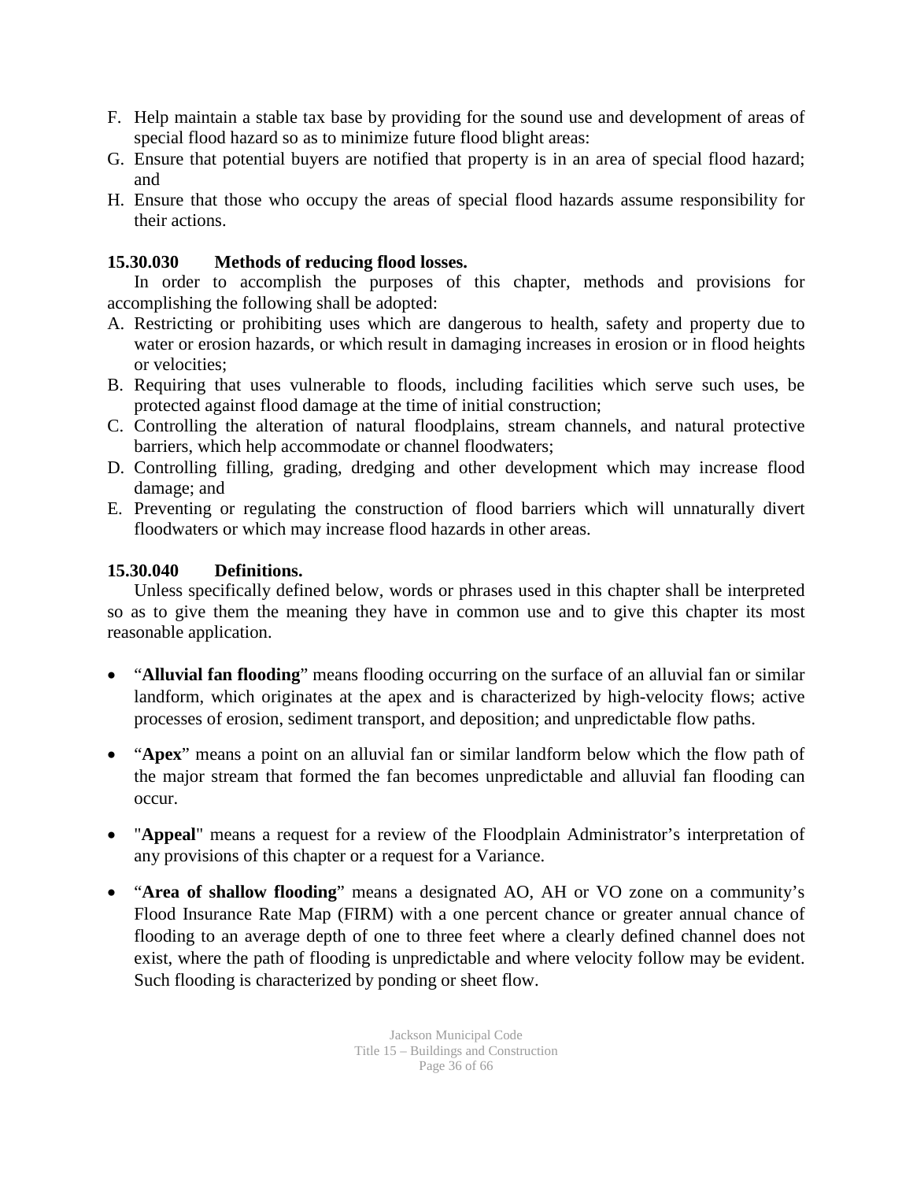- F. Help maintain a stable tax base by providing for the sound use and development of areas of special flood hazard so as to minimize future flood blight areas:
- G. Ensure that potential buyers are notified that property is in an area of special flood hazard; and
- H. Ensure that those who occupy the areas of special flood hazards assume responsibility for their actions.

### **15.30.030 Methods of reducing flood losses.**

In order to accomplish the purposes of this chapter, methods and provisions for accomplishing the following shall be adopted:

- A. Restricting or prohibiting uses which are dangerous to health, safety and property due to water or erosion hazards, or which result in damaging increases in erosion or in flood heights or velocities;
- B. Requiring that uses vulnerable to floods, including facilities which serve such uses, be protected against flood damage at the time of initial construction;
- C. Controlling the alteration of natural floodplains, stream channels, and natural protective barriers, which help accommodate or channel floodwaters;
- D. Controlling filling, grading, dredging and other development which may increase flood damage; and
- E. Preventing or regulating the construction of flood barriers which will unnaturally divert floodwaters or which may increase flood hazards in other areas.

### **15.30.040 Definitions.**

Unless specifically defined below, words or phrases used in this chapter shall be interpreted so as to give them the meaning they have in common use and to give this chapter its most reasonable application.

- "**Alluvial fan flooding**" means flooding occurring on the surface of an alluvial fan or similar landform, which originates at the apex and is characterized by high-velocity flows; active processes of erosion, sediment transport, and deposition; and unpredictable flow paths.
- "**Apex**" means a point on an alluvial fan or similar landform below which the flow path of the major stream that formed the fan becomes unpredictable and alluvial fan flooding can occur.
- "**Appeal**" means a request for a review of the Floodplain Administrator's interpretation of any provisions of this chapter or a request for a Variance.
- "**Area of shallow flooding**" means a designated AO, AH or VO zone on a community's Flood Insurance Rate Map (FIRM) with a one percent chance or greater annual chance of flooding to an average depth of one to three feet where a clearly defined channel does not exist, where the path of flooding is unpredictable and where velocity follow may be evident. Such flooding is characterized by ponding or sheet flow.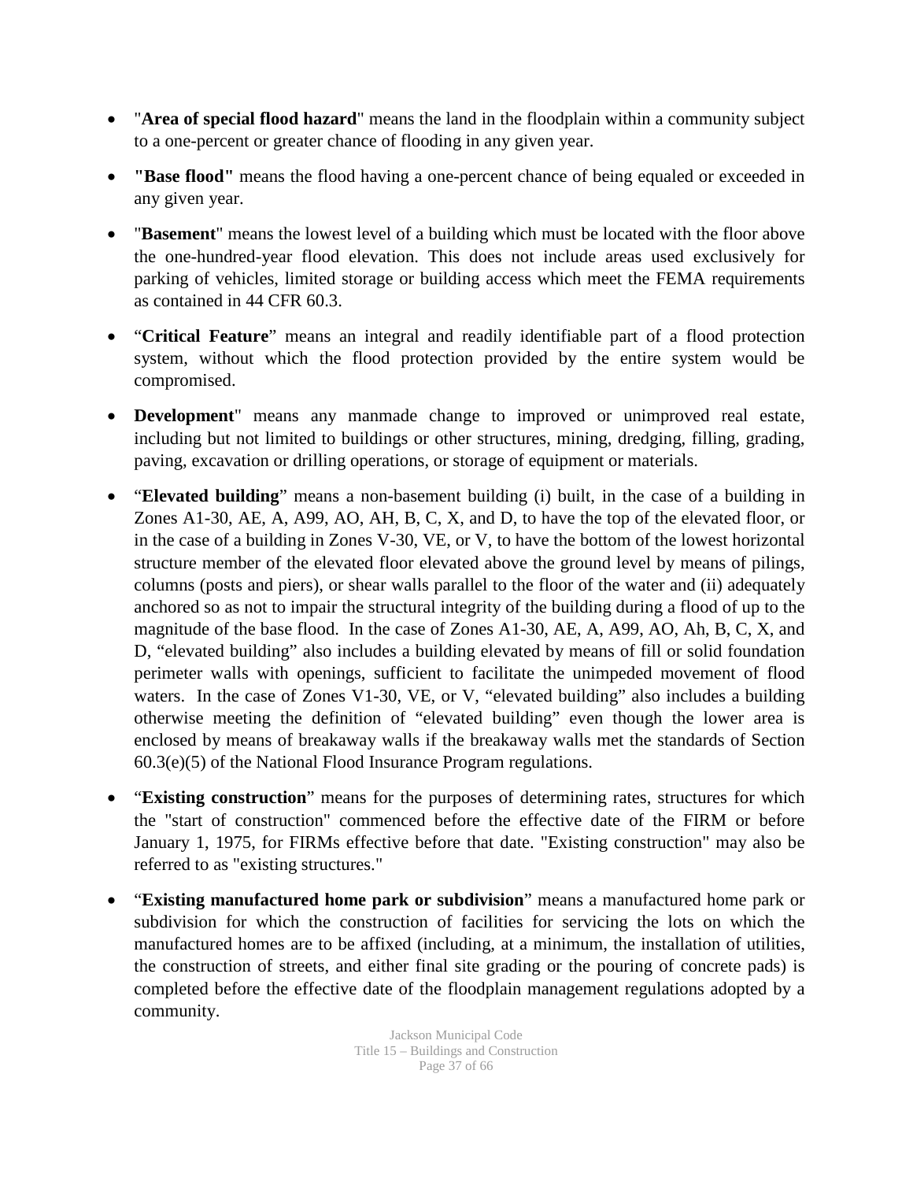- "**Area of special flood hazard**" means the land in the floodplain within a community subject to a one-percent or greater chance of flooding in any given year.
- **"Base flood"** means the flood having a one-percent chance of being equaled or exceeded in any given year.
- "**Basement**" means the lowest level of a building which must be located with the floor above the one-hundred-year flood elevation. This does not include areas used exclusively for parking of vehicles, limited storage or building access which meet the FEMA requirements as contained in 44 CFR 60.3.
- "**Critical Feature**" means an integral and readily identifiable part of a flood protection system, without which the flood protection provided by the entire system would be compromised.
- **Development**" means any manmade change to improved or unimproved real estate, including but not limited to buildings or other structures, mining, dredging, filling, grading, paving, excavation or drilling operations, or storage of equipment or materials.
- "**Elevated building**" means a non-basement building (i) built, in the case of a building in Zones A1-30, AE, A, A99, AO, AH, B, C, X, and D, to have the top of the elevated floor, or in the case of a building in Zones V-30, VE, or V, to have the bottom of the lowest horizontal structure member of the elevated floor elevated above the ground level by means of pilings, columns (posts and piers), or shear walls parallel to the floor of the water and (ii) adequately anchored so as not to impair the structural integrity of the building during a flood of up to the magnitude of the base flood. In the case of Zones A1-30, AE, A, A99, AO, Ah, B, C, X, and D, "elevated building" also includes a building elevated by means of fill or solid foundation perimeter walls with openings, sufficient to facilitate the unimpeded movement of flood waters. In the case of Zones V1-30, VE, or V, "elevated building" also includes a building otherwise meeting the definition of "elevated building" even though the lower area is enclosed by means of breakaway walls if the breakaway walls met the standards of Section 60.3(e)(5) of the National Flood Insurance Program regulations.
- "**Existing construction**" means for the purposes of determining rates, structures for which the "start of construction" commenced before the effective date of the FIRM or before January 1, 1975, for FIRMs effective before that date. "Existing construction" may also be referred to as "existing structures."
- "**Existing manufactured home park or subdivision**" means a manufactured home park or subdivision for which the construction of facilities for servicing the lots on which the manufactured homes are to be affixed (including, at a minimum, the installation of utilities, the construction of streets, and either final site grading or the pouring of concrete pads) is completed before the effective date of the floodplain management regulations adopted by a community.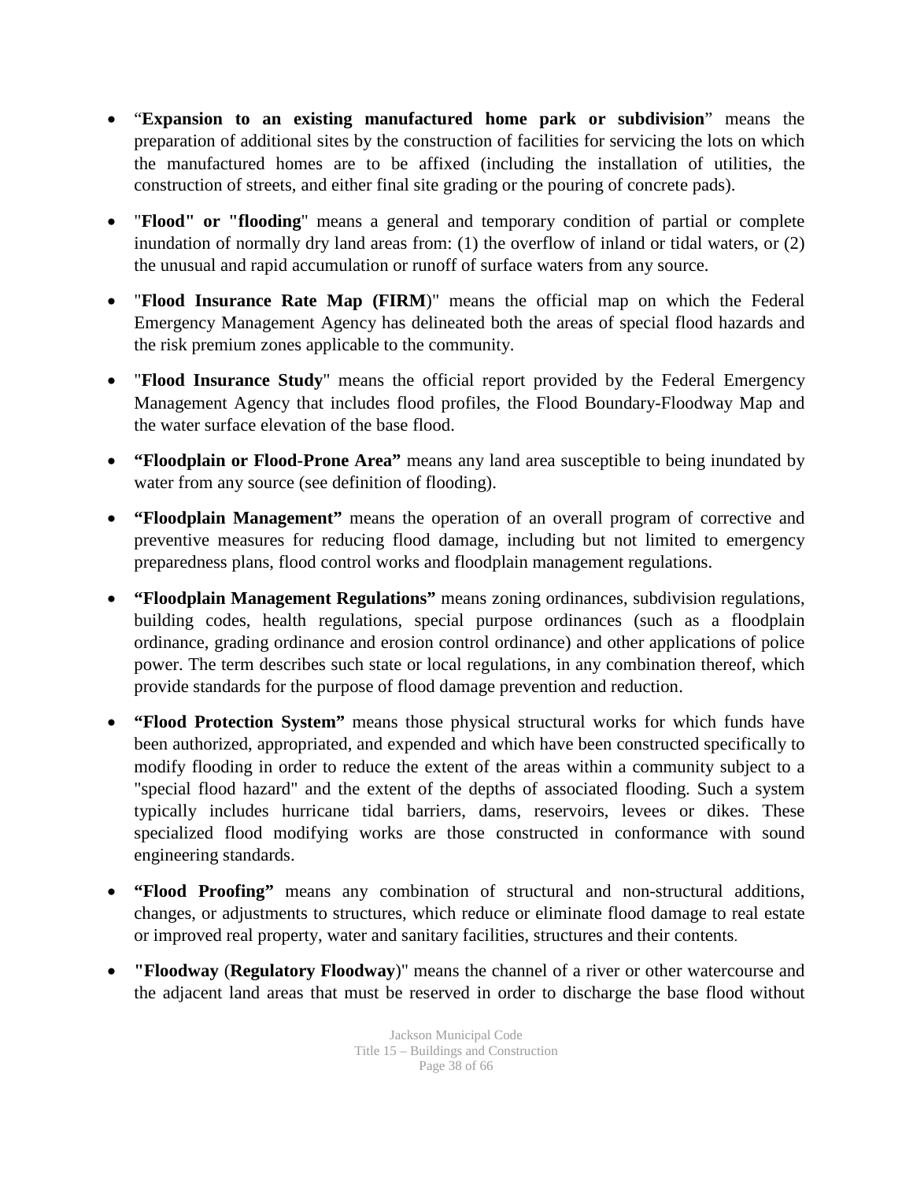- "**Expansion to an existing manufactured home park or subdivision**" means the preparation of additional sites by the construction of facilities for servicing the lots on which the manufactured homes are to be affixed (including the installation of utilities, the construction of streets, and either final site grading or the pouring of concrete pads).
- "**Flood" or "flooding**" means a general and temporary condition of partial or complete inundation of normally dry land areas from: (1) the overflow of inland or tidal waters, or (2) the unusual and rapid accumulation or runoff of surface waters from any source.
- "**Flood Insurance Rate Map (FIRM**)" means the official map on which the Federal Emergency Management Agency has delineated both the areas of special flood hazards and the risk premium zones applicable to the community.
- "**Flood Insurance Study**" means the official report provided by the Federal Emergency Management Agency that includes flood profiles, the Flood Boundary-Floodway Map and the water surface elevation of the base flood.
- **"Floodplain or Flood-Prone Area"** means any land area susceptible to being inundated by water from any source (see definition of flooding).
- **"Floodplain Management"** means the operation of an overall program of corrective and preventive measures for reducing flood damage, including but not limited to emergency preparedness plans, flood control works and floodplain management regulations.
- **"Floodplain Management Regulations"** means zoning ordinances, subdivision regulations, building codes, health regulations, special purpose ordinances (such as a floodplain ordinance, grading ordinance and erosion control ordinance) and other applications of police power. The term describes such state or local regulations, in any combination thereof, which provide standards for the purpose of flood damage prevention and reduction.
- **"Flood Protection System"** means those physical structural works for which funds have been authorized, appropriated, and expended and which have been constructed specifically to modify flooding in order to reduce the extent of the areas within a community subject to a "special flood hazard" and the extent of the depths of associated flooding. Such a system typically includes hurricane tidal barriers, dams, reservoirs, levees or dikes. These specialized flood modifying works are those constructed in conformance with sound engineering standards.
- **"Flood Proofing"** means any combination of structural and non-structural additions, changes, or adjustments to structures, which reduce or eliminate flood damage to real estate or improved real property, water and sanitary facilities, structures and their contents.
- **"Floodway** (**Regulatory Floodway**)" means the channel of a river or other watercourse and the adjacent land areas that must be reserved in order to discharge the base flood without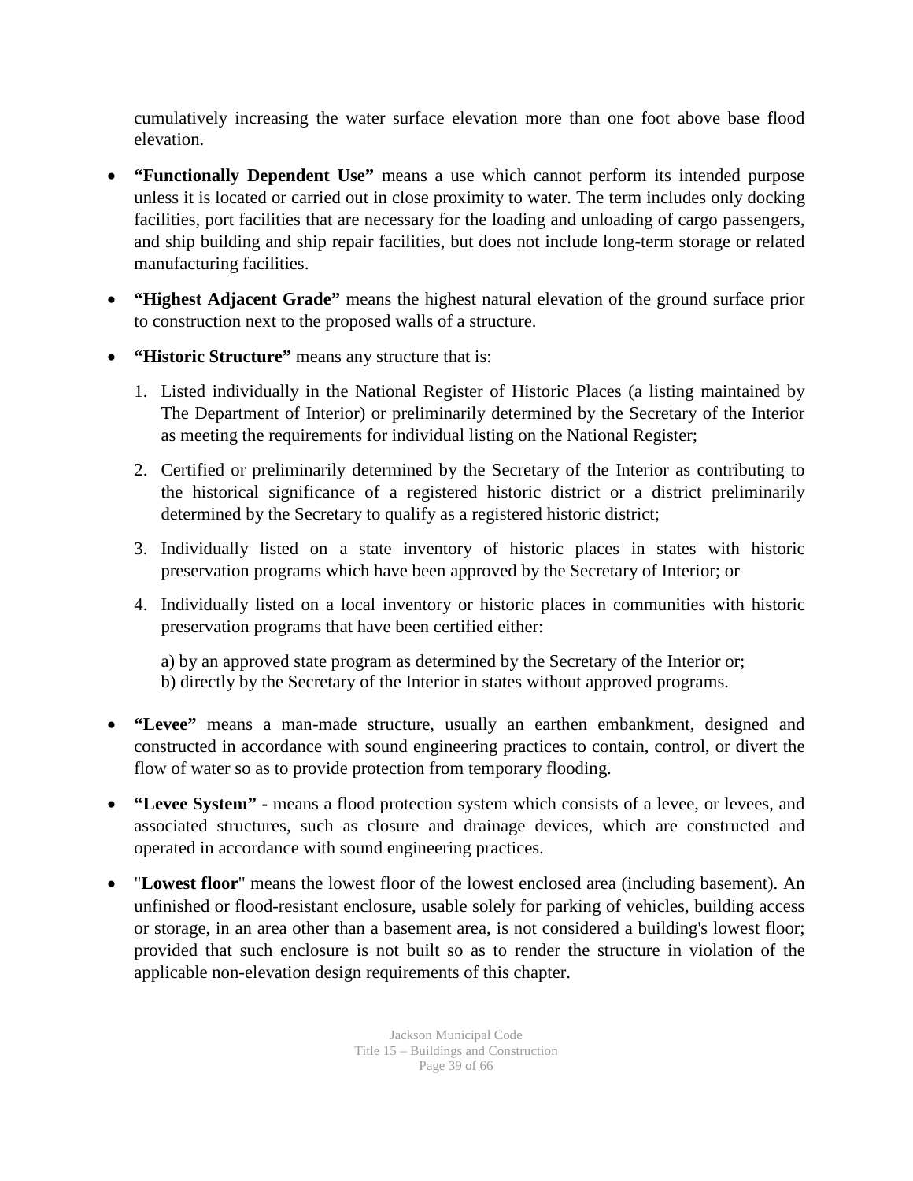cumulatively increasing the water surface elevation more than one foot above base flood elevation.

- **"Functionally Dependent Use"** means a use which cannot perform its intended purpose unless it is located or carried out in close proximity to water. The term includes only docking facilities, port facilities that are necessary for the loading and unloading of cargo passengers, and ship building and ship repair facilities, but does not include long-term storage or related manufacturing facilities.
- **"Highest Adjacent Grade"** means the highest natural elevation of the ground surface prior to construction next to the proposed walls of a structure.
- **"Historic Structure"** means any structure that is:
	- 1. Listed individually in the National Register of Historic Places (a listing maintained by The Department of Interior) or preliminarily determined by the Secretary of the Interior as meeting the requirements for individual listing on the National Register;
	- 2. Certified or preliminarily determined by the Secretary of the Interior as contributing to the historical significance of a registered historic district or a district preliminarily determined by the Secretary to qualify as a registered historic district;
	- 3. Individually listed on a state inventory of historic places in states with historic preservation programs which have been approved by the Secretary of Interior; or
	- 4. Individually listed on a local inventory or historic places in communities with historic preservation programs that have been certified either:

a) by an approved state program as determined by the Secretary of the Interior or; b) directly by the Secretary of the Interior in states without approved programs.

- **"Levee"** means a man-made structure, usually an earthen embankment, designed and constructed in accordance with sound engineering practices to contain, control, or divert the flow of water so as to provide protection from temporary flooding.
- **"Levee System" -** means a flood protection system which consists of a levee, or levees, and associated structures, such as closure and drainage devices, which are constructed and operated in accordance with sound engineering practices.
- "**Lowest floor**" means the lowest floor of the lowest enclosed area (including basement). An unfinished or flood-resistant enclosure, usable solely for parking of vehicles, building access or storage, in an area other than a basement area, is not considered a building's lowest floor; provided that such enclosure is not built so as to render the structure in violation of the applicable non-elevation design requirements of this chapter.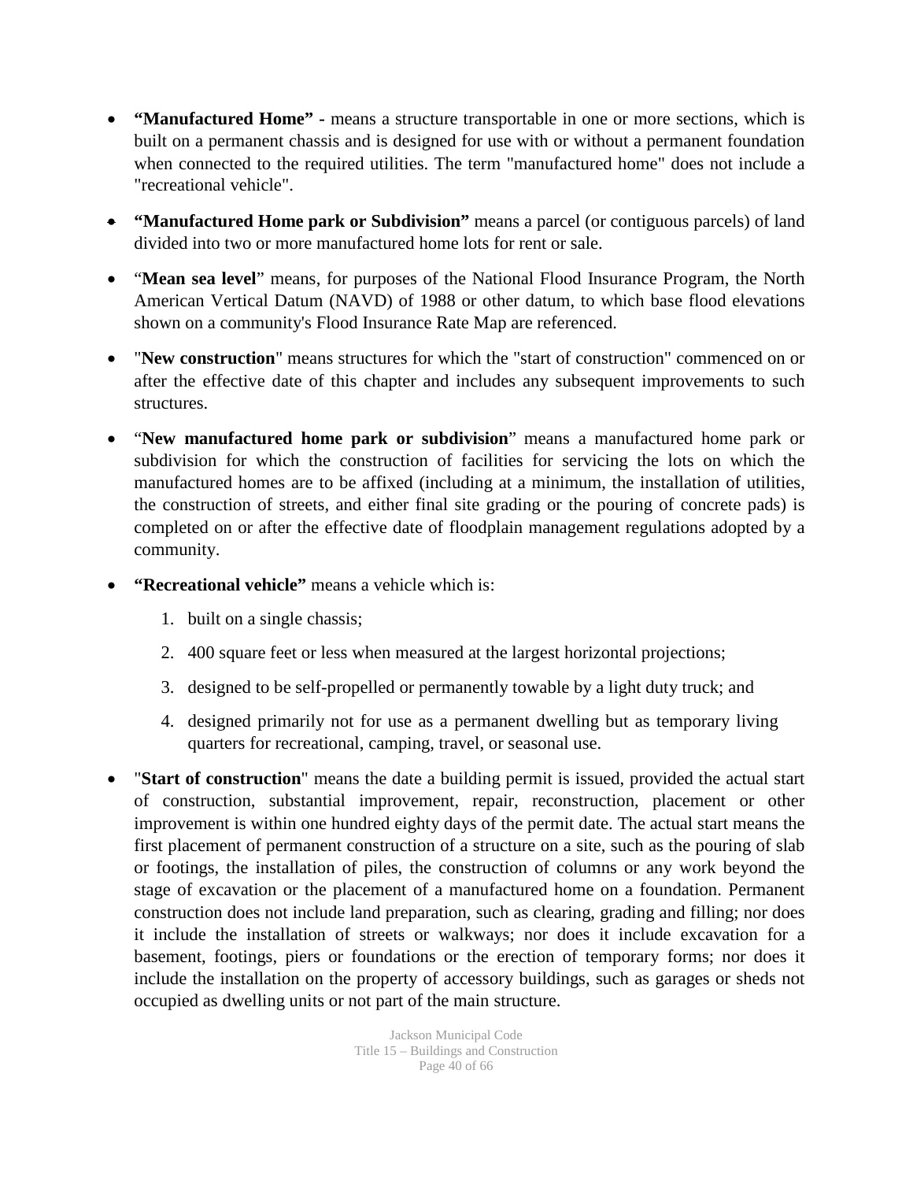- **"Manufactured Home" -** means a structure transportable in one or more sections, which is built on a permanent chassis and is designed for use with or without a permanent foundation when connected to the required utilities. The term "manufactured home" does not include a "recreational vehicle".
- **"Manufactured Home park or Subdivision"** means a parcel (or contiguous parcels) of land divided into two or more manufactured home lots for rent or sale.
- "**Mean sea level**" means, for purposes of the National Flood Insurance Program, the North American Vertical Datum (NAVD) of 1988 or other datum, to which base flood elevations shown on a community's Flood Insurance Rate Map are referenced.
- "**New construction**" means structures for which the "start of construction" commenced on or after the effective date of this chapter and includes any subsequent improvements to such structures.
- "**New manufactured home park or subdivision**" means a manufactured home park or subdivision for which the construction of facilities for servicing the lots on which the manufactured homes are to be affixed (including at a minimum, the installation of utilities, the construction of streets, and either final site grading or the pouring of concrete pads) is completed on or after the effective date of floodplain management regulations adopted by a community.
- **"Recreational vehicle"** means a vehicle which is:
	- 1. built on a single chassis;
	- 2. 400 square feet or less when measured at the largest horizontal projections;
	- 3. designed to be self-propelled or permanently towable by a light duty truck; and
	- 4. designed primarily not for use as a permanent dwelling but as temporary living quarters for recreational, camping, travel, or seasonal use.
- "**Start of construction**" means the date a building permit is issued, provided the actual start of construction, substantial improvement, repair, reconstruction, placement or other improvement is within one hundred eighty days of the permit date. The actual start means the first placement of permanent construction of a structure on a site, such as the pouring of slab or footings, the installation of piles, the construction of columns or any work beyond the stage of excavation or the placement of a manufactured home on a foundation. Permanent construction does not include land preparation, such as clearing, grading and filling; nor does it include the installation of streets or walkways; nor does it include excavation for a basement, footings, piers or foundations or the erection of temporary forms; nor does it include the installation on the property of accessory buildings, such as garages or sheds not occupied as dwelling units or not part of the main structure.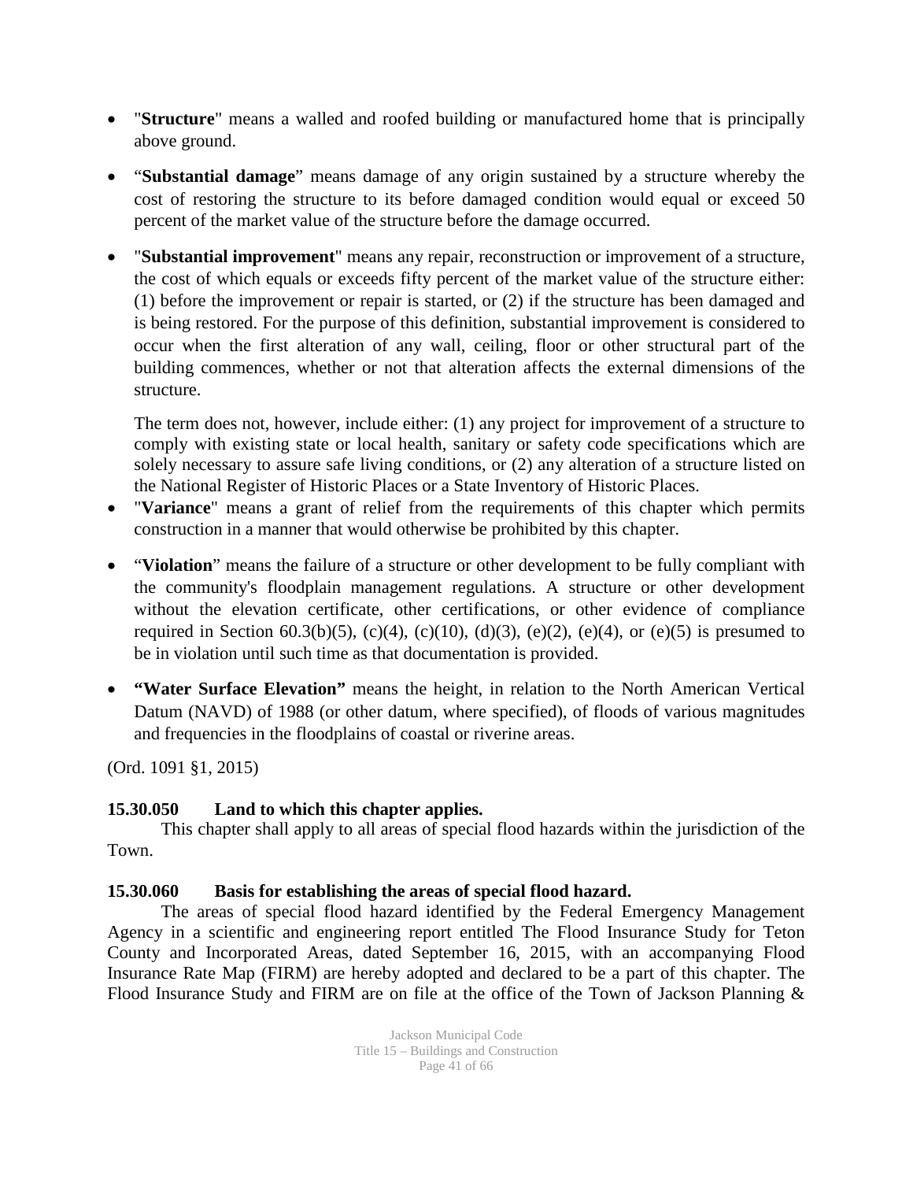- "**Structure**" means a walled and roofed building or manufactured home that is principally above ground.
- "**Substantial damage**" means damage of any origin sustained by a structure whereby the cost of restoring the structure to its before damaged condition would equal or exceed 50 percent of the market value of the structure before the damage occurred.
- "**Substantial improvement**" means any repair, reconstruction or improvement of a structure, the cost of which equals or exceeds fifty percent of the market value of the structure either: (1) before the improvement or repair is started, or (2) if the structure has been damaged and is being restored. For the purpose of this definition, substantial improvement is considered to occur when the first alteration of any wall, ceiling, floor or other structural part of the building commences, whether or not that alteration affects the external dimensions of the structure.

The term does not, however, include either: (1) any project for improvement of a structure to comply with existing state or local health, sanitary or safety code specifications which are solely necessary to assure safe living conditions, or (2) any alteration of a structure listed on the National Register of Historic Places or a State Inventory of Historic Places.

- "**Variance**" means a grant of relief from the requirements of this chapter which permits construction in a manner that would otherwise be prohibited by this chapter.
- "**Violation**" means the failure of a structure or other development to be fully compliant with the community's floodplain management regulations. A structure or other development without the elevation certificate, other certifications, or other evidence of compliance required in Section 60.3(b)(5), (c)(4), (c)(10), (d)(3), (e)(2), (e)(4), or (e)(5) is presumed to be in violation until such time as that documentation is provided.
- **"Water Surface Elevation"** means the height, in relation to the North American Vertical Datum (NAVD) of 1988 (or other datum, where specified), of floods of various magnitudes and frequencies in the floodplains of coastal or riverine areas.

(Ord. 1091 §1, 2015)

### **15.30.050 Land to which this chapter applies.**

This chapter shall apply to all areas of special flood hazards within the jurisdiction of the Town.

### **15.30.060 Basis for establishing the areas of special flood hazard.**

The areas of special flood hazard identified by the Federal Emergency Management Agency in a scientific and engineering report entitled The Flood Insurance Study for Teton County and Incorporated Areas, dated September 16, 2015, with an accompanying Flood Insurance Rate Map (FIRM) are hereby adopted and declared to be a part of this chapter. The Flood Insurance Study and FIRM are on file at the office of the Town of Jackson Planning &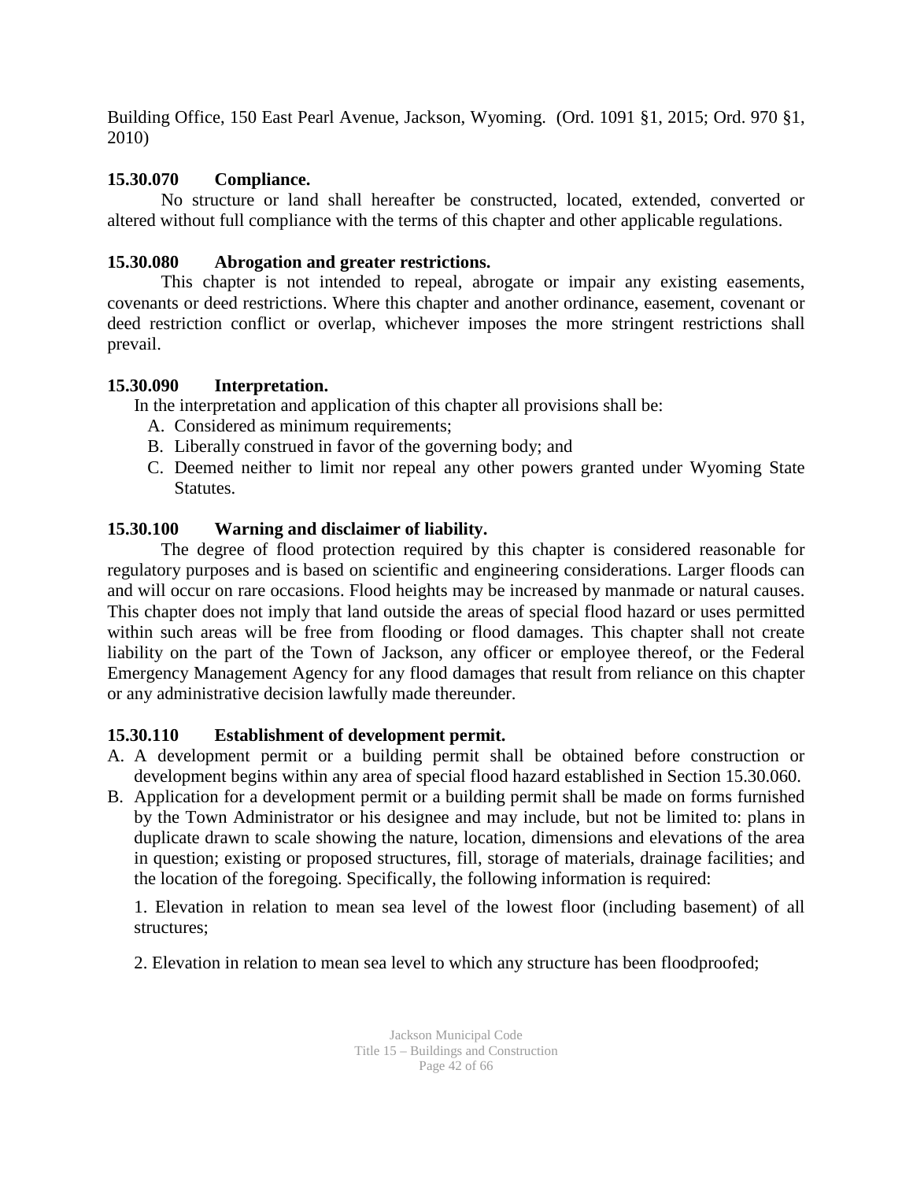Building Office, 150 East Pearl Avenue, Jackson, Wyoming. (Ord. 1091 §1, 2015; Ord. 970 §1, 2010)

### **15.30.070 Compliance.**

No structure or land shall hereafter be constructed, located, extended, converted or altered without full compliance with the terms of this chapter and other applicable regulations.

### **15.30.080 Abrogation and greater restrictions.**

This chapter is not intended to repeal, abrogate or impair any existing easements, covenants or deed restrictions. Where this chapter and another ordinance, easement, covenant or deed restriction conflict or overlap, whichever imposes the more stringent restrictions shall prevail.

### **15.30.090 Interpretation.**

In the interpretation and application of this chapter all provisions shall be:

- A. Considered as minimum requirements;
- B. Liberally construed in favor of the governing body; and
- C. Deemed neither to limit nor repeal any other powers granted under Wyoming State Statutes.

### **15.30.100 Warning and disclaimer of liability.**

The degree of flood protection required by this chapter is considered reasonable for regulatory purposes and is based on scientific and engineering considerations. Larger floods can and will occur on rare occasions. Flood heights may be increased by manmade or natural causes. This chapter does not imply that land outside the areas of special flood hazard or uses permitted within such areas will be free from flooding or flood damages. This chapter shall not create liability on the part of the Town of Jackson, any officer or employee thereof, or the Federal Emergency Management Agency for any flood damages that result from reliance on this chapter or any administrative decision lawfully made thereunder.

### **15.30.110 Establishment of development permit.**

- A. A development permit or a building permit shall be obtained before construction or development begins within any area of special flood hazard established in Section 15.30.060.
- B. Application for a development permit or a building permit shall be made on forms furnished by the Town Administrator or his designee and may include, but not be limited to: plans in duplicate drawn to scale showing the nature, location, dimensions and elevations of the area in question; existing or proposed structures, fill, storage of materials, drainage facilities; and the location of the foregoing. Specifically, the following information is required:

1. Elevation in relation to mean sea level of the lowest floor (including basement) of all structures;

2. Elevation in relation to mean sea level to which any structure has been floodproofed;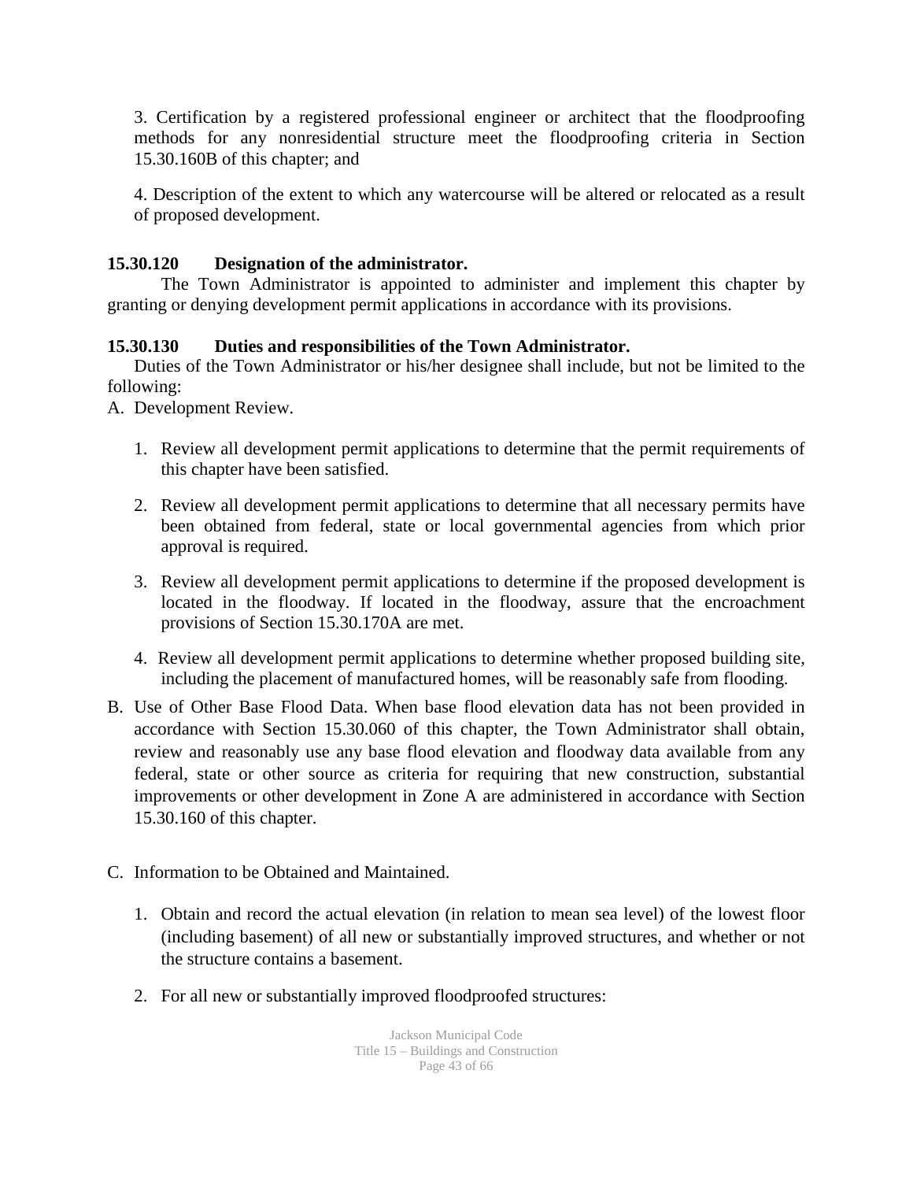3. Certification by a registered professional engineer or architect that the floodproofing methods for any nonresidential structure meet the floodproofing criteria in Section 15.30.160B of this chapter; and

4. Description of the extent to which any watercourse will be altered or relocated as a result of proposed development.

### **15.30.120 Designation of the administrator.**

The Town Administrator is appointed to administer and implement this chapter by granting or denying development permit applications in accordance with its provisions.

### **15.30.130 Duties and responsibilities of the Town Administrator.**

Duties of the Town Administrator or his/her designee shall include, but not be limited to the following:

A. Development Review.

- 1. Review all development permit applications to determine that the permit requirements of this chapter have been satisfied.
- 2. Review all development permit applications to determine that all necessary permits have been obtained from federal, state or local governmental agencies from which prior approval is required.
- 3. Review all development permit applications to determine if the proposed development is located in the floodway. If located in the floodway, assure that the encroachment provisions of Section 15.30.170A are met.
- 4. Review all development permit applications to determine whether proposed building site, including the placement of manufactured homes, will be reasonably safe from flooding.
- B. Use of Other Base Flood Data. When base flood elevation data has not been provided in accordance with Section 15.30.060 of this chapter, the Town Administrator shall obtain, review and reasonably use any base flood elevation and floodway data available from any federal, state or other source as criteria for requiring that new construction, substantial improvements or other development in Zone A are administered in accordance with Section 15.30.160 of this chapter.
- C. Information to be Obtained and Maintained.
	- 1. Obtain and record the actual elevation (in relation to mean sea level) of the lowest floor (including basement) of all new or substantially improved structures, and whether or not the structure contains a basement.
	- 2. For all new or substantially improved floodproofed structures: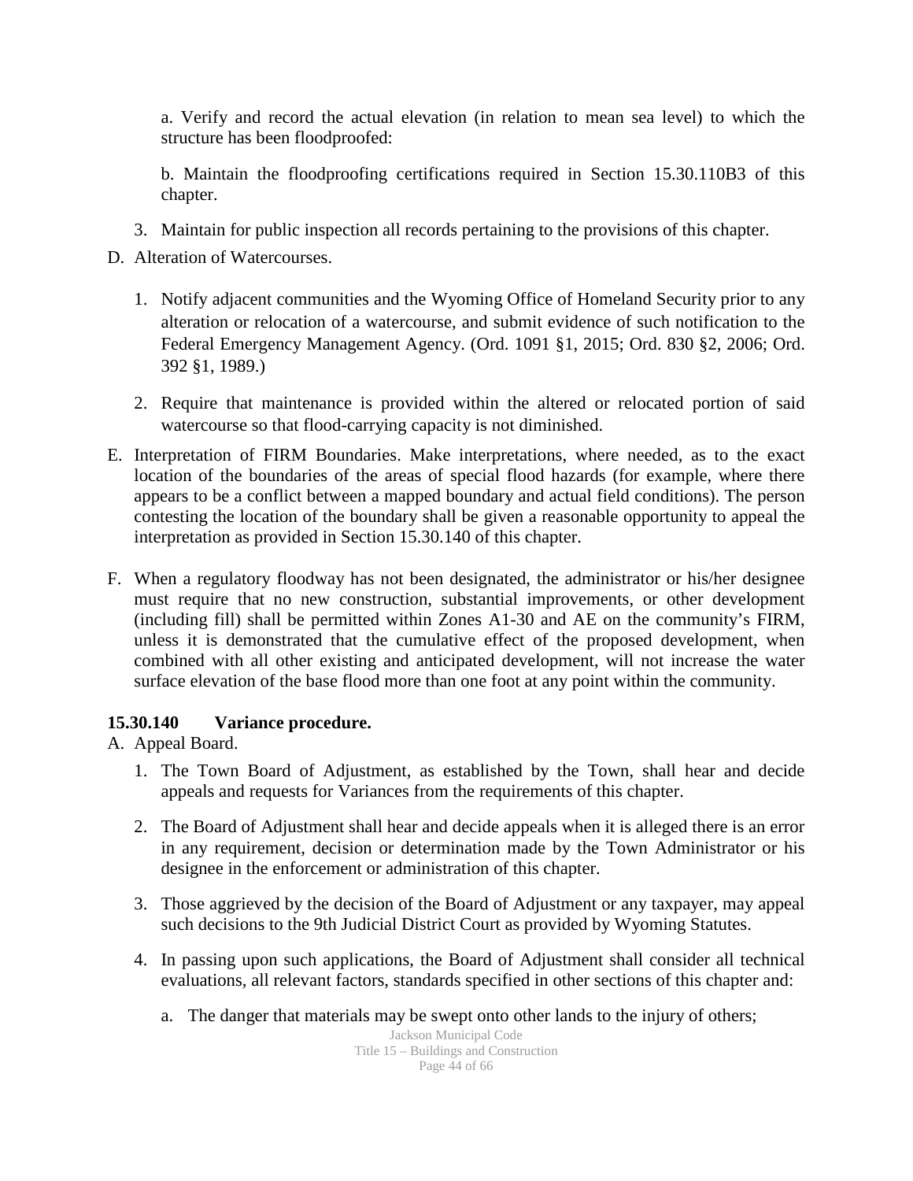a. Verify and record the actual elevation (in relation to mean sea level) to which the structure has been floodproofed:

b. Maintain the floodproofing certifications required in Section 15.30.110B3 of this chapter.

- 3. Maintain for public inspection all records pertaining to the provisions of this chapter.
- D. Alteration of Watercourses.
	- 1. Notify adjacent communities and the Wyoming Office of Homeland Security prior to any alteration or relocation of a watercourse, and submit evidence of such notification to the Federal Emergency Management Agency. (Ord. 1091 §1, 2015; Ord. 830 §2, 2006; Ord. 392 §1, 1989.)
	- 2. Require that maintenance is provided within the altered or relocated portion of said watercourse so that flood-carrying capacity is not diminished.
- E. Interpretation of FIRM Boundaries. Make interpretations, where needed, as to the exact location of the boundaries of the areas of special flood hazards (for example, where there appears to be a conflict between a mapped boundary and actual field conditions). The person contesting the location of the boundary shall be given a reasonable opportunity to appeal the interpretation as provided in Section 15.30.140 of this chapter.
- F. When a regulatory floodway has not been designated, the administrator or his/her designee must require that no new construction, substantial improvements, or other development (including fill) shall be permitted within Zones A1-30 and AE on the community's FIRM, unless it is demonstrated that the cumulative effect of the proposed development, when combined with all other existing and anticipated development, will not increase the water surface elevation of the base flood more than one foot at any point within the community.

### **15.30.140 Variance procedure.**

A. Appeal Board.

- 1. The Town Board of Adjustment, as established by the Town, shall hear and decide appeals and requests for Variances from the requirements of this chapter.
- 2. The Board of Adjustment shall hear and decide appeals when it is alleged there is an error in any requirement, decision or determination made by the Town Administrator or his designee in the enforcement or administration of this chapter.
- 3. Those aggrieved by the decision of the Board of Adjustment or any taxpayer, may appeal such decisions to the 9th Judicial District Court as provided by Wyoming Statutes.
- 4. In passing upon such applications, the Board of Adjustment shall consider all technical evaluations, all relevant factors, standards specified in other sections of this chapter and:
	- a. The danger that materials may be swept onto other lands to the injury of others;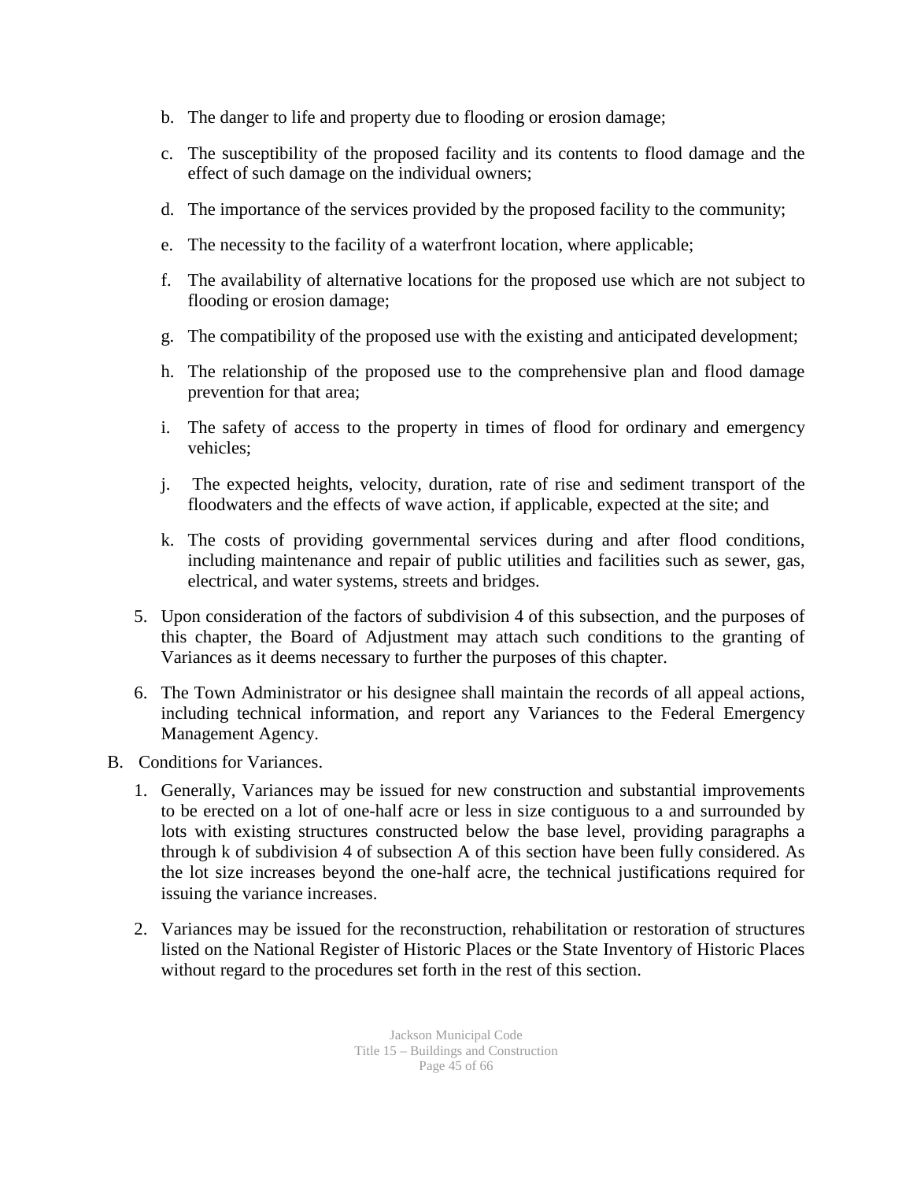- b. The danger to life and property due to flooding or erosion damage;
- c. The susceptibility of the proposed facility and its contents to flood damage and the effect of such damage on the individual owners;
- d. The importance of the services provided by the proposed facility to the community;
- e. The necessity to the facility of a waterfront location, where applicable;
- f. The availability of alternative locations for the proposed use which are not subject to flooding or erosion damage;
- g. The compatibility of the proposed use with the existing and anticipated development;
- h. The relationship of the proposed use to the comprehensive plan and flood damage prevention for that area;
- i. The safety of access to the property in times of flood for ordinary and emergency vehicles;
- j. The expected heights, velocity, duration, rate of rise and sediment transport of the floodwaters and the effects of wave action, if applicable, expected at the site; and
- k. The costs of providing governmental services during and after flood conditions, including maintenance and repair of public utilities and facilities such as sewer, gas, electrical, and water systems, streets and bridges.
- 5. Upon consideration of the factors of subdivision 4 of this subsection, and the purposes of this chapter, the Board of Adjustment may attach such conditions to the granting of Variances as it deems necessary to further the purposes of this chapter.
- 6. The Town Administrator or his designee shall maintain the records of all appeal actions, including technical information, and report any Variances to the Federal Emergency Management Agency.
- B. Conditions for Variances.
	- 1. Generally, Variances may be issued for new construction and substantial improvements to be erected on a lot of one-half acre or less in size contiguous to a and surrounded by lots with existing structures constructed below the base level, providing paragraphs a through k of subdivision 4 of subsection A of this section have been fully considered. As the lot size increases beyond the one-half acre, the technical justifications required for issuing the variance increases.
	- 2. Variances may be issued for the reconstruction, rehabilitation or restoration of structures listed on the National Register of Historic Places or the State Inventory of Historic Places without regard to the procedures set forth in the rest of this section.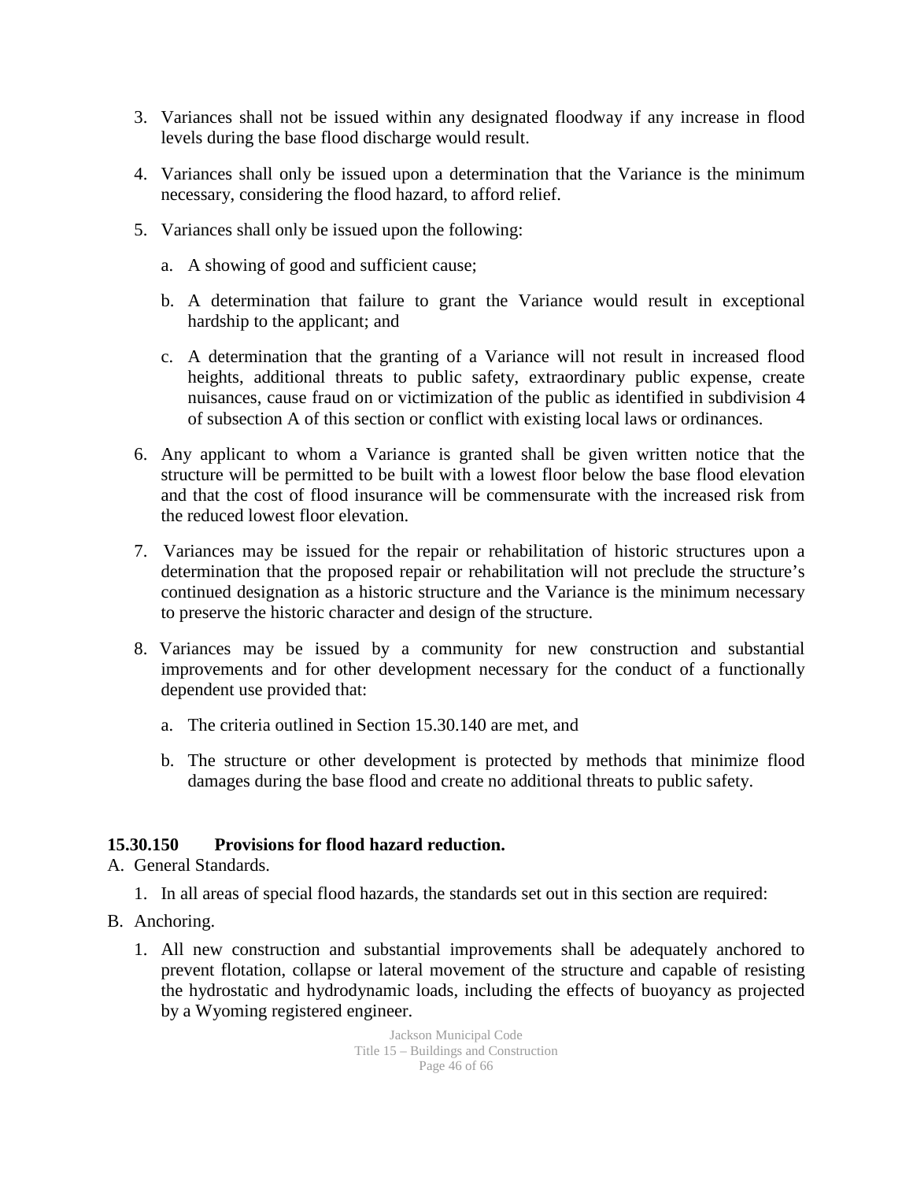- 3. Variances shall not be issued within any designated floodway if any increase in flood levels during the base flood discharge would result.
- 4. Variances shall only be issued upon a determination that the Variance is the minimum necessary, considering the flood hazard, to afford relief.
- 5. Variances shall only be issued upon the following:
	- a. A showing of good and sufficient cause;
	- b. A determination that failure to grant the Variance would result in exceptional hardship to the applicant; and
	- c. A determination that the granting of a Variance will not result in increased flood heights, additional threats to public safety, extraordinary public expense, create nuisances, cause fraud on or victimization of the public as identified in subdivision 4 of subsection A of this section or conflict with existing local laws or ordinances.
- 6. Any applicant to whom a Variance is granted shall be given written notice that the structure will be permitted to be built with a lowest floor below the base flood elevation and that the cost of flood insurance will be commensurate with the increased risk from the reduced lowest floor elevation.
- 7. Variances may be issued for the repair or rehabilitation of historic structures upon a determination that the proposed repair or rehabilitation will not preclude the structure's continued designation as a historic structure and the Variance is the minimum necessary to preserve the historic character and design of the structure.
- 8. Variances may be issued by a community for new construction and substantial improvements and for other development necessary for the conduct of a functionally dependent use provided that:
	- a. The criteria outlined in Section 15.30.140 are met, and
	- b. The structure or other development is protected by methods that minimize flood damages during the base flood and create no additional threats to public safety.

### **15.30.150 Provisions for flood hazard reduction.**

- A. General Standards.
	- 1. In all areas of special flood hazards, the standards set out in this section are required:
- B. Anchoring.
	- 1. All new construction and substantial improvements shall be adequately anchored to prevent flotation, collapse or lateral movement of the structure and capable of resisting the hydrostatic and hydrodynamic loads, including the effects of buoyancy as projected by a Wyoming registered engineer.

Jackson Municipal Code Title 15 – Buildings and Construction Page 46 of 66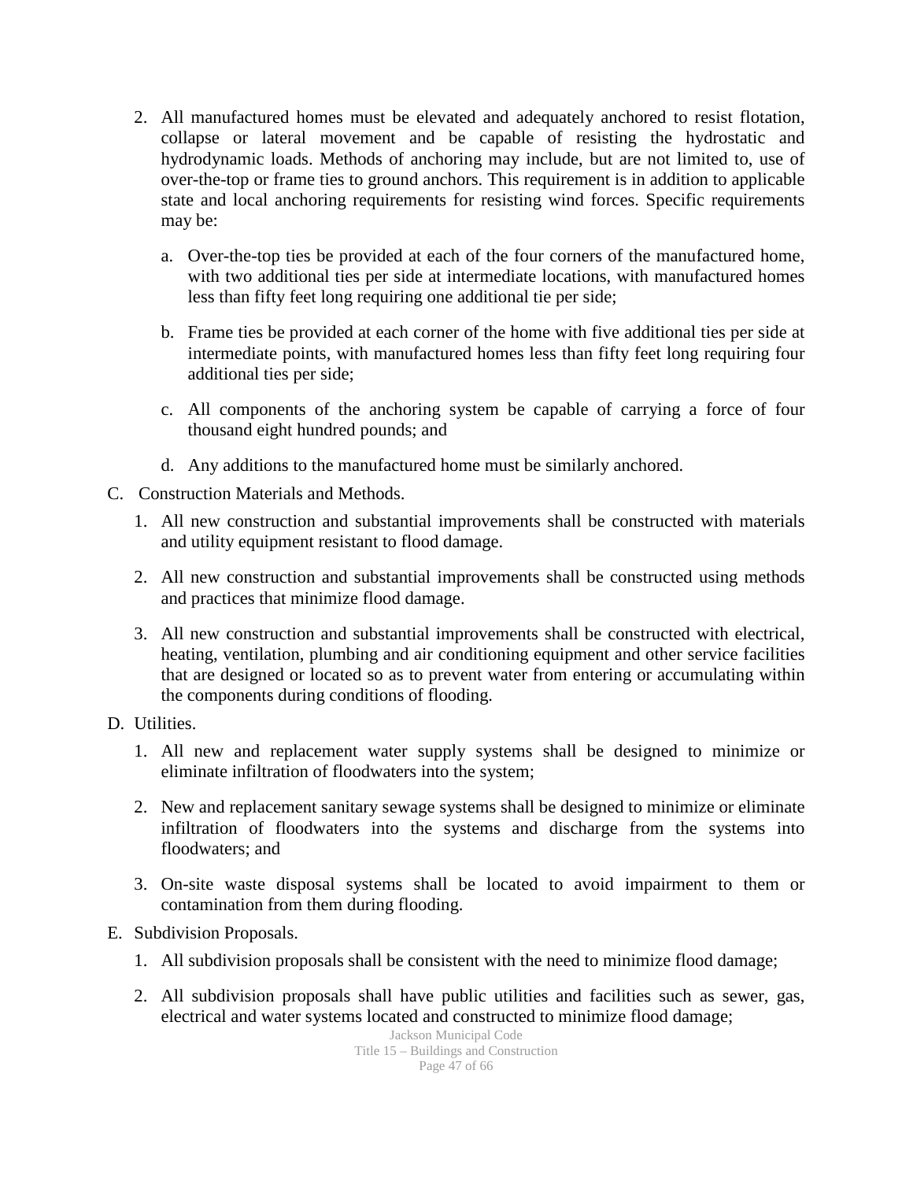- 2. All manufactured homes must be elevated and adequately anchored to resist flotation, collapse or lateral movement and be capable of resisting the hydrostatic and hydrodynamic loads. Methods of anchoring may include, but are not limited to, use of over-the-top or frame ties to ground anchors. This requirement is in addition to applicable state and local anchoring requirements for resisting wind forces. Specific requirements may be:
	- a. Over-the-top ties be provided at each of the four corners of the manufactured home, with two additional ties per side at intermediate locations, with manufactured homes less than fifty feet long requiring one additional tie per side;
	- b. Frame ties be provided at each corner of the home with five additional ties per side at intermediate points, with manufactured homes less than fifty feet long requiring four additional ties per side;
	- c. All components of the anchoring system be capable of carrying a force of four thousand eight hundred pounds; and
	- d. Any additions to the manufactured home must be similarly anchored.
- C. Construction Materials and Methods.
	- 1. All new construction and substantial improvements shall be constructed with materials and utility equipment resistant to flood damage.
	- 2. All new construction and substantial improvements shall be constructed using methods and practices that minimize flood damage.
	- 3. All new construction and substantial improvements shall be constructed with electrical, heating, ventilation, plumbing and air conditioning equipment and other service facilities that are designed or located so as to prevent water from entering or accumulating within the components during conditions of flooding.
- D. Utilities.
	- 1. All new and replacement water supply systems shall be designed to minimize or eliminate infiltration of floodwaters into the system;
	- 2. New and replacement sanitary sewage systems shall be designed to minimize or eliminate infiltration of floodwaters into the systems and discharge from the systems into floodwaters; and
	- 3. On-site waste disposal systems shall be located to avoid impairment to them or contamination from them during flooding.
- E. Subdivision Proposals.
	- 1. All subdivision proposals shall be consistent with the need to minimize flood damage;
	- 2. All subdivision proposals shall have public utilities and facilities such as sewer, gas, electrical and water systems located and constructed to minimize flood damage;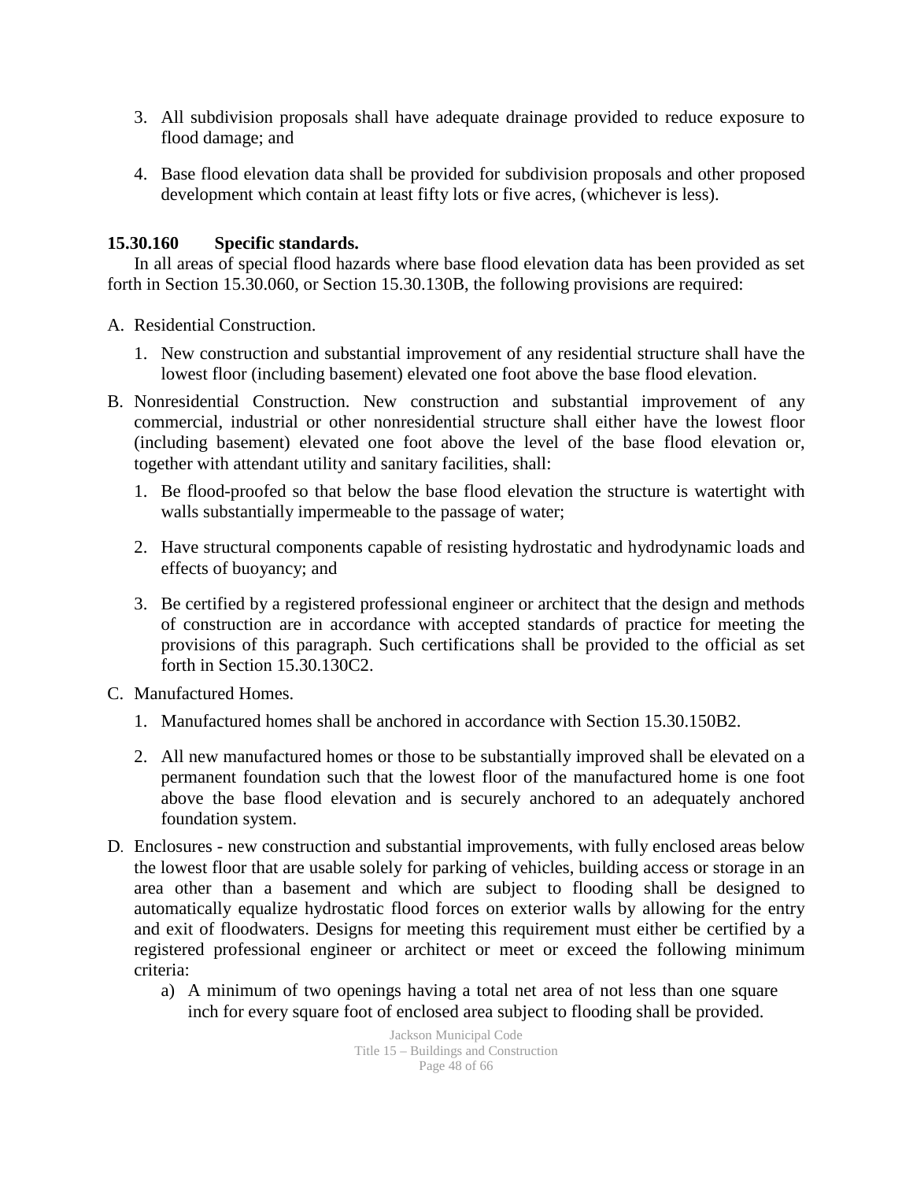- 3. All subdivision proposals shall have adequate drainage provided to reduce exposure to flood damage; and
- 4. Base flood elevation data shall be provided for subdivision proposals and other proposed development which contain at least fifty lots or five acres, (whichever is less).

#### **15.30.160 Specific standards.**

In all areas of special flood hazards where base flood elevation data has been provided as set forth in Section 15.30.060, or Section 15.30.130B, the following provisions are required:

A. Residential Construction.

- 1. New construction and substantial improvement of any residential structure shall have the lowest floor (including basement) elevated one foot above the base flood elevation.
- B. Nonresidential Construction. New construction and substantial improvement of any commercial, industrial or other nonresidential structure shall either have the lowest floor (including basement) elevated one foot above the level of the base flood elevation or, together with attendant utility and sanitary facilities, shall:
	- 1. Be flood-proofed so that below the base flood elevation the structure is watertight with walls substantially impermeable to the passage of water;
	- 2. Have structural components capable of resisting hydrostatic and hydrodynamic loads and effects of buoyancy; and
	- 3. Be certified by a registered professional engineer or architect that the design and methods of construction are in accordance with accepted standards of practice for meeting the provisions of this paragraph. Such certifications shall be provided to the official as set forth in Section 15.30.130C2.
- C. Manufactured Homes.
	- 1. Manufactured homes shall be anchored in accordance with Section 15.30.150B2.
	- 2. All new manufactured homes or those to be substantially improved shall be elevated on a permanent foundation such that the lowest floor of the manufactured home is one foot above the base flood elevation and is securely anchored to an adequately anchored foundation system.
- D. Enclosures new construction and substantial improvements, with fully enclosed areas below the lowest floor that are usable solely for parking of vehicles, building access or storage in an area other than a basement and which are subject to flooding shall be designed to automatically equalize hydrostatic flood forces on exterior walls by allowing for the entry and exit of floodwaters. Designs for meeting this requirement must either be certified by a registered professional engineer or architect or meet or exceed the following minimum criteria:
	- a) A minimum of two openings having a total net area of not less than one square inch for every square foot of enclosed area subject to flooding shall be provided.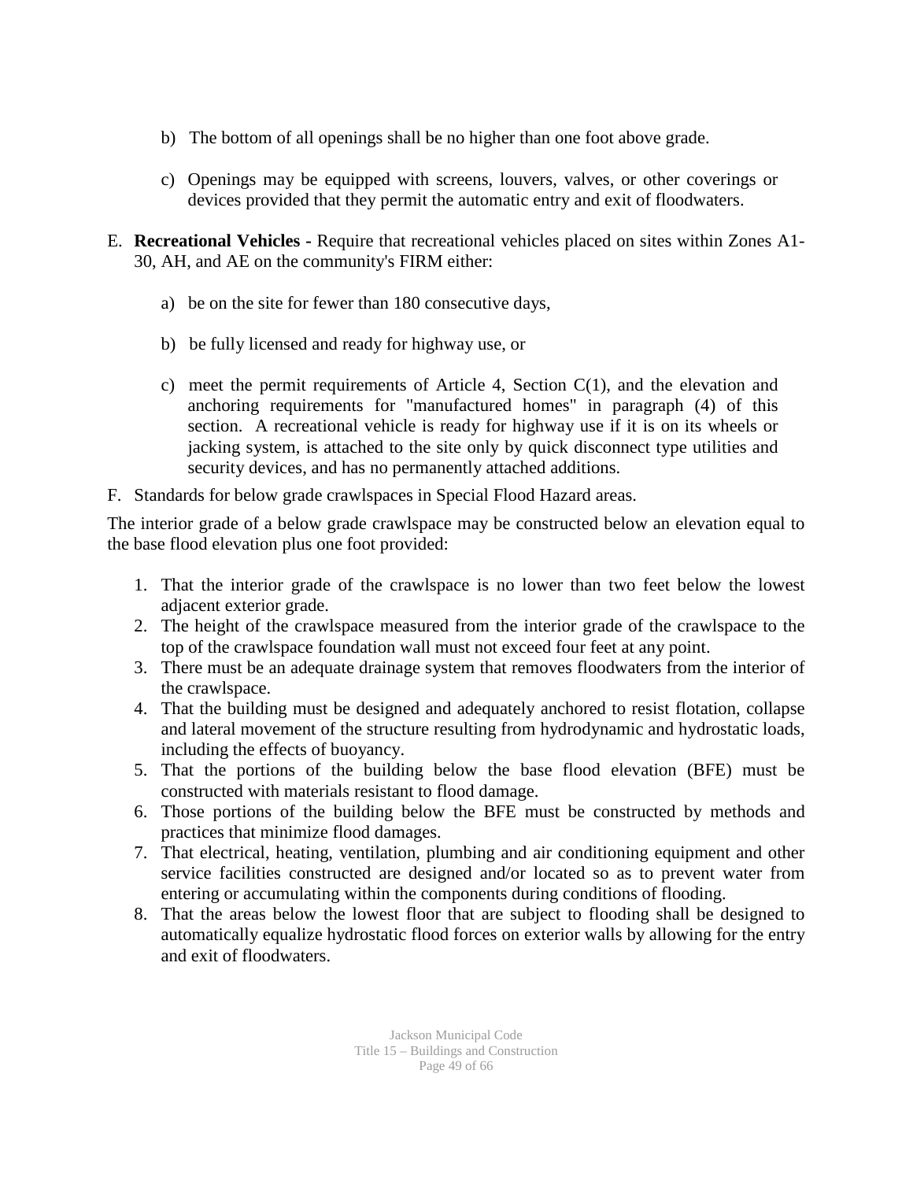- b) The bottom of all openings shall be no higher than one foot above grade.
- c) Openings may be equipped with screens, louvers, valves, or other coverings or devices provided that they permit the automatic entry and exit of floodwaters.
- E. **Recreational Vehicles -** Require that recreational vehicles placed on sites within Zones A1- 30, AH, and AE on the community's FIRM either:
	- a) be on the site for fewer than 180 consecutive days,
	- b) be fully licensed and ready for highway use, or
	- c) meet the permit requirements of Article 4, Section C(1), and the elevation and anchoring requirements for "manufactured homes" in paragraph (4) of this section. A recreational vehicle is ready for highway use if it is on its wheels or jacking system, is attached to the site only by quick disconnect type utilities and security devices, and has no permanently attached additions.
- F. Standards for below grade crawlspaces in Special Flood Hazard areas.

The interior grade of a below grade crawlspace may be constructed below an elevation equal to the base flood elevation plus one foot provided:

- 1. That the interior grade of the crawlspace is no lower than two feet below the lowest adjacent exterior grade.
- 2. The height of the crawlspace measured from the interior grade of the crawlspace to the top of the crawlspace foundation wall must not exceed four feet at any point.
- 3. There must be an adequate drainage system that removes floodwaters from the interior of the crawlspace.
- 4. That the building must be designed and adequately anchored to resist flotation, collapse and lateral movement of the structure resulting from hydrodynamic and hydrostatic loads, including the effects of buoyancy.
- 5. That the portions of the building below the base flood elevation (BFE) must be constructed with materials resistant to flood damage.
- 6. Those portions of the building below the BFE must be constructed by methods and practices that minimize flood damages.
- 7. That electrical, heating, ventilation, plumbing and air conditioning equipment and other service facilities constructed are designed and/or located so as to prevent water from entering or accumulating within the components during conditions of flooding.
- 8. That the areas below the lowest floor that are subject to flooding shall be designed to automatically equalize hydrostatic flood forces on exterior walls by allowing for the entry and exit of floodwaters.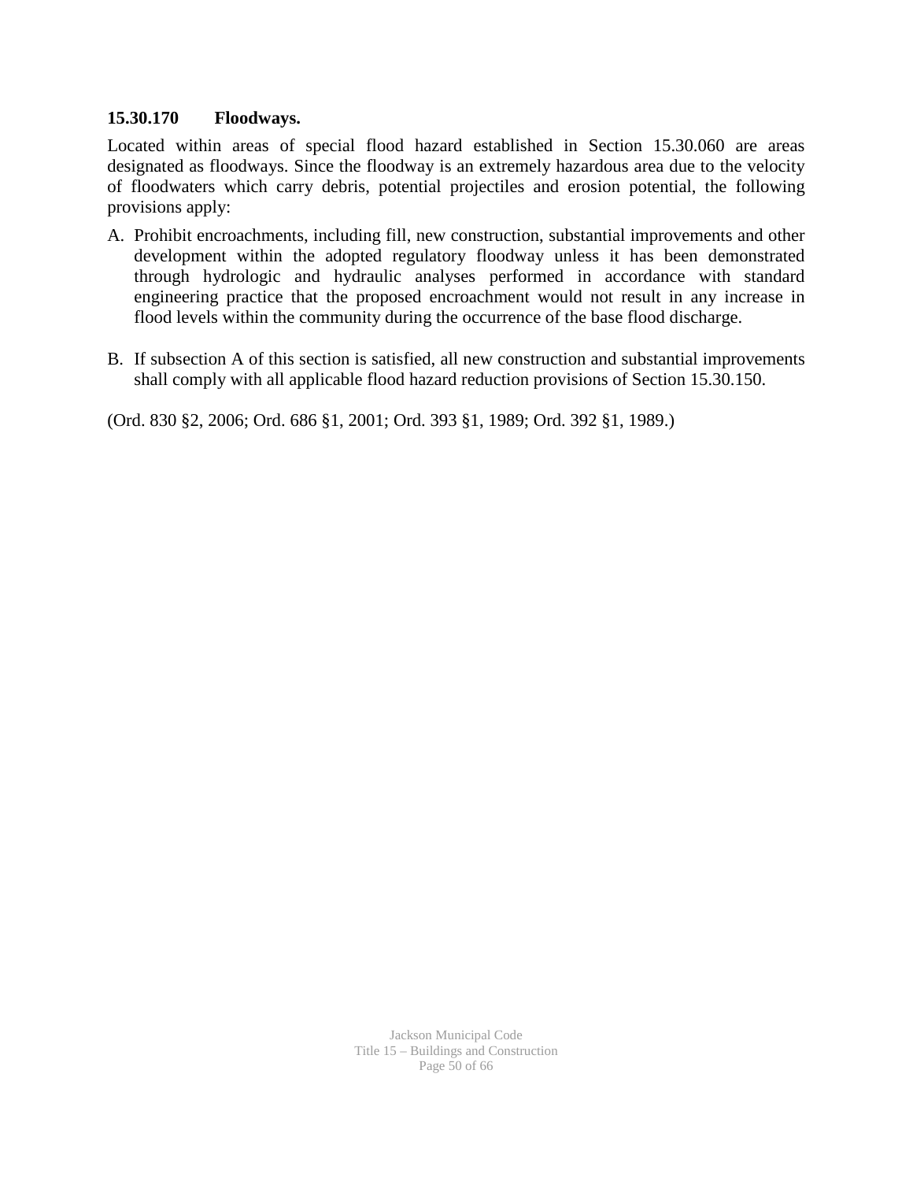#### **15.30.170 Floodways.**

Located within areas of special flood hazard established in Section 15.30.060 are areas designated as floodways. Since the floodway is an extremely hazardous area due to the velocity of floodwaters which carry debris, potential projectiles and erosion potential, the following provisions apply:

- A. Prohibit encroachments, including fill, new construction, substantial improvements and other development within the adopted regulatory floodway unless it has been demonstrated through hydrologic and hydraulic analyses performed in accordance with standard engineering practice that the proposed encroachment would not result in any increase in flood levels within the community during the occurrence of the base flood discharge.
- B. If subsection A of this section is satisfied, all new construction and substantial improvements shall comply with all applicable flood hazard reduction provisions of Section 15.30.150.

(Ord. 830 §2, 2006; Ord. 686 §1, 2001; Ord. 393 §1, 1989; Ord. 392 §1, 1989.)

Jackson Municipal Code Title 15 – Buildings and Construction Page 50 of 66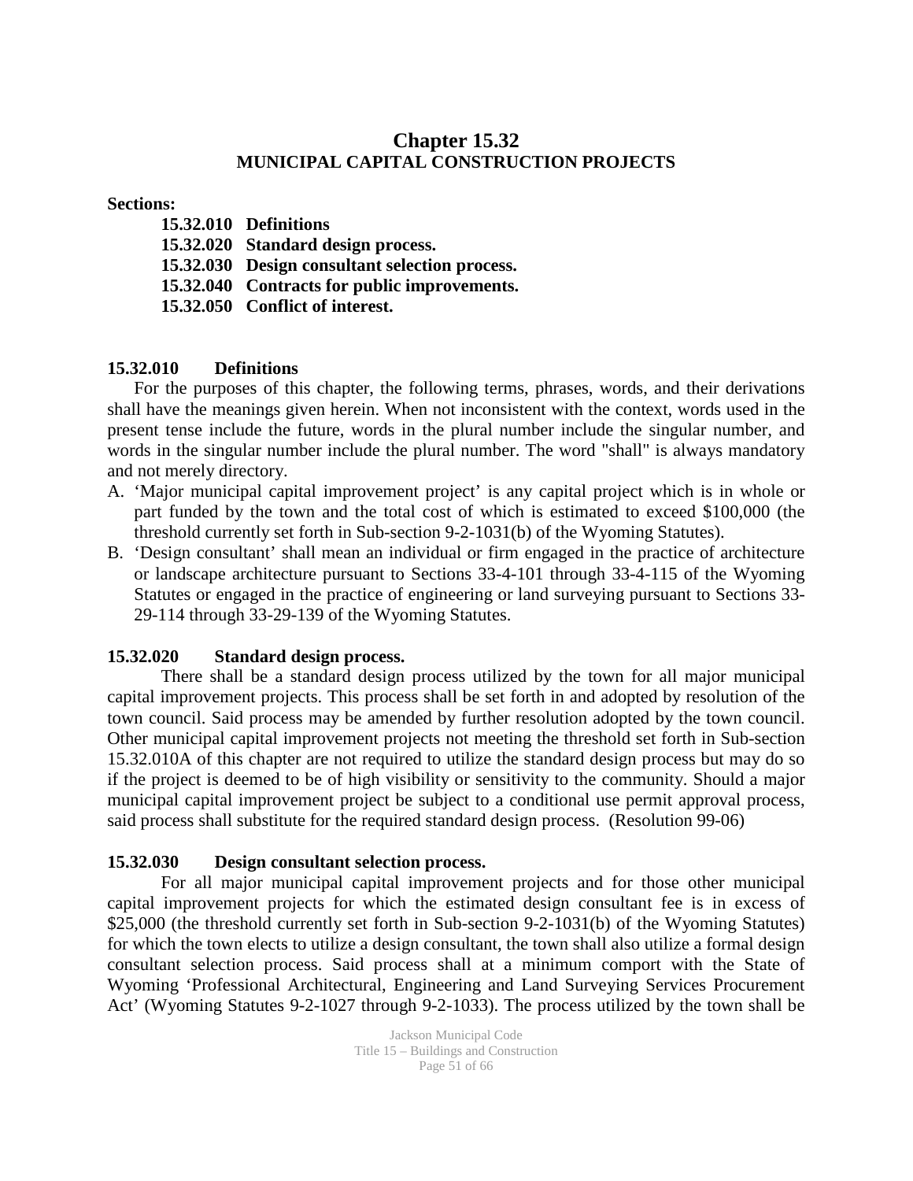### **Chapter 15.32 MUNICIPAL CAPITAL CONSTRUCTION PROJECTS**

#### **Sections:**

**15.32.010 Definitions 15.32.020 Standard design process. 15.32.030 Design consultant selection process. 15.32.040 Contracts for public improvements. 15.32.050 Conflict of interest.**

#### **15.32.010 Definitions**

For the purposes of this chapter, the following terms, phrases, words, and their derivations shall have the meanings given herein. When not inconsistent with the context, words used in the present tense include the future, words in the plural number include the singular number, and words in the singular number include the plural number. The word "shall" is always mandatory and not merely directory.

- A. 'Major municipal capital improvement project' is any capital project which is in whole or part funded by the town and the total cost of which is estimated to exceed \$100,000 (the threshold currently set forth in Sub-section 9-2-1031(b) of the Wyoming Statutes).
- B. 'Design consultant' shall mean an individual or firm engaged in the practice of architecture or landscape architecture pursuant to Sections 33-4-101 through 33-4-115 of the Wyoming Statutes or engaged in the practice of engineering or land surveying pursuant to Sections 33- 29-114 through 33-29-139 of the Wyoming Statutes.

#### **15.32.020 Standard design process.**

There shall be a standard design process utilized by the town for all major municipal capital improvement projects. This process shall be set forth in and adopted by resolution of the town council. Said process may be amended by further resolution adopted by the town council. Other municipal capital improvement projects not meeting the threshold set forth in Sub-section 15.32.010A of this chapter are not required to utilize the standard design process but may do so if the project is deemed to be of high visibility or sensitivity to the community. Should a major municipal capital improvement project be subject to a conditional use permit approval process, said process shall substitute for the required standard design process. (Resolution 99-06)

### **15.32.030 Design consultant selection process.**

For all major municipal capital improvement projects and for those other municipal capital improvement projects for which the estimated design consultant fee is in excess of \$25,000 (the threshold currently set forth in Sub-section 9-2-1031(b) of the Wyoming Statutes) for which the town elects to utilize a design consultant, the town shall also utilize a formal design consultant selection process. Said process shall at a minimum comport with the State of Wyoming 'Professional Architectural, Engineering and Land Surveying Services Procurement Act' (Wyoming Statutes 9-2-1027 through 9-2-1033). The process utilized by the town shall be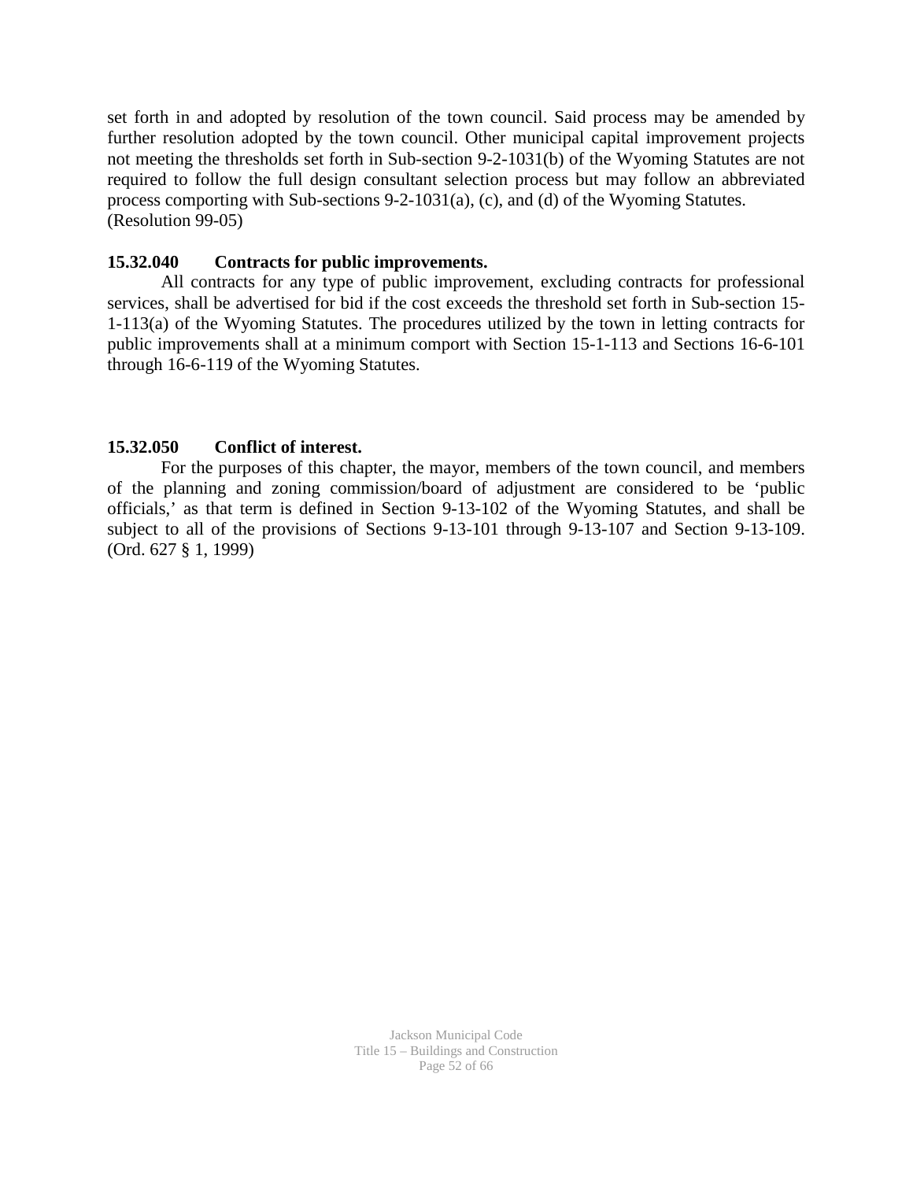set forth in and adopted by resolution of the town council. Said process may be amended by further resolution adopted by the town council. Other municipal capital improvement projects not meeting the thresholds set forth in Sub-section 9-2-1031(b) of the Wyoming Statutes are not required to follow the full design consultant selection process but may follow an abbreviated process comporting with Sub-sections 9-2-1031(a), (c), and (d) of the Wyoming Statutes. (Resolution 99-05)

#### **15.32.040 Contracts for public improvements.**

All contracts for any type of public improvement, excluding contracts for professional services, shall be advertised for bid if the cost exceeds the threshold set forth in Sub-section 15- 1-113(a) of the Wyoming Statutes. The procedures utilized by the town in letting contracts for public improvements shall at a minimum comport with Section 15-1-113 and Sections 16-6-101 through 16-6-119 of the Wyoming Statutes.

#### **15.32.050 Conflict of interest.**

For the purposes of this chapter, the mayor, members of the town council, and members of the planning and zoning commission/board of adjustment are considered to be 'public officials,' as that term is defined in Section 9-13-102 of the Wyoming Statutes, and shall be subject to all of the provisions of Sections 9-13-101 through 9-13-107 and Section 9-13-109. (Ord. 627 § 1, 1999)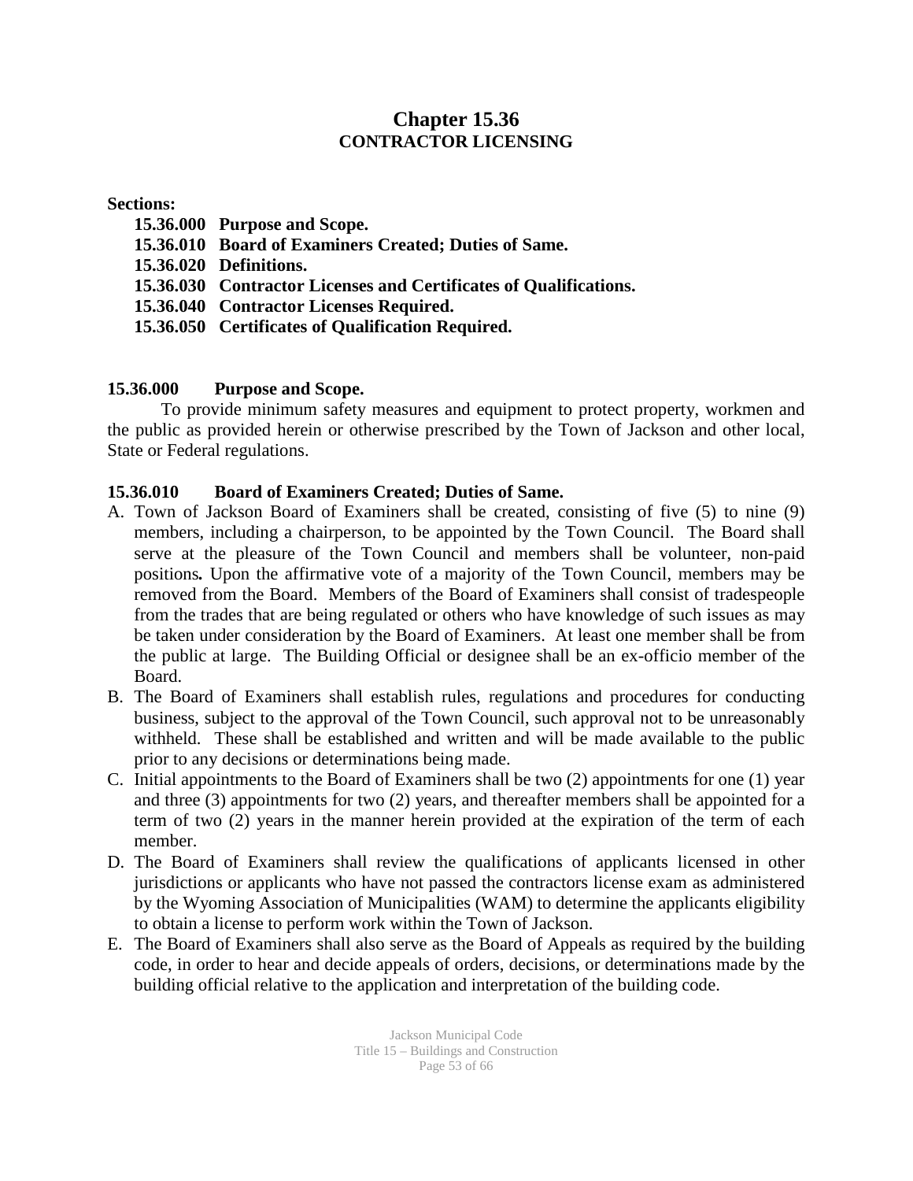### **Chapter 15.36 CONTRACTOR LICENSING**

#### **Sections:**

- **15.36.000 Purpose and Scope. 15.36.010 Board of Examiners Created; Duties of Same. 15.36.020 Definitions. 15.36.030 Contractor Licenses and Certificates of Qualifications.**
- **15.36.040 Contractor Licenses Required.**
- **15.36.050 Certificates of Qualification Required.**

### **15.36.000 Purpose and Scope.**

To provide minimum safety measures and equipment to protect property, workmen and the public as provided herein or otherwise prescribed by the Town of Jackson and other local, State or Federal regulations.

### **15.36.010 Board of Examiners Created; Duties of Same.**

- A. Town of Jackson Board of Examiners shall be created, consisting of five (5) to nine (9) members, including a chairperson, to be appointed by the Town Council. The Board shall serve at the pleasure of the Town Council and members shall be volunteer, non-paid positions*.* Upon the affirmative vote of a majority of the Town Council, members may be removed from the Board.Members of the Board of Examiners shall consist of tradespeople from the trades that are being regulated or others who have knowledge of such issues as may be taken under consideration by the Board of Examiners. At least one member shall be from the public at large. The Building Official or designee shall be an ex-officio member of the Board.
- B. The Board of Examiners shall establish rules, regulations and procedures for conducting business, subject to the approval of the Town Council, such approval not to be unreasonably withheld. These shall be established and written and will be made available to the public prior to any decisions or determinations being made.
- C. Initial appointments to the Board of Examiners shall be two (2) appointments for one (1) year and three (3) appointments for two (2) years, and thereafter members shall be appointed for a term of two (2) years in the manner herein provided at the expiration of the term of each member.
- D. The Board of Examiners shall review the qualifications of applicants licensed in other jurisdictions or applicants who have not passed the contractors license exam as administered by the Wyoming Association of Municipalities (WAM) to determine the applicants eligibility to obtain a license to perform work within the Town of Jackson.
- E. The Board of Examiners shall also serve as the Board of Appeals as required by the building code, in order to hear and decide appeals of orders, decisions, or determinations made by the building official relative to the application and interpretation of the building code.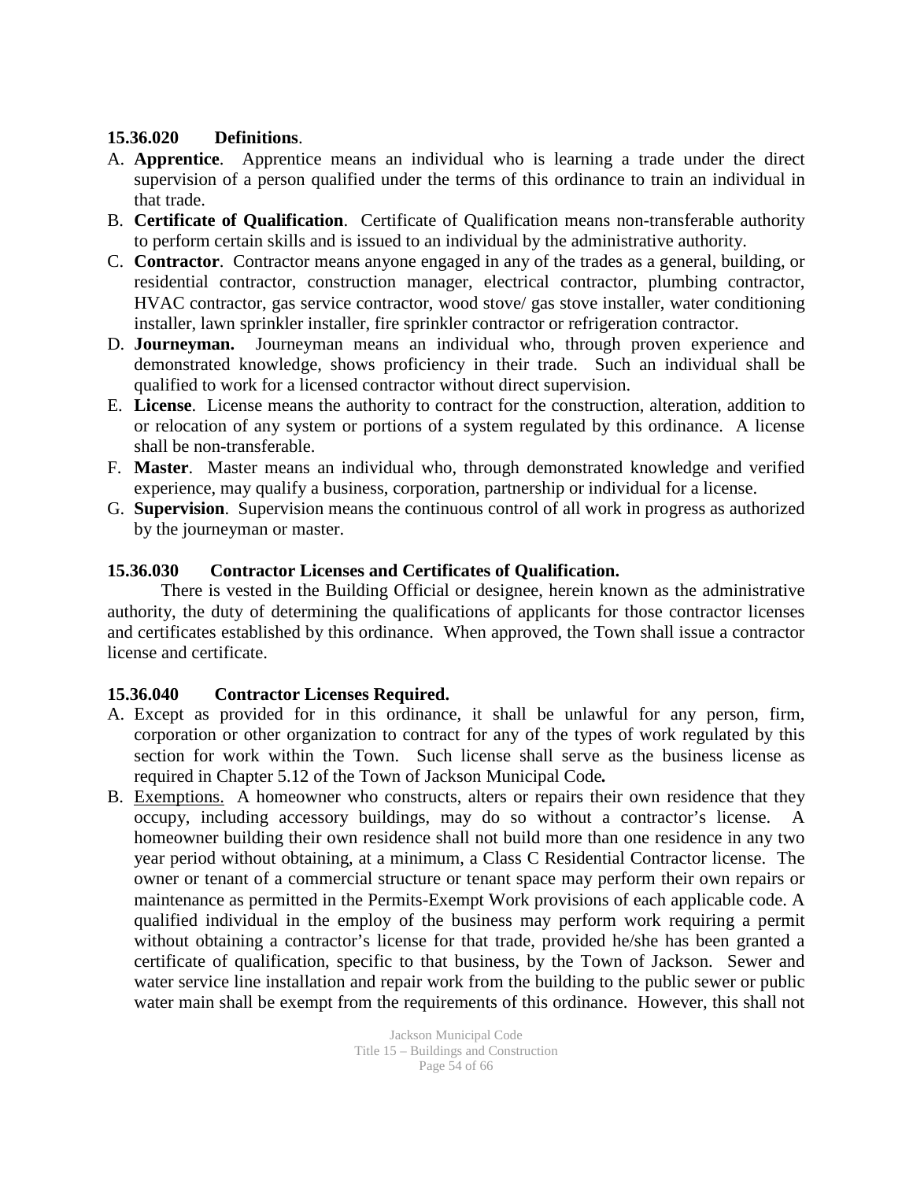### **15.36.020 Definitions**.

- A. **Apprentice**. Apprentice means an individual who is learning a trade under the direct supervision of a person qualified under the terms of this ordinance to train an individual in that trade.
- B. **Certificate of Qualification**. Certificate of Qualification means non-transferable authority to perform certain skills and is issued to an individual by the administrative authority.
- C. **Contractor**. Contractor means anyone engaged in any of the trades as a general, building, or residential contractor, construction manager, electrical contractor, plumbing contractor, HVAC contractor, gas service contractor, wood stove/ gas stove installer, water conditioning installer, lawn sprinkler installer, fire sprinkler contractor or refrigeration contractor.
- D. **Journeyman.** Journeyman means an individual who, through proven experience and demonstrated knowledge, shows proficiency in their trade. Such an individual shall be qualified to work for a licensed contractor without direct supervision.
- E. **License**. License means the authority to contract for the construction, alteration, addition to or relocation of any system or portions of a system regulated by this ordinance. A license shall be non-transferable.
- F. **Master**. Master means an individual who, through demonstrated knowledge and verified experience, may qualify a business, corporation, partnership or individual for a license.
- G. **Supervision**. Supervision means the continuous control of all work in progress as authorized by the journeyman or master.

### **15.36.030 Contractor Licenses and Certificates of Qualification.**

There is vested in the Building Official or designee, herein known as the administrative authority, the duty of determining the qualifications of applicants for those contractor licenses and certificates established by this ordinance. When approved, the Town shall issue a contractor license and certificate.

### **15.36.040 Contractor Licenses Required.**

- A. Except as provided for in this ordinance, it shall be unlawful for any person, firm, corporation or other organization to contract for any of the types of work regulated by this section for work within the Town. Such license shall serve as the business license as required in Chapter 5.12 of the Town of Jackson Municipal Code*.*
- B. Exemptions. A homeowner who constructs, alters or repairs their own residence that they occupy, including accessory buildings, may do so without a contractor's license. A homeowner building their own residence shall not build more than one residence in any two year period without obtaining, at a minimum, a Class C Residential Contractor license. The owner or tenant of a commercial structure or tenant space may perform their own repairs or maintenance as permitted in the Permits-Exempt Work provisions of each applicable code. A qualified individual in the employ of the business may perform work requiring a permit without obtaining a contractor's license for that trade, provided he/she has been granted a certificate of qualification, specific to that business, by the Town of Jackson. Sewer and water service line installation and repair work from the building to the public sewer or public water main shall be exempt from the requirements of this ordinance. However, this shall not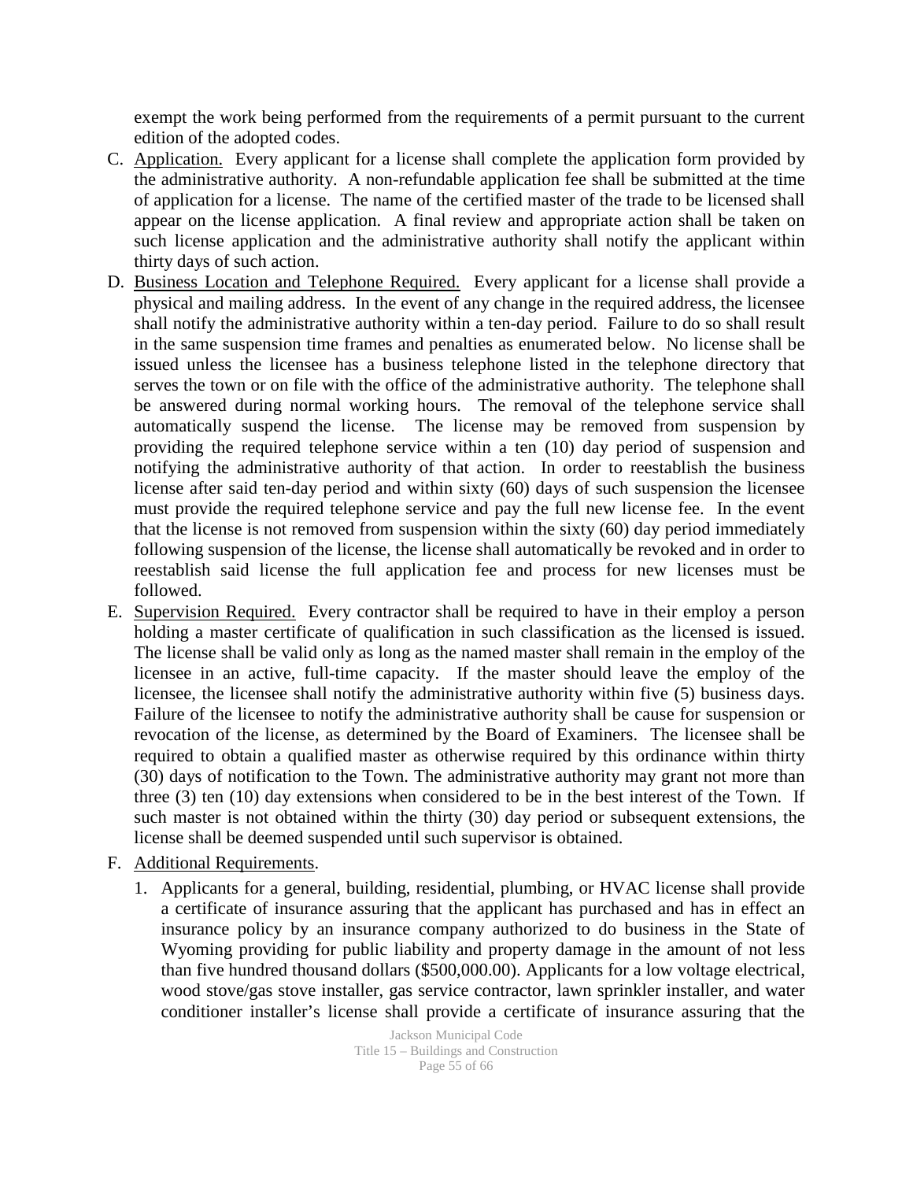exempt the work being performed from the requirements of a permit pursuant to the current edition of the adopted codes.

- C. Application. Every applicant for a license shall complete the application form provided by the administrative authority. A non-refundable application fee shall be submitted at the time of application for a license. The name of the certified master of the trade to be licensed shall appear on the license application. A final review and appropriate action shall be taken on such license application and the administrative authority shall notify the applicant within thirty days of such action.
- D. Business Location and Telephone Required. Every applicant for a license shall provide a physical and mailing address. In the event of any change in the required address, the licensee shall notify the administrative authority within a ten-day period. Failure to do so shall result in the same suspension time frames and penalties as enumerated below. No license shall be issued unless the licensee has a business telephone listed in the telephone directory that serves the town or on file with the office of the administrative authority. The telephone shall be answered during normal working hours. The removal of the telephone service shall automatically suspend the license. The license may be removed from suspension by providing the required telephone service within a ten (10) day period of suspension and notifying the administrative authority of that action. In order to reestablish the business license after said ten-day period and within sixty (60) days of such suspension the licensee must provide the required telephone service and pay the full new license fee. In the event that the license is not removed from suspension within the sixty (60) day period immediately following suspension of the license, the license shall automatically be revoked and in order to reestablish said license the full application fee and process for new licenses must be followed.
- E. Supervision Required. Every contractor shall be required to have in their employ a person holding a master certificate of qualification in such classification as the licensed is issued. The license shall be valid only as long as the named master shall remain in the employ of the licensee in an active, full-time capacity. If the master should leave the employ of the licensee, the licensee shall notify the administrative authority within five (5) business days. Failure of the licensee to notify the administrative authority shall be cause for suspension or revocation of the license, as determined by the Board of Examiners. The licensee shall be required to obtain a qualified master as otherwise required by this ordinance within thirty (30) days of notification to the Town. The administrative authority may grant not more than three (3) ten (10) day extensions when considered to be in the best interest of the Town. If such master is not obtained within the thirty (30) day period or subsequent extensions, the license shall be deemed suspended until such supervisor is obtained.
- F. Additional Requirements.
	- 1. Applicants for a general, building, residential, plumbing, or HVAC license shall provide a certificate of insurance assuring that the applicant has purchased and has in effect an insurance policy by an insurance company authorized to do business in the State of Wyoming providing for public liability and property damage in the amount of not less than five hundred thousand dollars (\$500,000.00). Applicants for a low voltage electrical, wood stove/gas stove installer, gas service contractor, lawn sprinkler installer, and water conditioner installer's license shall provide a certificate of insurance assuring that the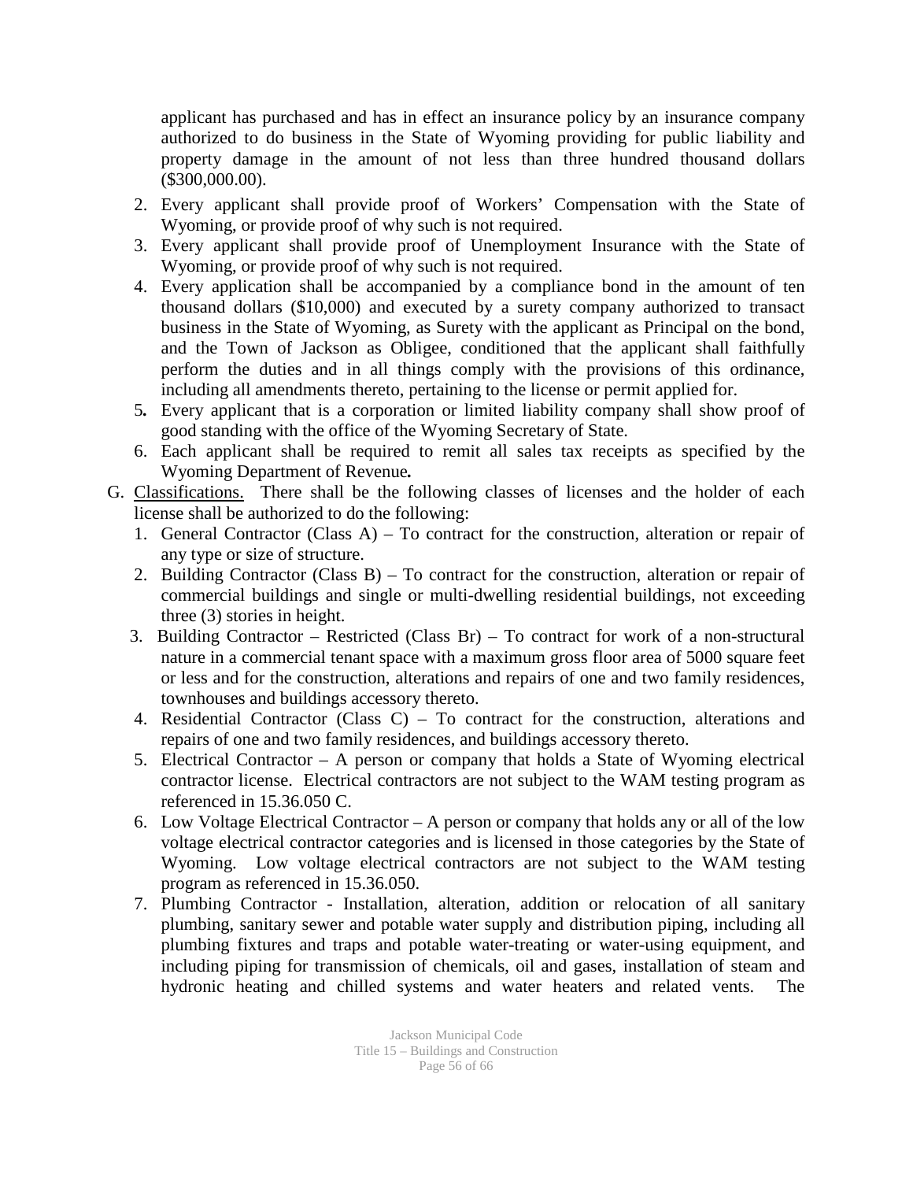applicant has purchased and has in effect an insurance policy by an insurance company authorized to do business in the State of Wyoming providing for public liability and property damage in the amount of not less than three hundred thousand dollars (\$300,000.00).

- 2. Every applicant shall provide proof of Workers' Compensation with the State of Wyoming, or provide proof of why such is not required.
- 3. Every applicant shall provide proof of Unemployment Insurance with the State of Wyoming, or provide proof of why such is not required.
- 4. Every application shall be accompanied by a compliance bond in the amount of ten thousand dollars (\$10,000) and executed by a surety company authorized to transact business in the State of Wyoming, as Surety with the applicant as Principal on the bond, and the Town of Jackson as Obligee, conditioned that the applicant shall faithfully perform the duties and in all things comply with the provisions of this ordinance, including all amendments thereto, pertaining to the license or permit applied for.
- 5*.* Every applicant that is a corporation or limited liability company shall show proof of good standing with the office of the Wyoming Secretary of State.
- 6. Each applicant shall be required to remit all sales tax receipts as specified by the Wyoming Department of Revenue*.*
- G. Classifications. There shall be the following classes of licenses and the holder of each license shall be authorized to do the following:
	- 1. General Contractor (Class A) To contract for the construction, alteration or repair of any type or size of structure.
	- 2. Building Contractor (Class B) To contract for the construction, alteration or repair of commercial buildings and single or multi-dwelling residential buildings, not exceeding three (3) stories in height.
	- 3. Building Contractor Restricted (Class Br) To contract for work of a non-structural nature in a commercial tenant space with a maximum gross floor area of 5000 square feet or less and for the construction, alterations and repairs of one and two family residences, townhouses and buildings accessory thereto.
	- 4. Residential Contractor (Class C) To contract for the construction, alterations and repairs of one and two family residences, and buildings accessory thereto.
	- 5. Electrical Contractor A person or company that holds a State of Wyoming electrical contractor license. Electrical contractors are not subject to the WAM testing program as referenced in 15.36.050 C.
	- 6. Low Voltage Electrical Contractor A person or company that holds any or all of the low voltage electrical contractor categories and is licensed in those categories by the State of Wyoming. Low voltage electrical contractors are not subject to the WAM testing program as referenced in 15.36.050.
	- 7. Plumbing Contractor Installation, alteration, addition or relocation of all sanitary plumbing, sanitary sewer and potable water supply and distribution piping, including all plumbing fixtures and traps and potable water-treating or water-using equipment, and including piping for transmission of chemicals, oil and gases, installation of steam and hydronic heating and chilled systems and water heaters and related vents. The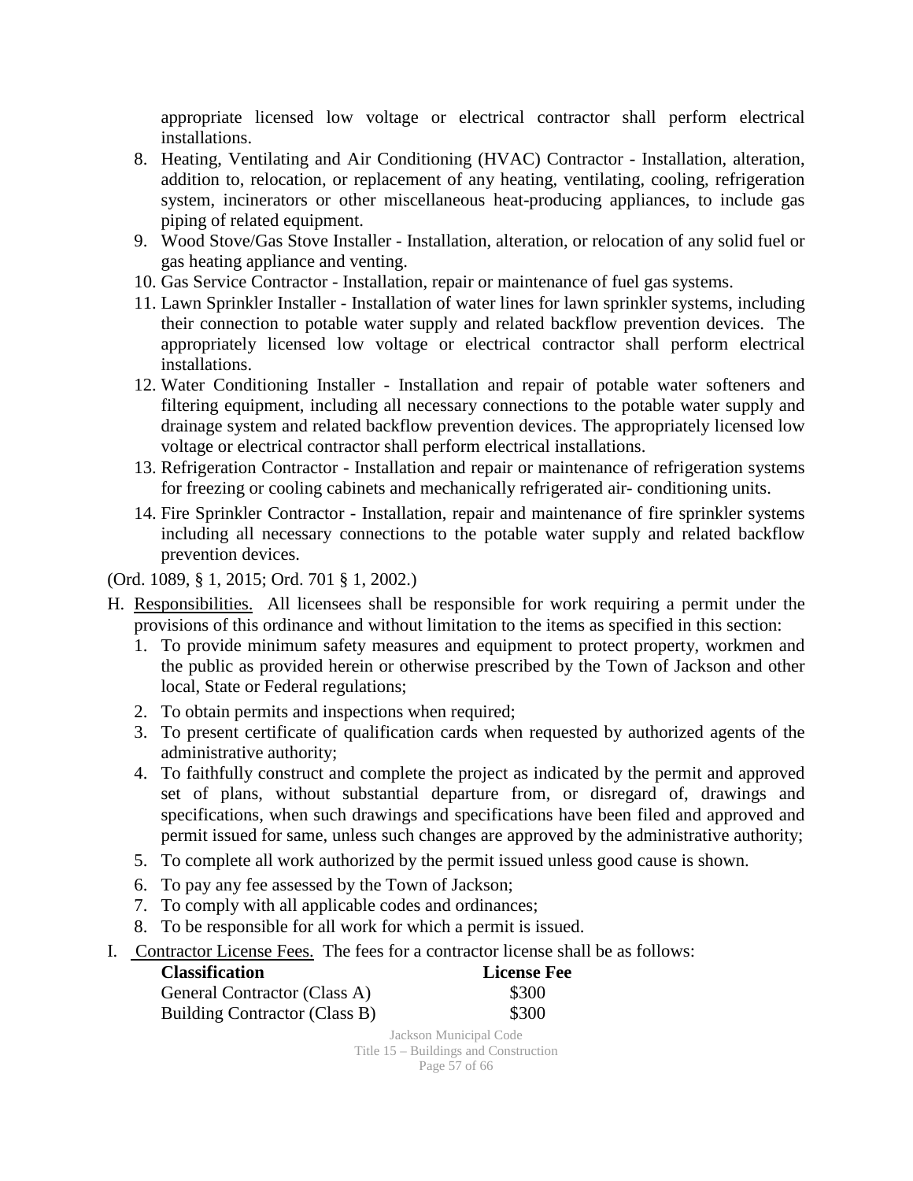appropriate licensed low voltage or electrical contractor shall perform electrical installations.

- 8. Heating, Ventilating and Air Conditioning (HVAC) Contractor Installation, alteration, addition to, relocation, or replacement of any heating, ventilating, cooling, refrigeration system, incinerators or other miscellaneous heat-producing appliances, to include gas piping of related equipment.
- 9. Wood Stove/Gas Stove Installer Installation, alteration, or relocation of any solid fuel or gas heating appliance and venting.
- 10. Gas Service Contractor Installation, repair or maintenance of fuel gas systems.
- 11. Lawn Sprinkler Installer Installation of water lines for lawn sprinkler systems, including their connection to potable water supply and related backflow prevention devices. The appropriately licensed low voltage or electrical contractor shall perform electrical installations.
- 12. Water Conditioning Installer Installation and repair of potable water softeners and filtering equipment, including all necessary connections to the potable water supply and drainage system and related backflow prevention devices. The appropriately licensed low voltage or electrical contractor shall perform electrical installations.
- 13. Refrigeration Contractor Installation and repair or maintenance of refrigeration systems for freezing or cooling cabinets and mechanically refrigerated air- conditioning units.
- 14. Fire Sprinkler Contractor Installation, repair and maintenance of fire sprinkler systems including all necessary connections to the potable water supply and related backflow prevention devices.

(Ord. 1089, § 1, 2015; Ord. 701 § 1, 2002.)

- H. Responsibilities. All licensees shall be responsible for work requiring a permit under the provisions of this ordinance and without limitation to the items as specified in this section:
	- 1. To provide minimum safety measures and equipment to protect property, workmen and the public as provided herein or otherwise prescribed by the Town of Jackson and other local, State or Federal regulations;
	- 2. To obtain permits and inspections when required;
	- 3. To present certificate of qualification cards when requested by authorized agents of the administrative authority;
	- 4. To faithfully construct and complete the project as indicated by the permit and approved set of plans, without substantial departure from, or disregard of, drawings and specifications, when such drawings and specifications have been filed and approved and permit issued for same, unless such changes are approved by the administrative authority;
	- 5. To complete all work authorized by the permit issued unless good cause is shown.
	- 6. To pay any fee assessed by the Town of Jackson;
	- 7. To comply with all applicable codes and ordinances;
	- 8. To be responsible for all work for which a permit is issued.
- I. Contractor License Fees. The fees for a contractor license shall be as follows:

| <b>Classification</b>         | <b>License Fee</b> |
|-------------------------------|--------------------|
| General Contractor (Class A)  | \$300              |
| Building Contractor (Class B) | \$300              |
|                               | T 1 3 F 1 C 1      |

Jackson Municipal Code Title 15 – Buildings and Construction Page 57 of 66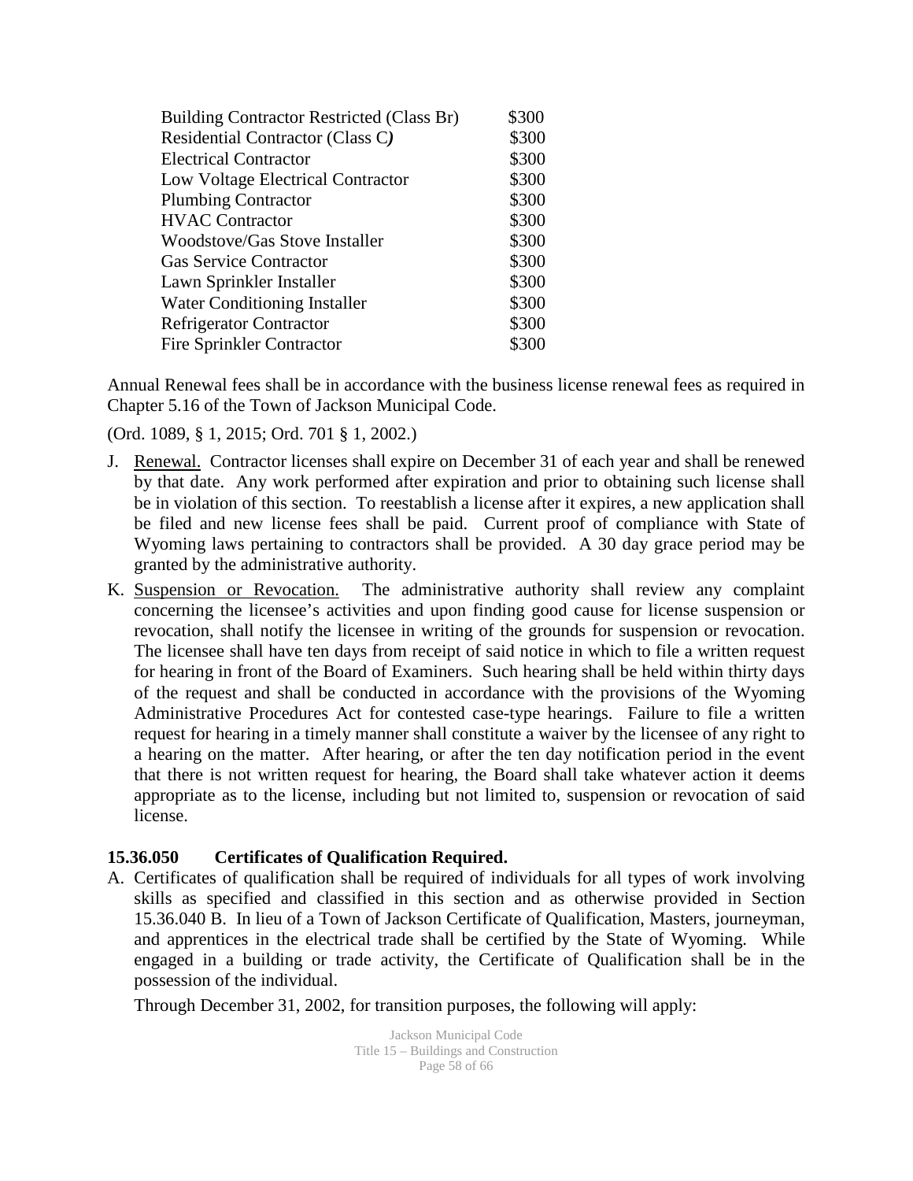| Building Contractor Restricted (Class Br) | \$300 |
|-------------------------------------------|-------|
| Residential Contractor (Class C)          | \$300 |
| <b>Electrical Contractor</b>              | \$300 |
| Low Voltage Electrical Contractor         | \$300 |
| <b>Plumbing Contractor</b>                | \$300 |
| <b>HVAC Contractor</b>                    | \$300 |
| <b>Woodstove/Gas Stove Installer</b>      | \$300 |
| <b>Gas Service Contractor</b>             | \$300 |
| Lawn Sprinkler Installer                  | \$300 |
| Water Conditioning Installer              | \$300 |
| <b>Refrigerator Contractor</b>            | \$300 |
| <b>Fire Sprinkler Contractor</b>          | \$300 |

Annual Renewal fees shall be in accordance with the business license renewal fees as required in Chapter 5.16 of the Town of Jackson Municipal Code.

(Ord. 1089, § 1, 2015; Ord. 701 § 1, 2002.)

- J. Renewal. Contractor licenses shall expire on December 31 of each year and shall be renewed by that date. Any work performed after expiration and prior to obtaining such license shall be in violation of this section. To reestablish a license after it expires, a new application shall be filed and new license fees shall be paid. Current proof of compliance with State of Wyoming laws pertaining to contractors shall be provided. A 30 day grace period may be granted by the administrative authority.
- K. Suspension or Revocation. The administrative authority shall review any complaint concerning the licensee's activities and upon finding good cause for license suspension or revocation, shall notify the licensee in writing of the grounds for suspension or revocation. The licensee shall have ten days from receipt of said notice in which to file a written request for hearing in front of the Board of Examiners. Such hearing shall be held within thirty days of the request and shall be conducted in accordance with the provisions of the Wyoming Administrative Procedures Act for contested case-type hearings. Failure to file a written request for hearing in a timely manner shall constitute a waiver by the licensee of any right to a hearing on the matter. After hearing, or after the ten day notification period in the event that there is not written request for hearing, the Board shall take whatever action it deems appropriate as to the license, including but not limited to, suspension or revocation of said license.

#### **15.36.050 Certificates of Qualification Required.**

A. Certificates of qualification shall be required of individuals for all types of work involving skills as specified and classified in this section and as otherwise provided in Section 15.36.040 B. In lieu of a Town of Jackson Certificate of Qualification, Masters, journeyman, and apprentices in the electrical trade shall be certified by the State of Wyoming. While engaged in a building or trade activity, the Certificate of Qualification shall be in the possession of the individual.

Through December 31, 2002, for transition purposes, the following will apply:

Jackson Municipal Code Title 15 – Buildings and Construction Page 58 of 66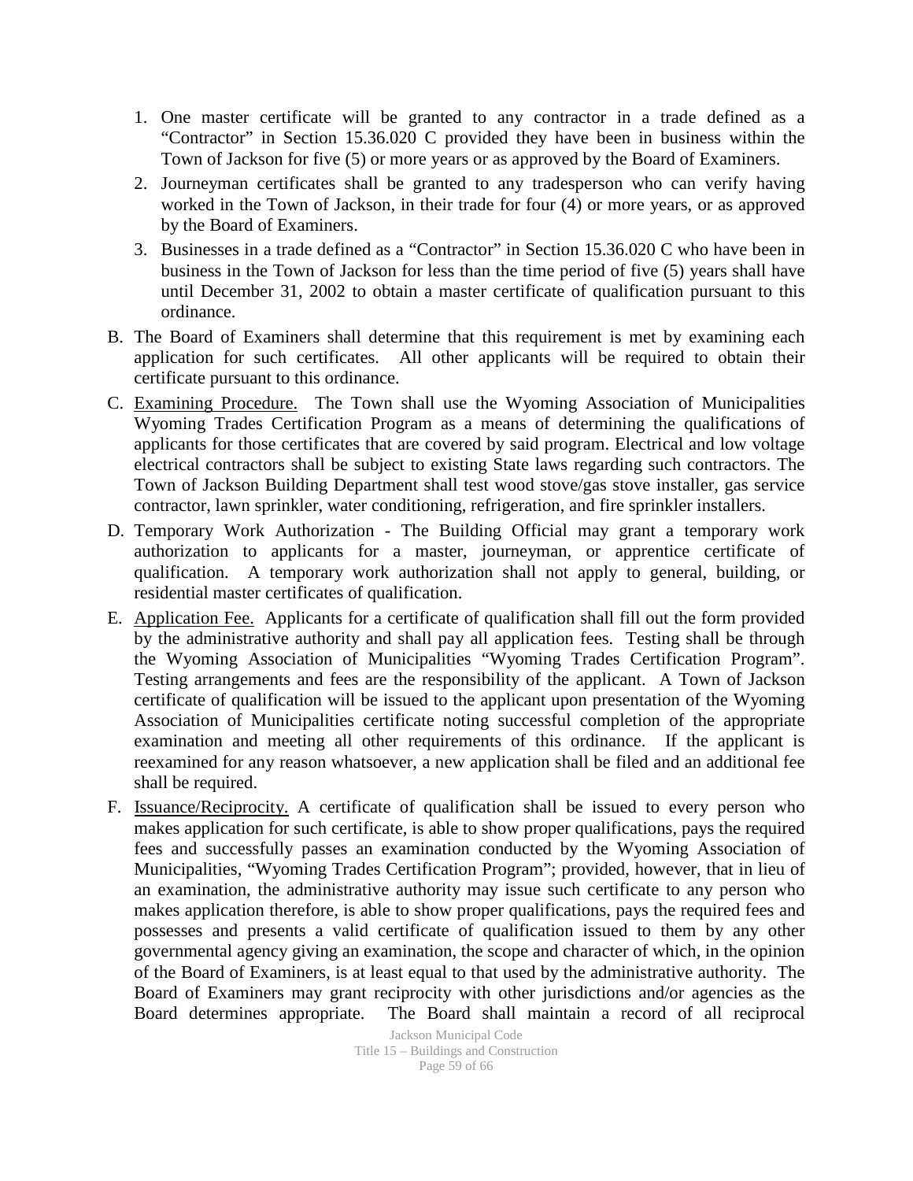- 1. One master certificate will be granted to any contractor in a trade defined as a "Contractor" in Section 15.36.020 C provided they have been in business within the Town of Jackson for five (5) or more years or as approved by the Board of Examiners.
- 2. Journeyman certificates shall be granted to any tradesperson who can verify having worked in the Town of Jackson, in their trade for four (4) or more years, or as approved by the Board of Examiners.
- 3. Businesses in a trade defined as a "Contractor" in Section 15.36.020 C who have been in business in the Town of Jackson for less than the time period of five (5) years shall have until December 31, 2002 to obtain a master certificate of qualification pursuant to this ordinance.
- B. The Board of Examiners shall determine that this requirement is met by examining each application for such certificates. All other applicants will be required to obtain their certificate pursuant to this ordinance.
- C. Examining Procedure. The Town shall use the Wyoming Association of Municipalities Wyoming Trades Certification Program as a means of determining the qualifications of applicants for those certificates that are covered by said program. Electrical and low voltage electrical contractors shall be subject to existing State laws regarding such contractors. The Town of Jackson Building Department shall test wood stove/gas stove installer, gas service contractor, lawn sprinkler, water conditioning, refrigeration, and fire sprinkler installers.
- D. Temporary Work Authorization The Building Official may grant a temporary work authorization to applicants for a master, journeyman, or apprentice certificate of qualification. A temporary work authorization shall not apply to general, building, or residential master certificates of qualification.
- E. Application Fee. Applicants for a certificate of qualification shall fill out the form provided by the administrative authority and shall pay all application fees. Testing shall be through the Wyoming Association of Municipalities "Wyoming Trades Certification Program". Testing arrangements and fees are the responsibility of the applicant. A Town of Jackson certificate of qualification will be issued to the applicant upon presentation of the Wyoming Association of Municipalities certificate noting successful completion of the appropriate examination and meeting all other requirements of this ordinance. If the applicant is reexamined for any reason whatsoever, a new application shall be filed and an additional fee shall be required.
- F. Issuance/Reciprocity. A certificate of qualification shall be issued to every person who makes application for such certificate, is able to show proper qualifications, pays the required fees and successfully passes an examination conducted by the Wyoming Association of Municipalities, "Wyoming Trades Certification Program"; provided, however, that in lieu of an examination, the administrative authority may issue such certificate to any person who makes application therefore, is able to show proper qualifications, pays the required fees and possesses and presents a valid certificate of qualification issued to them by any other governmental agency giving an examination, the scope and character of which, in the opinion of the Board of Examiners, is at least equal to that used by the administrative authority. The Board of Examiners may grant reciprocity with other jurisdictions and/or agencies as the Board determines appropriate. The Board shall maintain a record of all reciprocal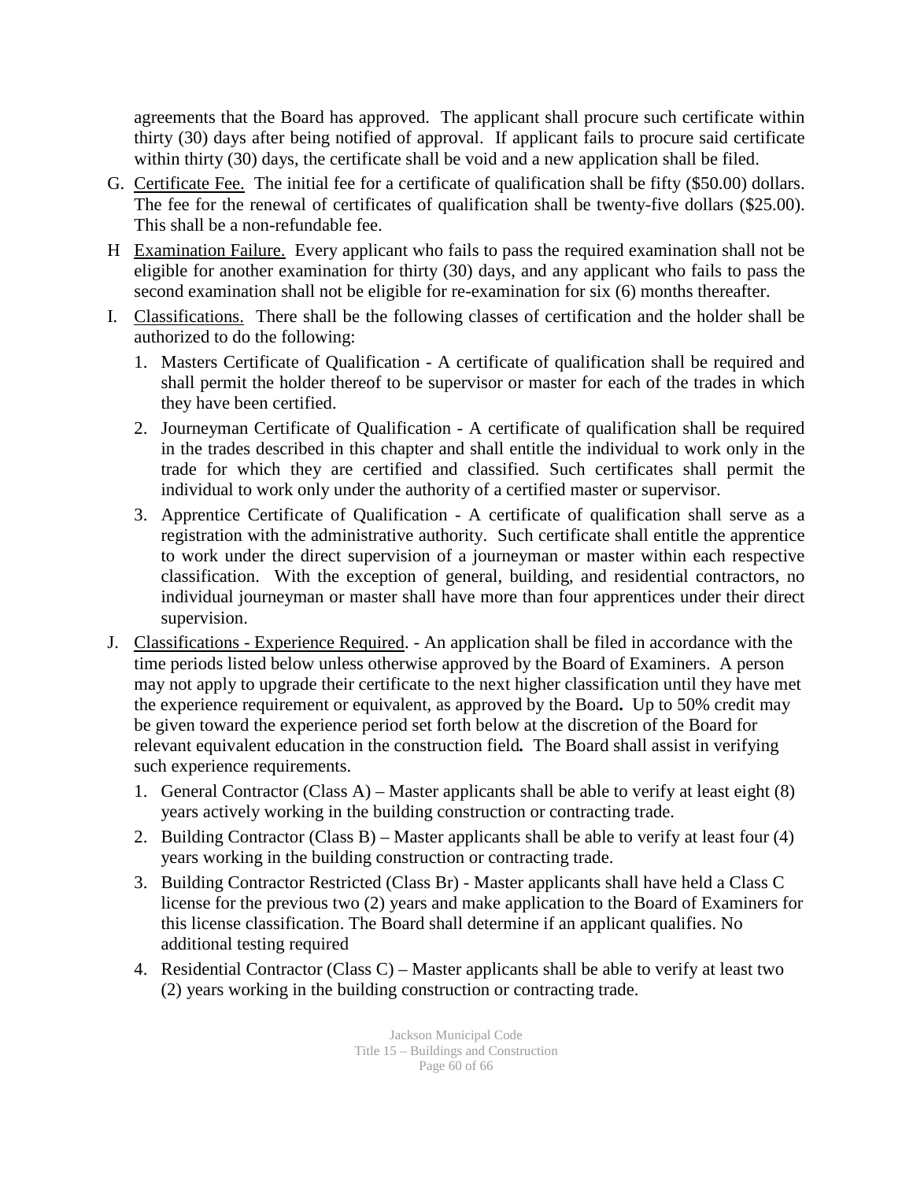agreements that the Board has approved. The applicant shall procure such certificate within thirty (30) days after being notified of approval. If applicant fails to procure said certificate within thirty (30) days, the certificate shall be void and a new application shall be filed.

- G. Certificate Fee. The initial fee for a certificate of qualification shall be fifty (\$50.00) dollars. The fee for the renewal of certificates of qualification shall be twenty-five dollars (\$25.00). This shall be a non-refundable fee.
- H Examination Failure. Every applicant who fails to pass the required examination shall not be eligible for another examination for thirty (30) days, and any applicant who fails to pass the second examination shall not be eligible for re-examination for six (6) months thereafter.
- I. Classifications. There shall be the following classes of certification and the holder shall be authorized to do the following:
	- 1. Masters Certificate of Qualification A certificate of qualification shall be required and shall permit the holder thereof to be supervisor or master for each of the trades in which they have been certified.
	- 2. Journeyman Certificate of Qualification A certificate of qualification shall be required in the trades described in this chapter and shall entitle the individual to work only in the trade for which they are certified and classified. Such certificates shall permit the individual to work only under the authority of a certified master or supervisor.
	- 3. Apprentice Certificate of Qualification A certificate of qualification shall serve as a registration with the administrative authority. Such certificate shall entitle the apprentice to work under the direct supervision of a journeyman or master within each respective classification. With the exception of general, building, and residential contractors, no individual journeyman or master shall have more than four apprentices under their direct supervision.
- J. Classifications Experience Required. An application shall be filed in accordance with the time periods listed below unless otherwise approved by the Board of Examiners. A person may not apply to upgrade their certificate to the next higher classification until they have met the experience requirement or equivalent, as approved by the Board**.** Up to 50% credit may be given toward the experience period set forth below at the discretion of the Board for relevant equivalent education in the construction field*.* The Board shall assist in verifying such experience requirements.
	- 1. General Contractor (Class A) Master applicants shall be able to verify at least eight (8) years actively working in the building construction or contracting trade.
	- 2. Building Contractor (Class B) Master applicants shall be able to verify at least four (4) years working in the building construction or contracting trade.
	- 3. Building Contractor Restricted (Class Br) Master applicants shall have held a Class C license for the previous two (2) years and make application to the Board of Examiners for this license classification. The Board shall determine if an applicant qualifies. No additional testing required
	- 4. Residential Contractor (Class C) Master applicants shall be able to verify at least two (2) years working in the building construction or contracting trade.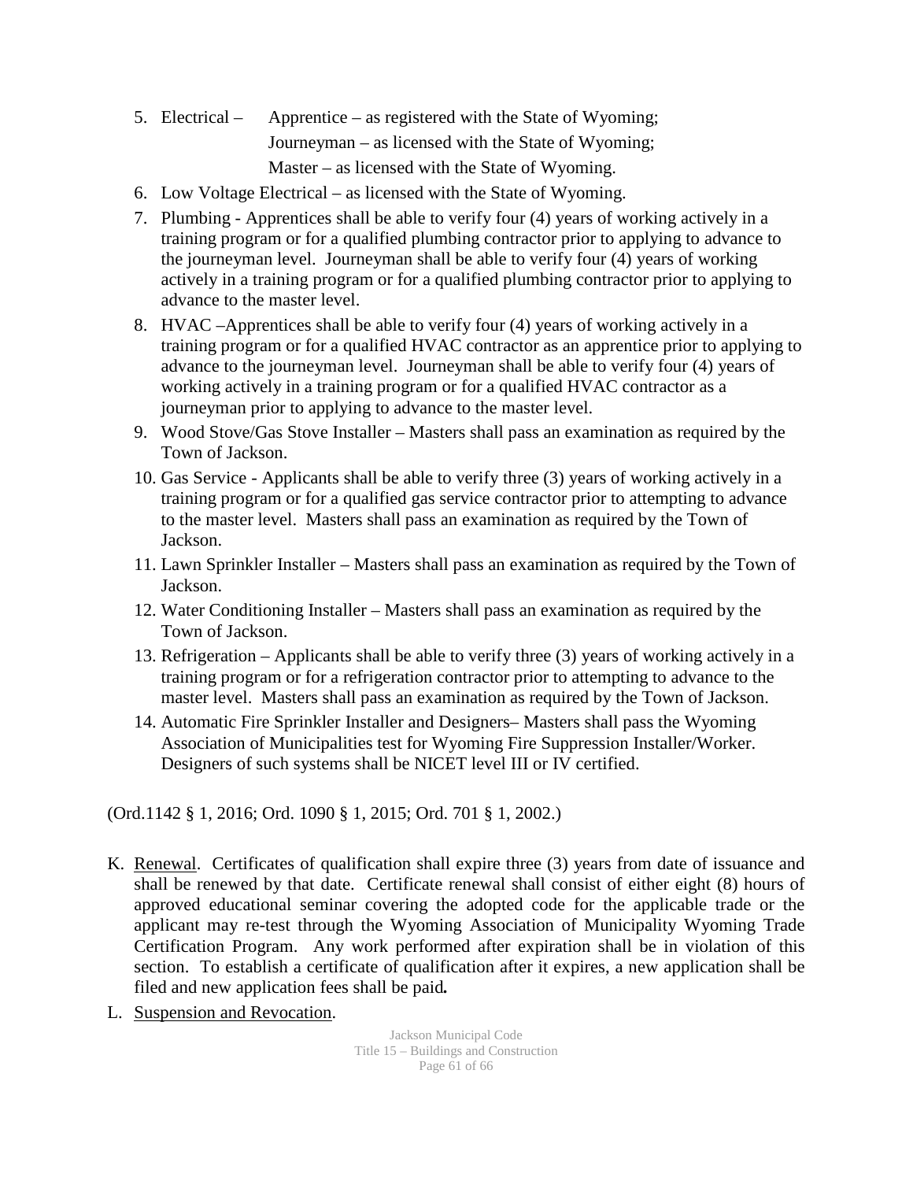- 5. Electrical Apprentice as registered with the State of Wyoming; Journeyman – as licensed with the State of Wyoming; Master – as licensed with the State of Wyoming.
- 6. Low Voltage Electrical as licensed with the State of Wyoming.
- 7. Plumbing Apprentices shall be able to verify four (4) years of working actively in a training program or for a qualified plumbing contractor prior to applying to advance to the journeyman level. Journeyman shall be able to verify four (4) years of working actively in a training program or for a qualified plumbing contractor prior to applying to advance to the master level.
- 8. HVAC –Apprentices shall be able to verify four (4) years of working actively in a training program or for a qualified HVAC contractor as an apprentice prior to applying to advance to the journeyman level. Journeyman shall be able to verify four (4) years of working actively in a training program or for a qualified HVAC contractor as a journeyman prior to applying to advance to the master level.
- 9. Wood Stove/Gas Stove Installer Masters shall pass an examination as required by the Town of Jackson.
- 10. Gas Service Applicants shall be able to verify three (3) years of working actively in a training program or for a qualified gas service contractor prior to attempting to advance to the master level. Masters shall pass an examination as required by the Town of Jackson.
- 11. Lawn Sprinkler Installer Masters shall pass an examination as required by the Town of Jackson.
- 12. Water Conditioning Installer Masters shall pass an examination as required by the Town of Jackson.
- 13. Refrigeration Applicants shall be able to verify three (3) years of working actively in a training program or for a refrigeration contractor prior to attempting to advance to the master level. Masters shall pass an examination as required by the Town of Jackson.
- 14. Automatic Fire Sprinkler Installer and Designers– Masters shall pass the Wyoming Association of Municipalities test for Wyoming Fire Suppression Installer/Worker. Designers of such systems shall be NICET level III or IV certified.

(Ord.1142 § 1, 2016; Ord. 1090 § 1, 2015; Ord. 701 § 1, 2002.)

- K. Renewal. Certificates of qualification shall expire three (3) years from date of issuance and shall be renewed by that date. Certificate renewal shall consist of either eight (8) hours of approved educational seminar covering the adopted code for the applicable trade or the applicant may re-test through the Wyoming Association of Municipality Wyoming Trade Certification Program. Any work performed after expiration shall be in violation of this section. To establish a certificate of qualification after it expires, a new application shall be filed and new application fees shall be paid*.*
- L. Suspension and Revocation.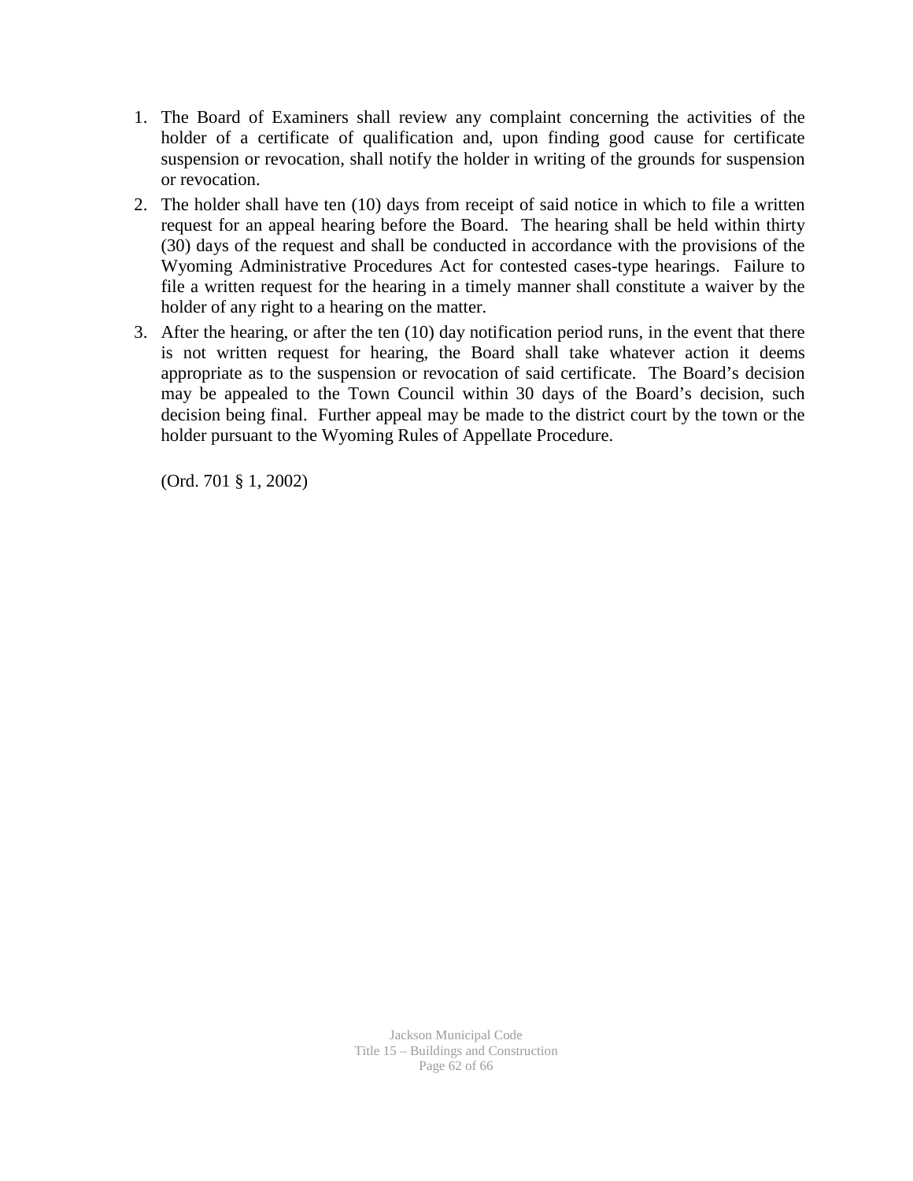- 1. The Board of Examiners shall review any complaint concerning the activities of the holder of a certificate of qualification and, upon finding good cause for certificate suspension or revocation, shall notify the holder in writing of the grounds for suspension or revocation.
- 2. The holder shall have ten (10) days from receipt of said notice in which to file a written request for an appeal hearing before the Board. The hearing shall be held within thirty (30) days of the request and shall be conducted in accordance with the provisions of the Wyoming Administrative Procedures Act for contested cases-type hearings. Failure to file a written request for the hearing in a timely manner shall constitute a waiver by the holder of any right to a hearing on the matter.
- 3. After the hearing, or after the ten (10) day notification period runs, in the event that there is not written request for hearing, the Board shall take whatever action it deems appropriate as to the suspension or revocation of said certificate. The Board's decision may be appealed to the Town Council within 30 days of the Board's decision, such decision being final. Further appeal may be made to the district court by the town or the holder pursuant to the Wyoming Rules of Appellate Procedure.

(Ord. 701 § 1, 2002)

Jackson Municipal Code Title 15 – Buildings and Construction Page 62 of 66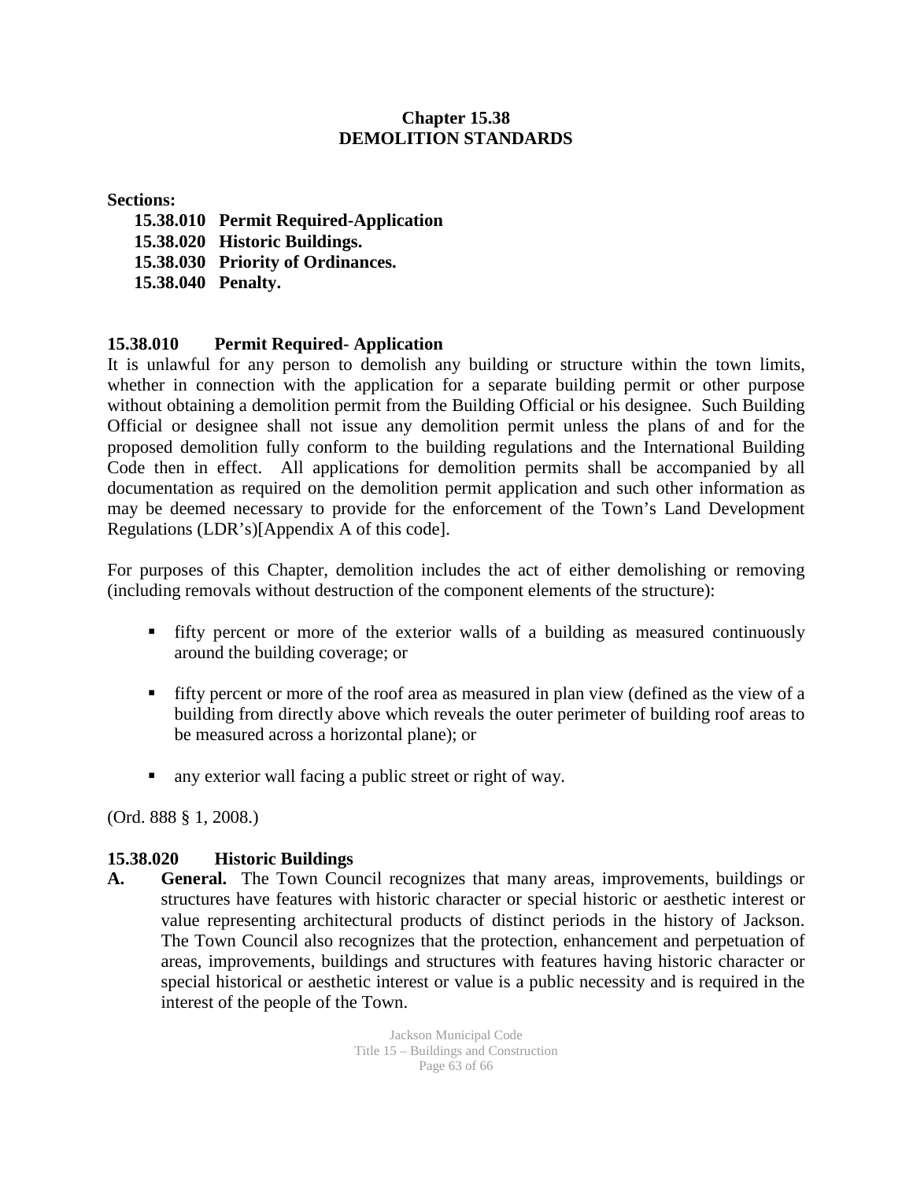### **Chapter 15.38 DEMOLITION STANDARDS**

#### **Sections:**

- **15.38.010 Permit Required-Application**
- **15.38.020 Historic Buildings.**
- **15.38.030 Priority of Ordinances.**
- **15.38.040 Penalty.**

### **15.38.010 Permit Required- Application**

It is unlawful for any person to demolish any building or structure within the town limits, whether in connection with the application for a separate building permit or other purpose without obtaining a demolition permit from the Building Official or his designee. Such Building Official or designee shall not issue any demolition permit unless the plans of and for the proposed demolition fully conform to the building regulations and the International Building Code then in effect. All applications for demolition permits shall be accompanied by all documentation as required on the demolition permit application and such other information as may be deemed necessary to provide for the enforcement of the Town's Land Development Regulations (LDR's)[Appendix A of this code].

For purposes of this Chapter, demolition includes the act of either demolishing or removing (including removals without destruction of the component elements of the structure):

- fifty percent or more of the exterior walls of a building as measured continuously around the building coverage; or
- fifty percent or more of the roof area as measured in plan view (defined as the view of a building from directly above which reveals the outer perimeter of building roof areas to be measured across a horizontal plane); or
- any exterior wall facing a public street or right of way.

(Ord. 888 § 1, 2008.)

### **15.38.020 Historic Buildings**

**A. General.** The Town Council recognizes that many areas, improvements, buildings or structures have features with historic character or special historic or aesthetic interest or value representing architectural products of distinct periods in the history of Jackson. The Town Council also recognizes that the protection, enhancement and perpetuation of areas, improvements, buildings and structures with features having historic character or special historical or aesthetic interest or value is a public necessity and is required in the interest of the people of the Town.

> Jackson Municipal Code Title 15 – Buildings and Construction Page 63 of 66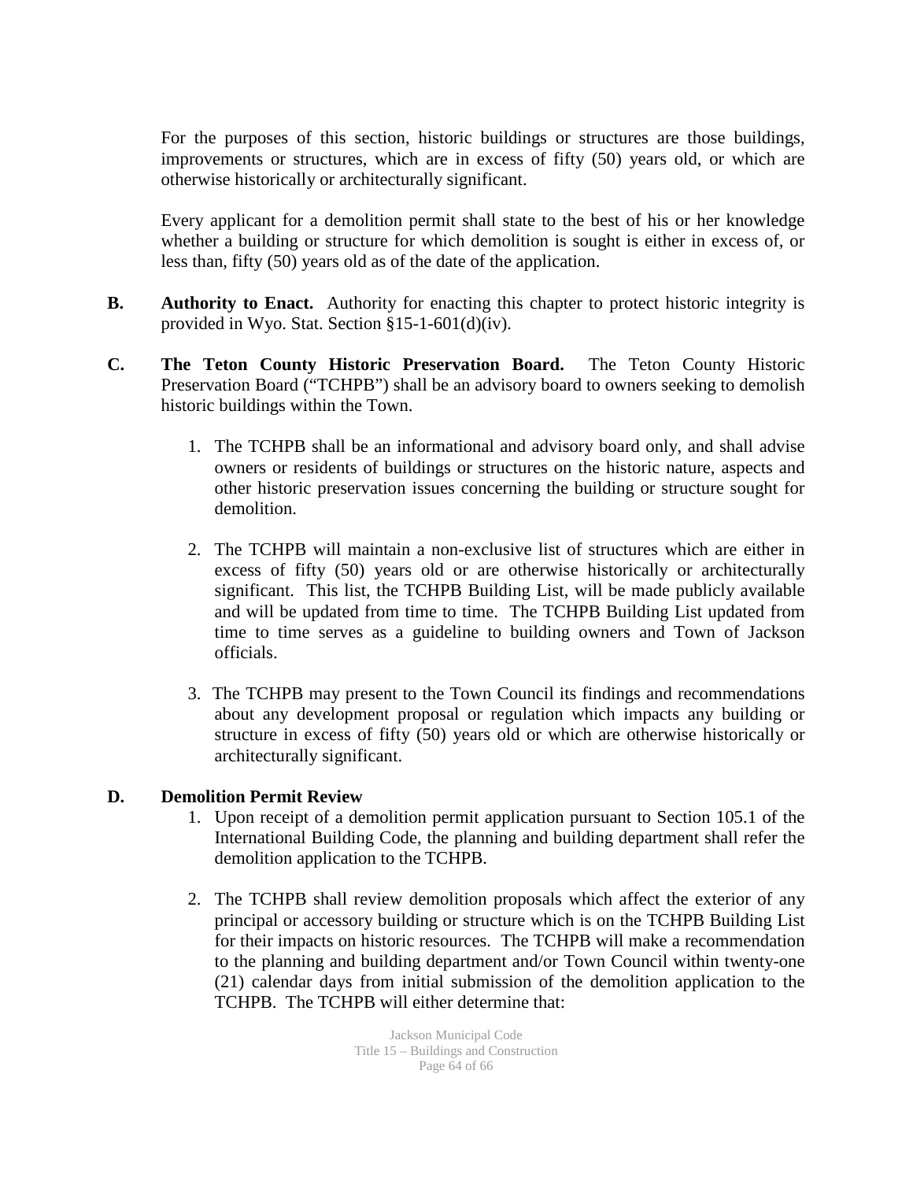For the purposes of this section, historic buildings or structures are those buildings, improvements or structures, which are in excess of fifty (50) years old, or which are otherwise historically or architecturally significant.

Every applicant for a demolition permit shall state to the best of his or her knowledge whether a building or structure for which demolition is sought is either in excess of, or less than, fifty (50) years old as of the date of the application.

- **B. Authority to Enact.** Authority for enacting this chapter to protect historic integrity is provided in Wyo. Stat. Section §15-1-601(d)(iv).
- **C. The Teton County Historic Preservation Board.** The Teton County Historic Preservation Board ("TCHPB") shall be an advisory board to owners seeking to demolish historic buildings within the Town.
	- 1. The TCHPB shall be an informational and advisory board only, and shall advise owners or residents of buildings or structures on the historic nature, aspects and other historic preservation issues concerning the building or structure sought for demolition.
	- 2. The TCHPB will maintain a non-exclusive list of structures which are either in excess of fifty (50) years old or are otherwise historically or architecturally significant. This list, the TCHPB Building List, will be made publicly available and will be updated from time to time. The TCHPB Building List updated from time to time serves as a guideline to building owners and Town of Jackson officials.
	- 3. The TCHPB may present to the Town Council its findings and recommendations about any development proposal or regulation which impacts any building or structure in excess of fifty (50) years old or which are otherwise historically or architecturally significant.

### **D. Demolition Permit Review**

- 1. Upon receipt of a demolition permit application pursuant to Section 105.1 of the International Building Code, the planning and building department shall refer the demolition application to the TCHPB.
- 2. The TCHPB shall review demolition proposals which affect the exterior of any principal or accessory building or structure which is on the TCHPB Building List for their impacts on historic resources. The TCHPB will make a recommendation to the planning and building department and/or Town Council within twenty-one (21) calendar days from initial submission of the demolition application to the TCHPB. The TCHPB will either determine that: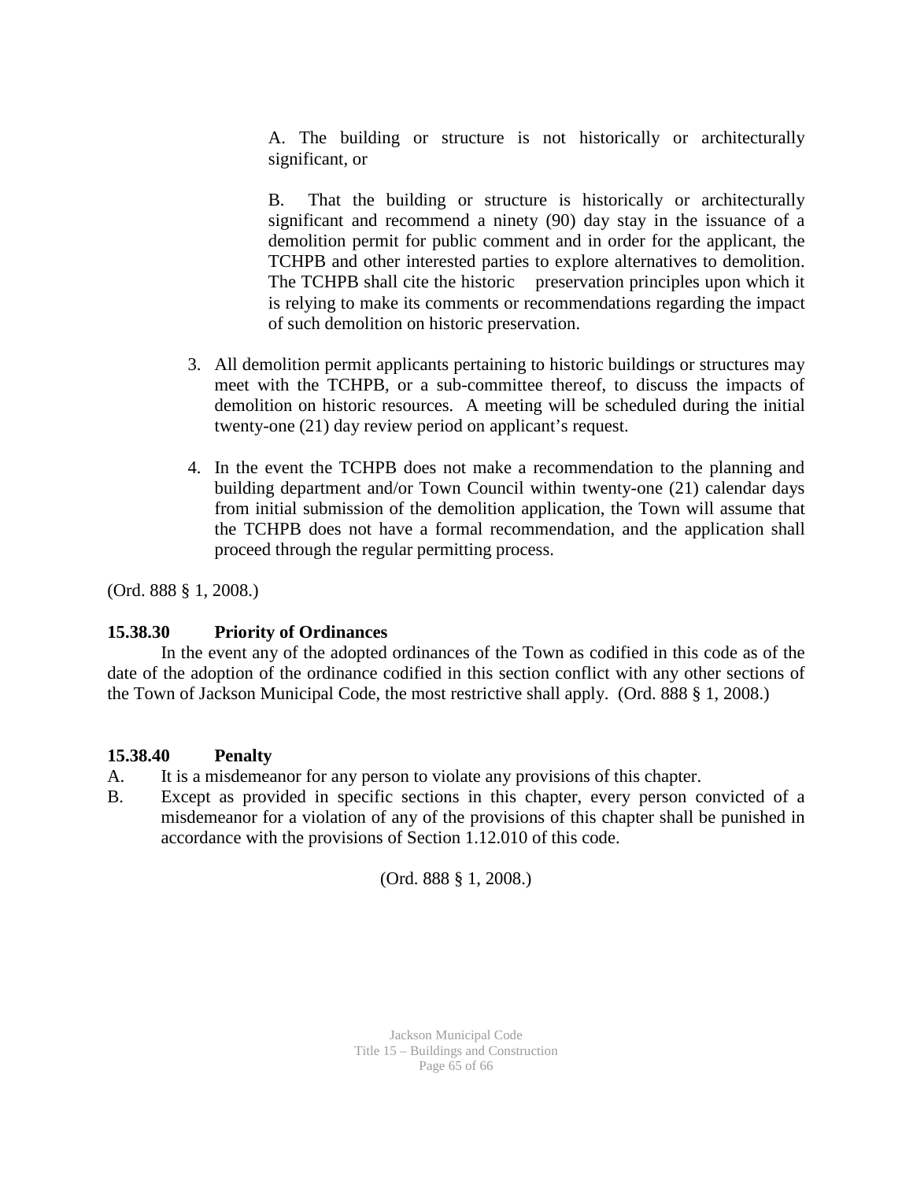A. The building or structure is not historically or architecturally significant, or

B. That the building or structure is historically or architecturally significant and recommend a ninety (90) day stay in the issuance of a demolition permit for public comment and in order for the applicant, the TCHPB and other interested parties to explore alternatives to demolition. The TCHPB shall cite the historic preservation principles upon which it is relying to make its comments or recommendations regarding the impact of such demolition on historic preservation.

- 3. All demolition permit applicants pertaining to historic buildings or structures may meet with the TCHPB, or a sub-committee thereof, to discuss the impacts of demolition on historic resources. A meeting will be scheduled during the initial twenty-one (21) day review period on applicant's request.
- 4. In the event the TCHPB does not make a recommendation to the planning and building department and/or Town Council within twenty-one (21) calendar days from initial submission of the demolition application, the Town will assume that the TCHPB does not have a formal recommendation, and the application shall proceed through the regular permitting process.

(Ord. 888 § 1, 2008.)

### **15.38.30 Priority of Ordinances**

In the event any of the adopted ordinances of the Town as codified in this code as of the date of the adoption of the ordinance codified in this section conflict with any other sections of the Town of Jackson Municipal Code, the most restrictive shall apply. (Ord. 888 § 1, 2008.)

### **15.38.40 Penalty**

- A. It is a misdemeanor for any person to violate any provisions of this chapter.
- B. Except as provided in specific sections in this chapter, every person convicted of a misdemeanor for a violation of any of the provisions of this chapter shall be punished in accordance with the provisions of Section 1.12.010 of this code.

(Ord. 888 § 1, 2008.)

Jackson Municipal Code Title 15 – Buildings and Construction Page 65 of 66